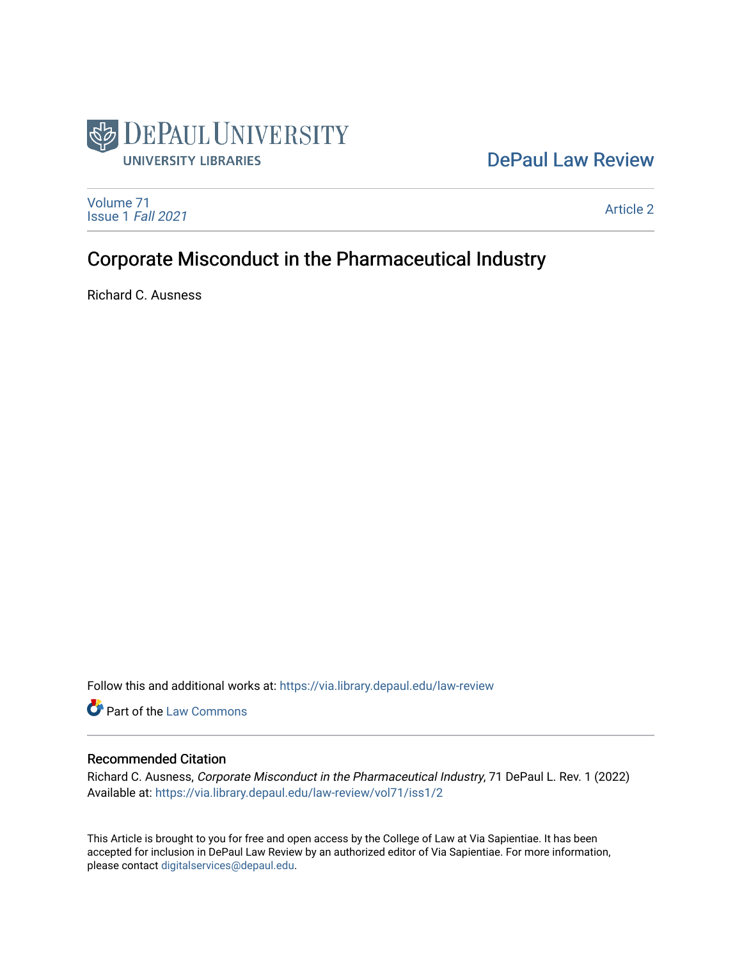

## [DePaul Law Review](https://via.library.depaul.edu/law-review)

[Volume 71](https://via.library.depaul.edu/law-review/vol71) [Issue 1](https://via.library.depaul.edu/law-review/vol71/iss1) Fall 2021

[Article 2](https://via.library.depaul.edu/law-review/vol71/iss1/2) 

# Corporate Misconduct in the Pharmaceutical Industry

Richard C. Ausness

Follow this and additional works at: [https://via.library.depaul.edu/law-review](https://via.library.depaul.edu/law-review?utm_source=via.library.depaul.edu%2Flaw-review%2Fvol71%2Fiss1%2F2&utm_medium=PDF&utm_campaign=PDFCoverPages) 

Part of the [Law Commons](http://network.bepress.com/hgg/discipline/578?utm_source=via.library.depaul.edu%2Flaw-review%2Fvol71%2Fiss1%2F2&utm_medium=PDF&utm_campaign=PDFCoverPages)

## Recommended Citation

Richard C. Ausness, Corporate Misconduct in the Pharmaceutical Industry, 71 DePaul L. Rev. 1 (2022) Available at: [https://via.library.depaul.edu/law-review/vol71/iss1/2](https://via.library.depaul.edu/law-review/vol71/iss1/2?utm_source=via.library.depaul.edu%2Flaw-review%2Fvol71%2Fiss1%2F2&utm_medium=PDF&utm_campaign=PDFCoverPages) 

This Article is brought to you for free and open access by the College of Law at Via Sapientiae. It has been accepted for inclusion in DePaul Law Review by an authorized editor of Via Sapientiae. For more information, please contact [digitalservices@depaul.edu.](mailto:digitalservices@depaul.edu)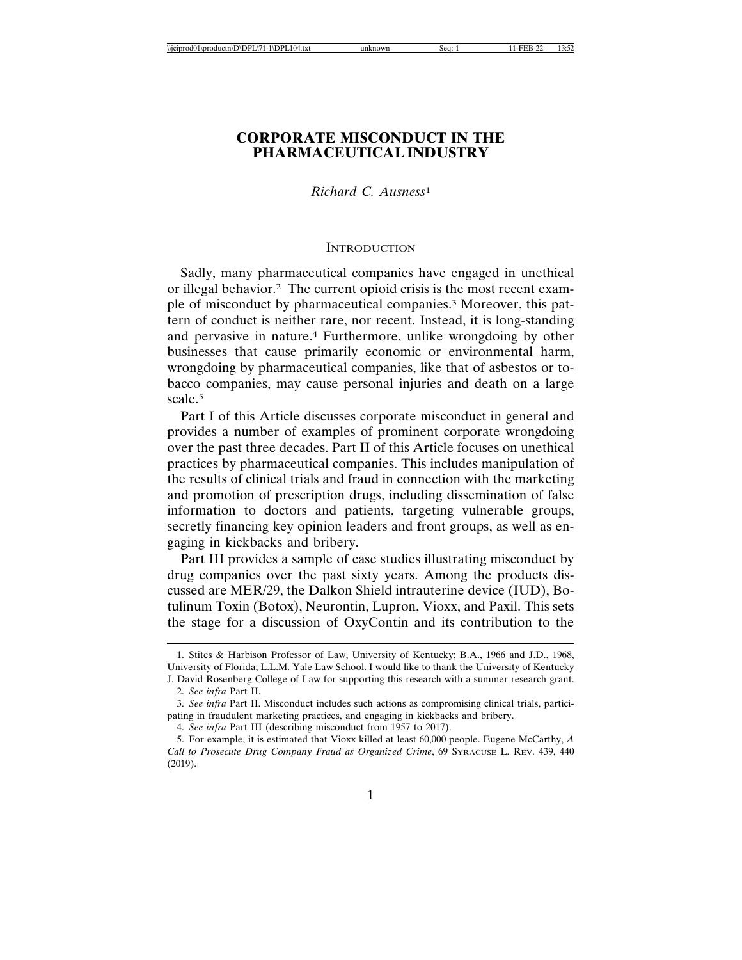## **CORPORATE MISCONDUCT IN THE PHARMACEUTICAL INDUSTRY**

## *Richard C. Ausness*<sup>1</sup>

#### **INTRODUCTION**

Sadly, many pharmaceutical companies have engaged in unethical or illegal behavior.2 The current opioid crisis is the most recent example of misconduct by pharmaceutical companies.3 Moreover, this pattern of conduct is neither rare, nor recent. Instead, it is long-standing and pervasive in nature.4 Furthermore, unlike wrongdoing by other businesses that cause primarily economic or environmental harm, wrongdoing by pharmaceutical companies, like that of asbestos or tobacco companies, may cause personal injuries and death on a large scale.<sup>5</sup>

Part I of this Article discusses corporate misconduct in general and provides a number of examples of prominent corporate wrongdoing over the past three decades. Part II of this Article focuses on unethical practices by pharmaceutical companies. This includes manipulation of the results of clinical trials and fraud in connection with the marketing and promotion of prescription drugs, including dissemination of false information to doctors and patients, targeting vulnerable groups, secretly financing key opinion leaders and front groups, as well as engaging in kickbacks and bribery.

Part III provides a sample of case studies illustrating misconduct by drug companies over the past sixty years. Among the products discussed are MER/29, the Dalkon Shield intrauterine device (IUD), Botulinum Toxin (Botox), Neurontin, Lupron, Vioxx, and Paxil. This sets the stage for a discussion of OxyContin and its contribution to the

<sup>1.</sup> Stites & Harbison Professor of Law, University of Kentucky; B.A., 1966 and J.D., 1968, University of Florida; L.L.M. Yale Law School. I would like to thank the University of Kentucky J. David Rosenberg College of Law for supporting this research with a summer research grant.

<sup>2.</sup> *See infra* Part II.

<sup>3.</sup> *See infra* Part II. Misconduct includes such actions as compromising clinical trials, participating in fraudulent marketing practices, and engaging in kickbacks and bribery.

<sup>4.</sup> *See infra* Part III (describing misconduct from 1957 to 2017).

<sup>5.</sup> For example, it is estimated that Vioxx killed at least 60,000 people. Eugene McCarthy, *A Call to Prosecute Drug Company Fraud as Organized Crime*, 69 SYRACUSE L. REV. 439, 440 (2019).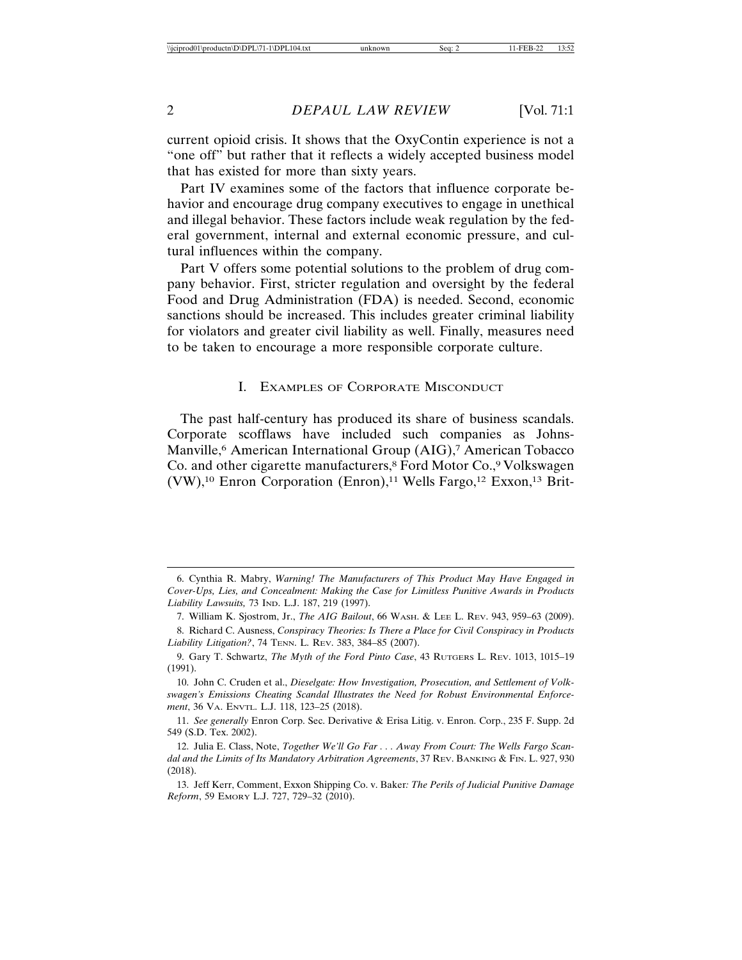current opioid crisis. It shows that the OxyContin experience is not a "one off" but rather that it reflects a widely accepted business model that has existed for more than sixty years.

Part IV examines some of the factors that influence corporate behavior and encourage drug company executives to engage in unethical and illegal behavior. These factors include weak regulation by the federal government, internal and external economic pressure, and cultural influences within the company.

Part V offers some potential solutions to the problem of drug company behavior. First, stricter regulation and oversight by the federal Food and Drug Administration (FDA) is needed. Second, economic sanctions should be increased. This includes greater criminal liability for violators and greater civil liability as well. Finally, measures need to be taken to encourage a more responsible corporate culture.

#### I. EXAMPLES OF CORPORATE MISCONDUCT

The past half-century has produced its share of business scandals. Corporate scofflaws have included such companies as Johns-Manville,<sup>6</sup> American International Group (AIG),<sup>7</sup> American Tobacco Co. and other cigarette manufacturers,<sup>8</sup> Ford Motor Co.,<sup>9</sup> Volkswagen  $(VW)$ ,<sup>10</sup> Enron Corporation (Enron),<sup>11</sup> Wells Fargo,<sup>12</sup> Exxon,<sup>13</sup> Brit-

<sup>6.</sup> Cynthia R. Mabry, *Warning! The Manufacturers of This Product May Have Engaged in Cover-Ups, Lies, and Concealment: Making the Case for Limitless Punitive Awards in Products Liability Lawsuits,* 73 IND. L.J. 187, 219 (1997).

<sup>7.</sup> William K. Sjostrom, Jr., *The AIG Bailout*, 66 WASH. & LEE L. REV. 943, 959–63 (2009).

<sup>8.</sup> Richard C. Ausness, *Conspiracy Theories: Is There a Place for Civil Conspiracy in Products Liability Litigation?*, 74 TENN. L. REV. 383, 384–85 (2007).

<sup>9.</sup> Gary T. Schwartz, *The Myth of the Ford Pinto Case*, 43 RUTGERS L. REV. 1013, 1015–19 (1991).

<sup>10.</sup> John C. Cruden et al., *Dieselgate: How Investigation, Prosecution, and Settlement of Volkswagen's Emissions Cheating Scandal Illustrates the Need for Robust Environmental Enforcement*, 36 VA. ENVTL. L.J. 118, 123–25 (2018).

<sup>11.</sup> *See generally* Enron Corp. Sec. Derivative & Erisa Litig. v. Enron. Corp., 235 F. Supp. 2d 549 (S.D. Tex. 2002).

<sup>12.</sup> Julia E. Class, Note, *Together We'll Go Far . . . Away From Court: The Wells Fargo Scandal and the Limits of Its Mandatory Arbitration Agreements*, 37 REV. BANKING & FIN. L. 927, 930 (2018).

<sup>13.</sup> Jeff Kerr, Comment, Exxon Shipping Co. v. Baker*: The Perils of Judicial Punitive Damage Reform*, 59 EMORY L.J. 727, 729–32 (2010).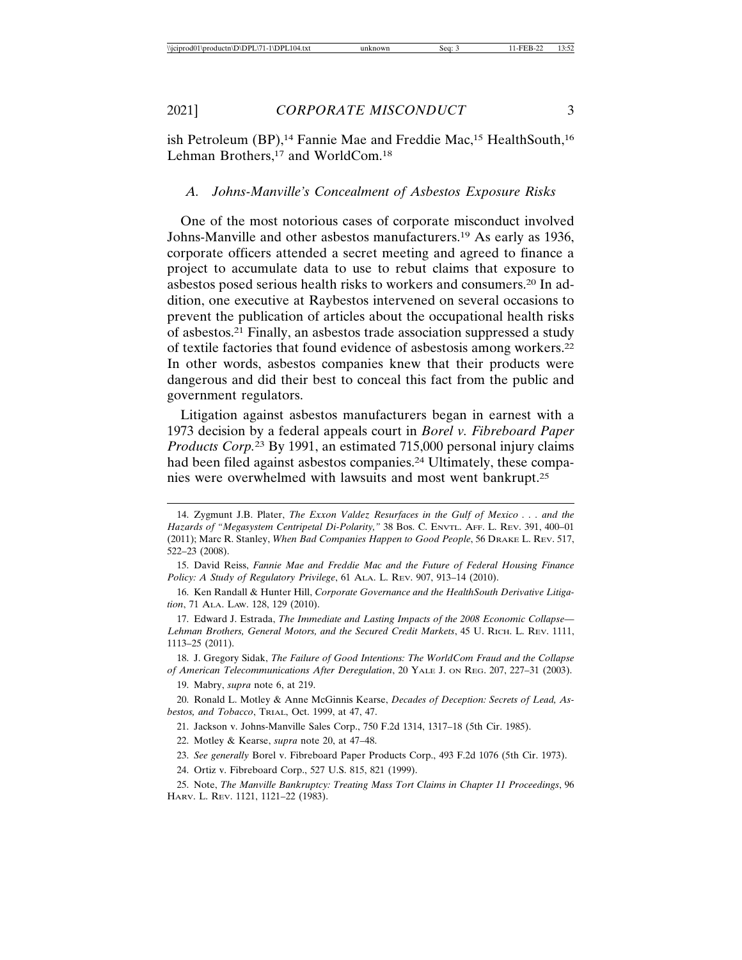ish Petroleum (BP),<sup>14</sup> Fannie Mae and Freddie Mac,<sup>15</sup> HealthSouth,<sup>16</sup> Lehman Brothers,<sup>17</sup> and WorldCom.<sup>18</sup>

#### *A. Johns-Manville's Concealment of Asbestos Exposure Risks*

One of the most notorious cases of corporate misconduct involved Johns-Manville and other asbestos manufacturers.19 As early as 1936, corporate officers attended a secret meeting and agreed to finance a project to accumulate data to use to rebut claims that exposure to asbestos posed serious health risks to workers and consumers.20 In addition, one executive at Raybestos intervened on several occasions to prevent the publication of articles about the occupational health risks of asbestos.21 Finally, an asbestos trade association suppressed a study of textile factories that found evidence of asbestosis among workers.22 In other words, asbestos companies knew that their products were dangerous and did their best to conceal this fact from the public and government regulators.

Litigation against asbestos manufacturers began in earnest with a 1973 decision by a federal appeals court in *Borel v. Fibreboard Paper Products Corp.*23 By 1991, an estimated 715,000 personal injury claims had been filed against asbestos companies.<sup>24</sup> Ultimately, these companies were overwhelmed with lawsuits and most went bankrupt.25

21. Jackson v. Johns-Manville Sales Corp., 750 F.2d 1314, 1317–18 (5th Cir. 1985).

<sup>14.</sup> Zygmunt J.B. Plater, *The Exxon Valdez Resurfaces in the Gulf of Mexico . . . and the Hazards of "Megasystem Centripetal Di-Polarity,"* 38 Bos. C. ENVTL. AFF. L. REV. 391, 400–01 (2011); Marc R. Stanley, *When Bad Companies Happen to Good People*, 56 DRAKE L. REV. 517, 522–23 (2008).

<sup>15.</sup> David Reiss, *Fannie Mae and Freddie Mac and the Future of Federal Housing Finance Policy: A Study of Regulatory Privilege*, 61 ALA. L. REV. 907, 913–14 (2010).

<sup>16.</sup> Ken Randall & Hunter Hill, *Corporate Governance and the HealthSouth Derivative Litigation*, 71 ALA. LAW. 128, 129 (2010).

<sup>17.</sup> Edward J. Estrada, *The Immediate and Lasting Impacts of the 2008 Economic Collapse— Lehman Brothers, General Motors, and the Secured Credit Markets*, 45 U. RICH. L. REV. 1111, 1113–25 (2011).

<sup>18.</sup> J. Gregory Sidak, *The Failure of Good Intentions: The WorldCom Fraud and the Collapse of American Telecommunications After Deregulation*, 20 YALE J. ON REG. 207, 227–31 (2003).

<sup>19.</sup> Mabry, *supra* note 6, at 219.

<sup>20.</sup> Ronald L. Motley & Anne McGinnis Kearse, *Decades of Deception: Secrets of Lead, Asbestos, and Tobacco*, TRIAL, Oct. 1999, at 47, 47.

<sup>22.</sup> Motley & Kearse, *supra* note 20, at 47–48.

<sup>23.</sup> *See generally* Borel v. Fibreboard Paper Products Corp., 493 F.2d 1076 (5th Cir. 1973).

<sup>24.</sup> Ortiz v. Fibreboard Corp., 527 U.S. 815, 821 (1999).

<sup>25.</sup> Note, *The Manville Bankruptcy: Treating Mass Tort Claims in Chapter 11 Proceedings*, 96 HARV. L. REV. 1121, 1121–22 (1983).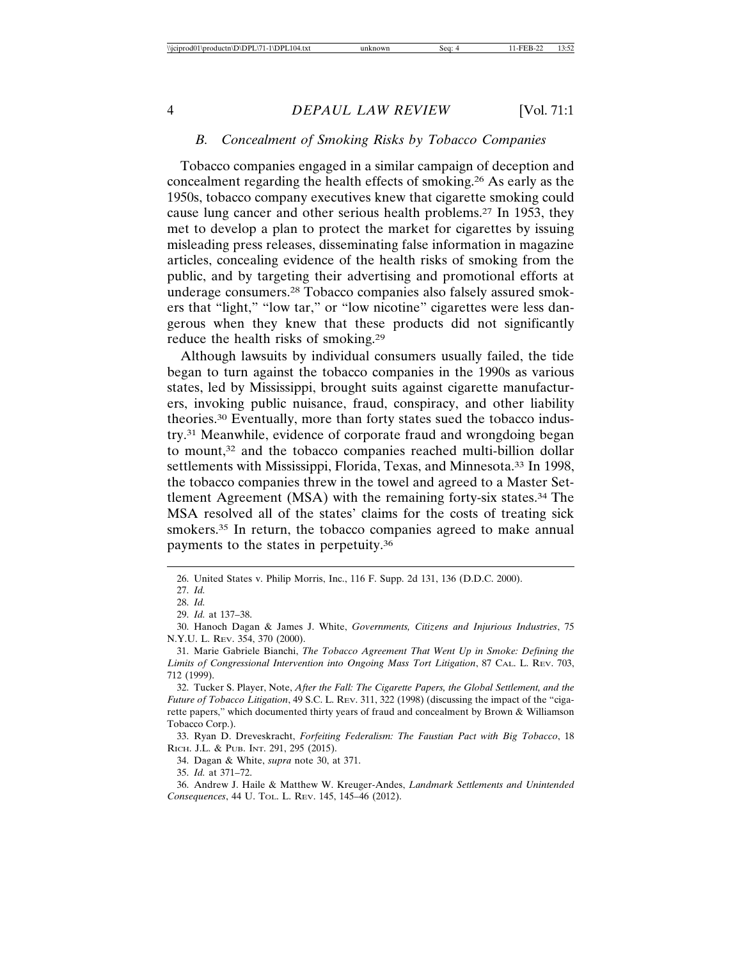## *B. Concealment of Smoking Risks by Tobacco Companies*

Tobacco companies engaged in a similar campaign of deception and concealment regarding the health effects of smoking.26 As early as the 1950s, tobacco company executives knew that cigarette smoking could cause lung cancer and other serious health problems.27 In 1953, they met to develop a plan to protect the market for cigarettes by issuing misleading press releases, disseminating false information in magazine articles, concealing evidence of the health risks of smoking from the public, and by targeting their advertising and promotional efforts at underage consumers.28 Tobacco companies also falsely assured smokers that "light," "low tar," or "low nicotine" cigarettes were less dangerous when they knew that these products did not significantly reduce the health risks of smoking.29

Although lawsuits by individual consumers usually failed, the tide began to turn against the tobacco companies in the 1990s as various states, led by Mississippi, brought suits against cigarette manufacturers, invoking public nuisance, fraud, conspiracy, and other liability theories.30 Eventually, more than forty states sued the tobacco industry.31 Meanwhile, evidence of corporate fraud and wrongdoing began to mount,<sup>32</sup> and the tobacco companies reached multi-billion dollar settlements with Mississippi, Florida, Texas, and Minnesota.<sup>33</sup> In 1998, the tobacco companies threw in the towel and agreed to a Master Settlement Agreement (MSA) with the remaining forty-six states.34 The MSA resolved all of the states' claims for the costs of treating sick smokers.<sup>35</sup> In return, the tobacco companies agreed to make annual payments to the states in perpetuity.36

35. *Id.* at 371–72.

36. Andrew J. Haile & Matthew W. Kreuger-Andes, *Landmark Settlements and Unintended Consequences*, 44 U. TOL. L. REV. 145, 145–46 (2012).

<sup>26.</sup> United States v. Philip Morris, Inc., 116 F. Supp. 2d 131, 136 (D.D.C. 2000).

<sup>27.</sup> *Id.*

<sup>28.</sup> *Id.*

<sup>29.</sup> *Id.* at 137–38.

<sup>30.</sup> Hanoch Dagan & James J. White, *Governments, Citizens and Injurious Industries*, 75 N.Y.U. L. REV. 354, 370 (2000).

<sup>31.</sup> Marie Gabriele Bianchi, *The Tobacco Agreement That Went Up in Smoke: Defining the Limits of Congressional Intervention into Ongoing Mass Tort Litigation*, 87 CAL. L. REV. 703, 712 (1999).

<sup>32.</sup> Tucker S. Player, Note, *After the Fall: The Cigarette Papers, the Global Settlement, and the Future of Tobacco Litigation*, 49 S.C. L. REV. 311, 322 (1998) (discussing the impact of the "cigarette papers," which documented thirty years of fraud and concealment by Brown & Williamson Tobacco Corp.).

<sup>33.</sup> Ryan D. Dreveskracht, *Forfeiting Federalism: The Faustian Pact with Big Tobacco*, 18 RICH. J.L. & PUB. INT. 291, 295 (2015).

<sup>34.</sup> Dagan & White, *supra* note 30, at 371.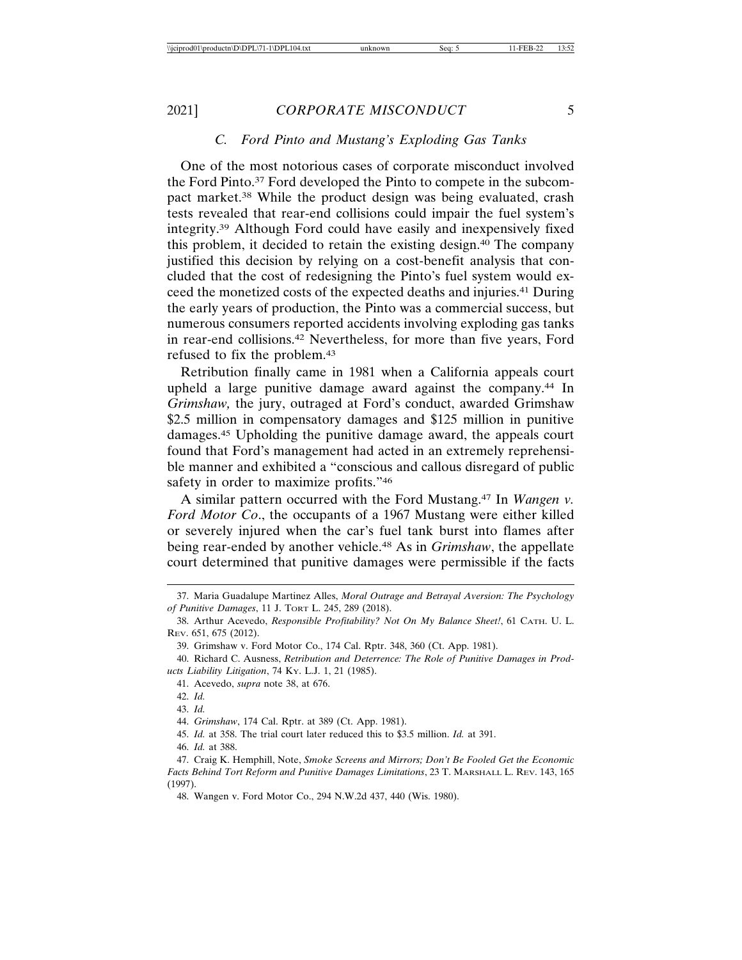#### *C. Ford Pinto and Mustang's Exploding Gas Tanks*

One of the most notorious cases of corporate misconduct involved the Ford Pinto.37 Ford developed the Pinto to compete in the subcompact market.38 While the product design was being evaluated, crash tests revealed that rear-end collisions could impair the fuel system's integrity.39 Although Ford could have easily and inexpensively fixed this problem, it decided to retain the existing design.40 The company justified this decision by relying on a cost-benefit analysis that concluded that the cost of redesigning the Pinto's fuel system would exceed the monetized costs of the expected deaths and injuries.41 During the early years of production, the Pinto was a commercial success, but numerous consumers reported accidents involving exploding gas tanks in rear-end collisions.42 Nevertheless, for more than five years, Ford refused to fix the problem.43

Retribution finally came in 1981 when a California appeals court upheld a large punitive damage award against the company.44 In *Grimshaw,* the jury, outraged at Ford's conduct, awarded Grimshaw \$2.5 million in compensatory damages and \$125 million in punitive damages.45 Upholding the punitive damage award, the appeals court found that Ford's management had acted in an extremely reprehensible manner and exhibited a "conscious and callous disregard of public safety in order to maximize profits."46

A similar pattern occurred with the Ford Mustang.47 In *Wangen v. Ford Motor Co*., the occupants of a 1967 Mustang were either killed or severely injured when the car's fuel tank burst into flames after being rear-ended by another vehicle.48 As in *Grimshaw*, the appellate court determined that punitive damages were permissible if the facts

- 45. *Id.* at 358. The trial court later reduced this to \$3.5 million. *Id.* at 391.
- 46. *Id.* at 388.

47. Craig K. Hemphill, Note, *Smoke Screens and Mirrors; Don't Be Fooled Get the Economic Facts Behind Tort Reform and Punitive Damages Limitations*, 23 T. MARSHALL L. REV. 143, 165 (1997).

<sup>37.</sup> Maria Guadalupe Martinez Alles, *Moral Outrage and Betrayal Aversion: The Psychology of Punitive Damages*, 11 J. TORT L. 245, 289 (2018).

<sup>38.</sup> Arthur Acevedo, *Responsible Profitability? Not On My Balance Sheet!*, 61 CATH. U. L. REV. 651, 675 (2012).

<sup>39.</sup> Grimshaw v. Ford Motor Co., 174 Cal. Rptr. 348, 360 (Ct. App. 1981).

<sup>40.</sup> Richard C. Ausness, *Retribution and Deterrence: The Role of Punitive Damages in Products Liability Litigation*, 74 KY. L.J. 1, 21 (1985).

<sup>41.</sup> Acevedo, *supra* note 38, at 676.

<sup>42.</sup> *Id.*

<sup>43.</sup> *Id.*

<sup>44.</sup> *Grimshaw*, 174 Cal. Rptr. at 389 (Ct. App. 1981).

<sup>48.</sup> Wangen v. Ford Motor Co., 294 N.W.2d 437, 440 (Wis. 1980).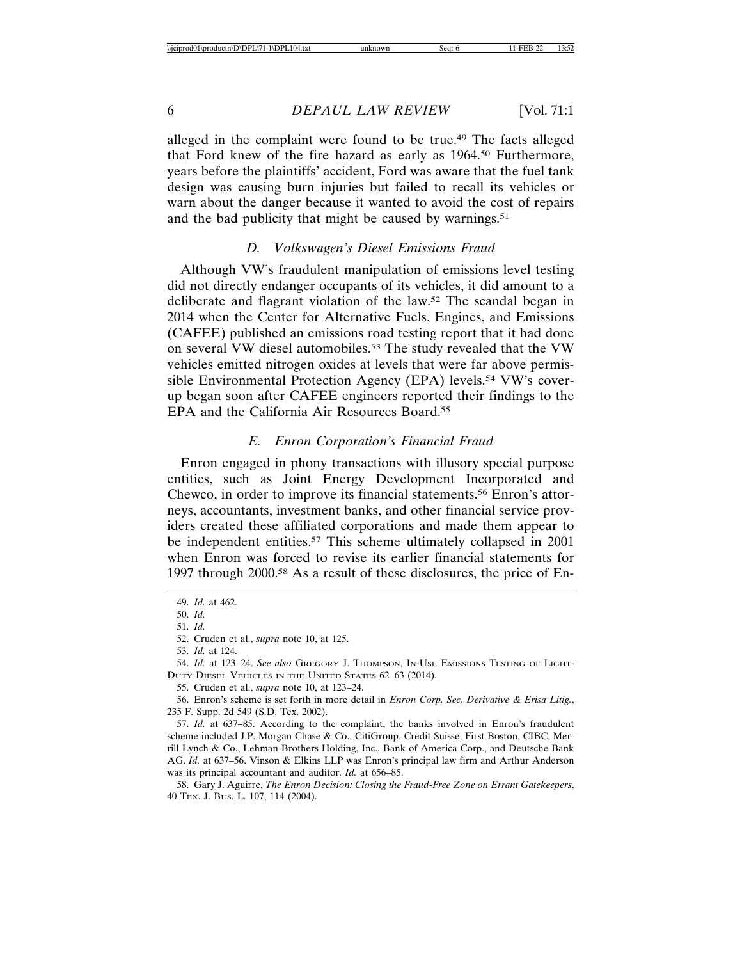alleged in the complaint were found to be true.49 The facts alleged that Ford knew of the fire hazard as early as 1964.50 Furthermore, years before the plaintiffs' accident, Ford was aware that the fuel tank design was causing burn injuries but failed to recall its vehicles or warn about the danger because it wanted to avoid the cost of repairs and the bad publicity that might be caused by warnings.<sup>51</sup>

#### *D. Volkswagen's Diesel Emissions Fraud*

Although VW's fraudulent manipulation of emissions level testing did not directly endanger occupants of its vehicles, it did amount to a deliberate and flagrant violation of the law.52 The scandal began in 2014 when the Center for Alternative Fuels, Engines, and Emissions (CAFEE) published an emissions road testing report that it had done on several VW diesel automobiles.53 The study revealed that the VW vehicles emitted nitrogen oxides at levels that were far above permissible Environmental Protection Agency (EPA) levels.<sup>54</sup> VW's coverup began soon after CAFEE engineers reported their findings to the EPA and the California Air Resources Board.55

#### *E. Enron Corporation's Financial Fraud*

Enron engaged in phony transactions with illusory special purpose entities, such as Joint Energy Development Incorporated and Chewco, in order to improve its financial statements.56 Enron's attorneys, accountants, investment banks, and other financial service providers created these affiliated corporations and made them appear to be independent entities.<sup>57</sup> This scheme ultimately collapsed in 2001 when Enron was forced to revise its earlier financial statements for 1997 through 2000.58 As a result of these disclosures, the price of En-

<sup>49.</sup> *Id.* at 462.

<sup>50.</sup> *Id.*

<sup>51.</sup> *Id.*

<sup>52.</sup> Cruden et al., *supra* note 10, at 125.

<sup>53.</sup> *Id.* at 124.

<sup>54.</sup> *Id.* at 123–24. *See also* GREGORY J. THOMPSON, IN-USE EMISSIONS TESTING OF LIGHT-DUTY DIESEL VEHICLES IN THE UNITED STATES 62–63 (2014).

<sup>55.</sup> Cruden et al., *supra* note 10, at 123–24.

<sup>56.</sup> Enron's scheme is set forth in more detail in *Enron Corp. Sec. Derivative & Erisa Litig.*, 235 F. Supp. 2d 549 (S.D. Tex. 2002).

<sup>57.</sup> *Id.* at 637–85. According to the complaint, the banks involved in Enron's fraudulent scheme included J.P. Morgan Chase & Co., CitiGroup, Credit Suisse, First Boston, CIBC, Merrill Lynch & Co., Lehman Brothers Holding, Inc., Bank of America Corp., and Deutsche Bank AG. *Id.* at 637–56. Vinson & Elkins LLP was Enron's principal law firm and Arthur Anderson was its principal accountant and auditor. *Id.* at 656–85.

<sup>58.</sup> Gary J. Aguirre, *The Enron Decision: Closing the Fraud-Free Zone on Errant Gatekeepers*, 40 TEX. J. BUS. L. 107, 114 (2004).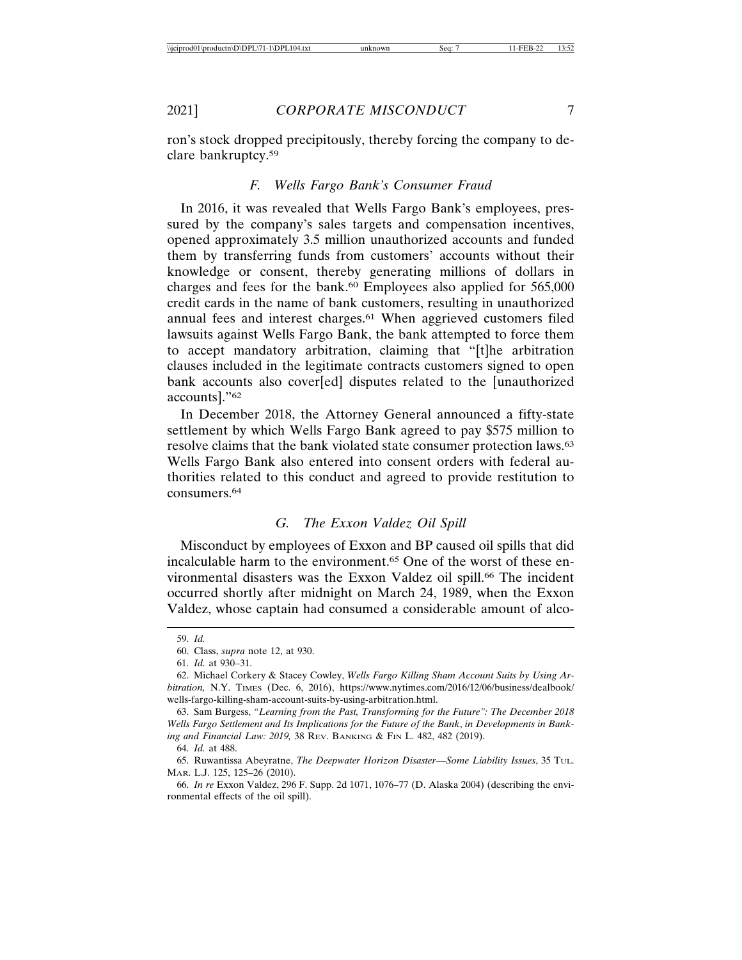ron's stock dropped precipitously, thereby forcing the company to declare bankruptcy.59

## *F. Wells Fargo Bank's Consumer Fraud*

In 2016, it was revealed that Wells Fargo Bank's employees, pressured by the company's sales targets and compensation incentives, opened approximately 3.5 million unauthorized accounts and funded them by transferring funds from customers' accounts without their knowledge or consent, thereby generating millions of dollars in charges and fees for the bank.<sup>60</sup> Employees also applied for 565,000 credit cards in the name of bank customers, resulting in unauthorized annual fees and interest charges.<sup>61</sup> When aggrieved customers filed lawsuits against Wells Fargo Bank, the bank attempted to force them to accept mandatory arbitration, claiming that "[t]he arbitration clauses included in the legitimate contracts customers signed to open bank accounts also cover[ed] disputes related to the [unauthorized accounts]."62

In December 2018, the Attorney General announced a fifty-state settlement by which Wells Fargo Bank agreed to pay \$575 million to resolve claims that the bank violated state consumer protection laws.63 Wells Fargo Bank also entered into consent orders with federal authorities related to this conduct and agreed to provide restitution to consumers.64

## *G. The Exxon Valdez Oil Spill*

Misconduct by employees of Exxon and BP caused oil spills that did incalculable harm to the environment.65 One of the worst of these environmental disasters was the Exxon Valdez oil spill.<sup>66</sup> The incident occurred shortly after midnight on March 24, 1989, when the Exxon Valdez, whose captain had consumed a considerable amount of alco-

63. Sam Burgess, *"Learning from the Past, Transforming for the Future": The December 2018 Wells Fargo Settlement and Its Implications for the Future of the Bank*, *in Developments in Banking and Financial Law: 2019,* 38 REV. BANKING & FIN L. 482, 482 (2019).

64. *Id.* at 488.

65. Ruwantissa Abeyratne, *The Deepwater Horizon Disaster—Some Liability Issues*, 35 TUL. MAR. L.J. 125, 125–26 (2010).

66. *In re* Exxon Valdez, 296 F. Supp. 2d 1071, 1076–77 (D. Alaska 2004) (describing the environmental effects of the oil spill).

<sup>59.</sup> *Id.*

<sup>60.</sup> Class, *supra* note 12, at 930.

<sup>61.</sup> *Id.* at 930–31.

<sup>62.</sup> Michael Corkery & Stacey Cowley, *Wells Fargo Killing Sham Account Suits by Using Arbitration,* N.Y. TIMES (Dec. 6, 2016), https://www.nytimes.com/2016/12/06/business/dealbook/ wells-fargo-killing-sham-account-suits-by-using-arbitration.html.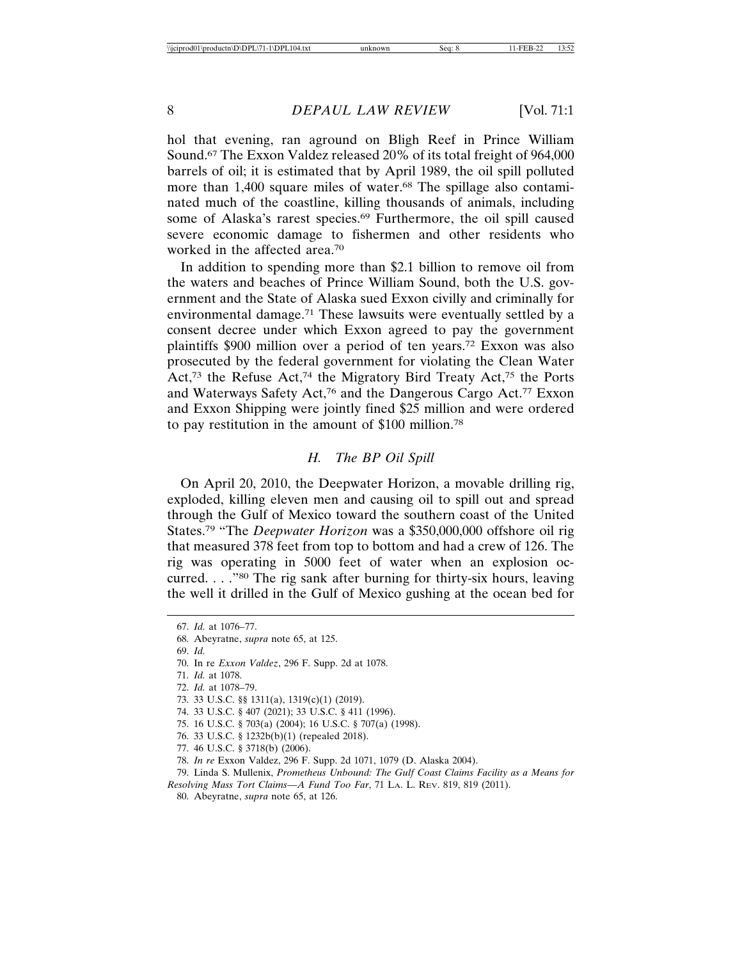hol that evening, ran aground on Bligh Reef in Prince William Sound.67 The Exxon Valdez released 20% of its total freight of 964,000 barrels of oil; it is estimated that by April 1989, the oil spill polluted more than 1,400 square miles of water.<sup>68</sup> The spillage also contaminated much of the coastline, killing thousands of animals, including some of Alaska's rarest species.<sup>69</sup> Furthermore, the oil spill caused severe economic damage to fishermen and other residents who worked in the affected area.70

In addition to spending more than \$2.1 billion to remove oil from the waters and beaches of Prince William Sound, both the U.S. government and the State of Alaska sued Exxon civilly and criminally for environmental damage.71 These lawsuits were eventually settled by a consent decree under which Exxon agreed to pay the government plaintiffs \$900 million over a period of ten years.72 Exxon was also prosecuted by the federal government for violating the Clean Water Act,<sup>73</sup> the Refuse Act,<sup>74</sup> the Migratory Bird Treaty Act,<sup>75</sup> the Ports and Waterways Safety Act,76 and the Dangerous Cargo Act.77 Exxon and Exxon Shipping were jointly fined \$25 million and were ordered to pay restitution in the amount of \$100 million.78

## *H. The BP Oil Spill*

On April 20, 2010, the Deepwater Horizon, a movable drilling rig, exploded, killing eleven men and causing oil to spill out and spread through the Gulf of Mexico toward the southern coast of the United States.79 "The *Deepwater Horizon* was a \$350,000,000 offshore oil rig that measured 378 feet from top to bottom and had a crew of 126. The rig was operating in 5000 feet of water when an explosion occurred. . . ."80 The rig sank after burning for thirty-six hours, leaving the well it drilled in the Gulf of Mexico gushing at the ocean bed for

69. *Id.*

- 71. *Id.* at 1078.
- 72. *Id.* at 1078–79.
- 73. 33 U.S.C. §§ 1311(a), 1319(c)(1) (2019).
- 74. 33 U.S.C. § 407 (2021); 33 U.S.C. § 411 (1996).
- 75. 16 U.S.C. § 703(a) (2004); 16 U.S.C. § 707(a) (1998).
- 76. 33 U.S.C. § 1232b(b)(1) (repealed 2018).
- 77. 46 U.S.C. § 3718(b) (2006).
- 78. *In re* Exxon Valdez, 296 F. Supp. 2d 1071, 1079 (D. Alaska 2004).
- 79. Linda S. Mullenix, *Prometheus Unbound: The Gulf Coast Claims Facility as a Means for Resolving Mass Tort Claims—A Fund Too Far*, 71 LA. L. REV. 819, 819 (2011).
	- 80. Abeyratne, *supra* note 65, at 126.

<sup>67.</sup> *Id.* at 1076–77.

<sup>68.</sup> Abeyratne, *supra* note 65, at 125.

<sup>70.</sup> In re *Exxon Valdez*, 296 F. Supp. 2d at 1078.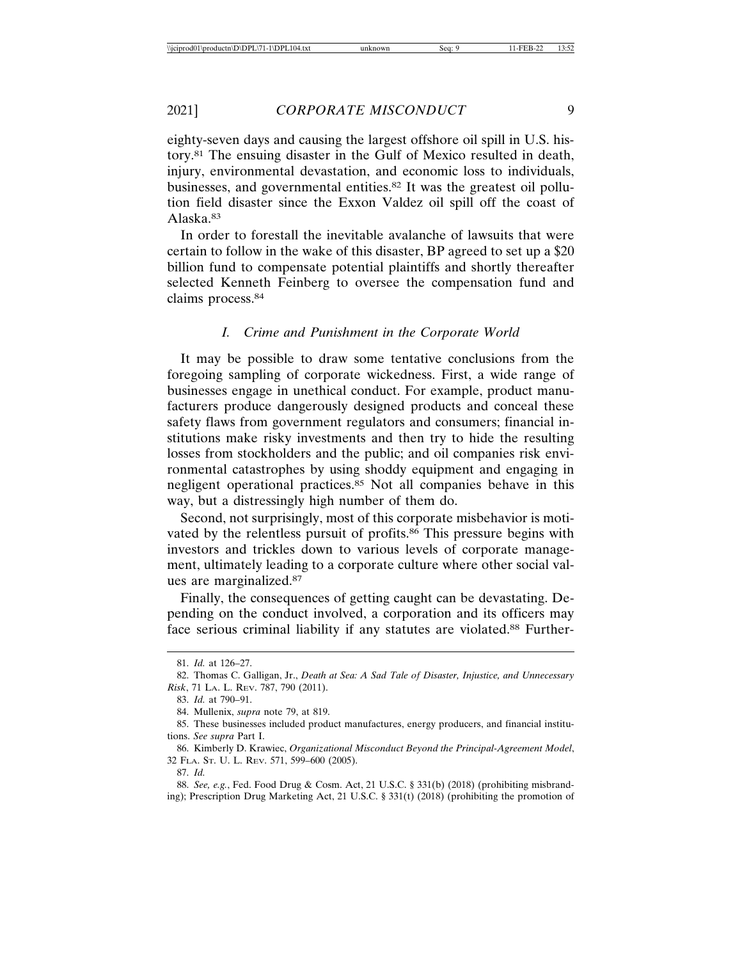eighty-seven days and causing the largest offshore oil spill in U.S. history.81 The ensuing disaster in the Gulf of Mexico resulted in death, injury, environmental devastation, and economic loss to individuals, businesses, and governmental entities.82 It was the greatest oil pollution field disaster since the Exxon Valdez oil spill off the coast of Alaska.83

In order to forestall the inevitable avalanche of lawsuits that were certain to follow in the wake of this disaster, BP agreed to set up a \$20 billion fund to compensate potential plaintiffs and shortly thereafter selected Kenneth Feinberg to oversee the compensation fund and claims process.84

#### *I. Crime and Punishment in the Corporate World*

It may be possible to draw some tentative conclusions from the foregoing sampling of corporate wickedness. First, a wide range of businesses engage in unethical conduct. For example, product manufacturers produce dangerously designed products and conceal these safety flaws from government regulators and consumers; financial institutions make risky investments and then try to hide the resulting losses from stockholders and the public; and oil companies risk environmental catastrophes by using shoddy equipment and engaging in negligent operational practices.85 Not all companies behave in this way, but a distressingly high number of them do.

Second, not surprisingly, most of this corporate misbehavior is motivated by the relentless pursuit of profits.<sup>86</sup> This pressure begins with investors and trickles down to various levels of corporate management, ultimately leading to a corporate culture where other social values are marginalized.87

Finally, the consequences of getting caught can be devastating. Depending on the conduct involved, a corporation and its officers may face serious criminal liability if any statutes are violated.88 Further-

87. *Id.*

<sup>81.</sup> *Id.* at 126–27.

<sup>82.</sup> Thomas C. Galligan, Jr., *Death at Sea: A Sad Tale of Disaster, Injustice, and Unnecessary Risk*, 71 LA. L. REV. 787, 790 (2011).

<sup>83.</sup> *Id.* at 790–91.

<sup>84.</sup> Mullenix, *supra* note 79, at 819.

<sup>85.</sup> These businesses included product manufactures, energy producers, and financial institutions. *See supra* Part I.

<sup>86.</sup> Kimberly D. Krawiec, *Organizational Misconduct Beyond the Principal-Agreement Model*, 32 FLA. ST. U. L. REV. 571, 599–600 (2005).

<sup>88.</sup> *See, e.g.*, Fed. Food Drug & Cosm. Act, 21 U.S.C. § 331(b) (2018) (prohibiting misbranding); Prescription Drug Marketing Act, 21 U.S.C. § 331(t) (2018) (prohibiting the promotion of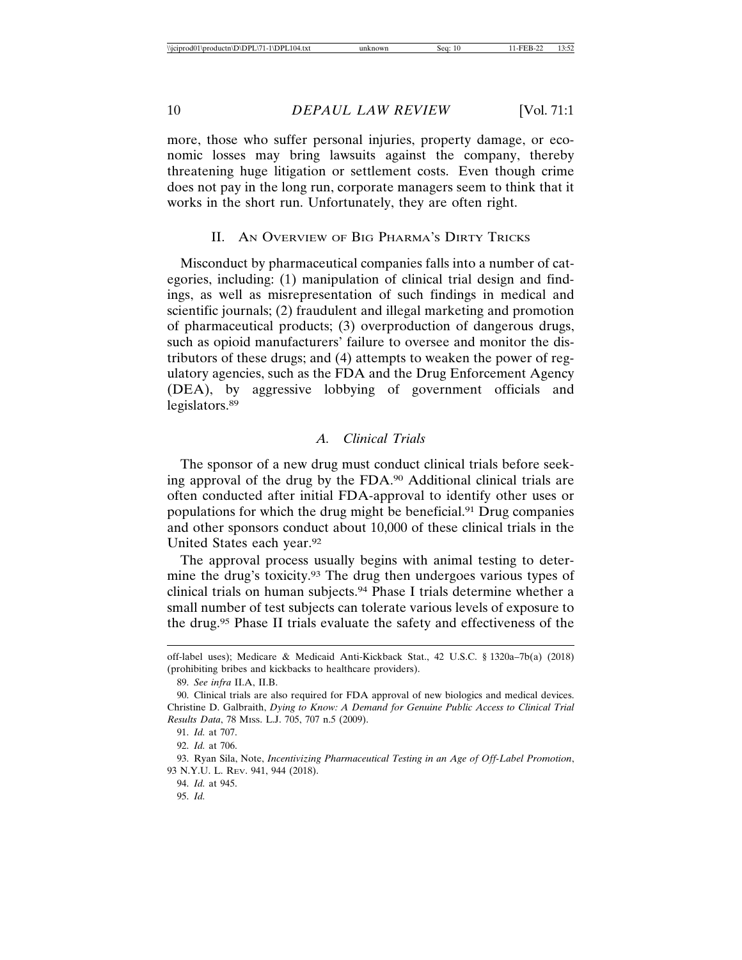more, those who suffer personal injuries, property damage, or economic losses may bring lawsuits against the company, thereby threatening huge litigation or settlement costs. Even though crime does not pay in the long run, corporate managers seem to think that it works in the short run. Unfortunately, they are often right.

#### II. AN OVERVIEW OF BIG PHARMA'S DIRTY TRICKS

Misconduct by pharmaceutical companies falls into a number of categories, including: (1) manipulation of clinical trial design and findings, as well as misrepresentation of such findings in medical and scientific journals; (2) fraudulent and illegal marketing and promotion of pharmaceutical products; (3) overproduction of dangerous drugs, such as opioid manufacturers' failure to oversee and monitor the distributors of these drugs; and (4) attempts to weaken the power of regulatory agencies, such as the FDA and the Drug Enforcement Agency (DEA), by aggressive lobbying of government officials and legislators.89

## *A. Clinical Trials*

The sponsor of a new drug must conduct clinical trials before seeking approval of the drug by the FDA.90 Additional clinical trials are often conducted after initial FDA-approval to identify other uses or populations for which the drug might be beneficial.91 Drug companies and other sponsors conduct about 10,000 of these clinical trials in the United States each year.92

The approval process usually begins with animal testing to determine the drug's toxicity.<sup>93</sup> The drug then undergoes various types of clinical trials on human subjects.94 Phase I trials determine whether a small number of test subjects can tolerate various levels of exposure to the drug.95 Phase II trials evaluate the safety and effectiveness of the

off-label uses); Medicare & Medicaid Anti-Kickback Stat., 42 U.S.C. § 1320a–7b(a) (2018) (prohibiting bribes and kickbacks to healthcare providers).

<sup>89.</sup> *See infra* II.A, II.B.

<sup>90.</sup> Clinical trials are also required for FDA approval of new biologics and medical devices. Christine D. Galbraith, *Dying to Know: A Demand for Genuine Public Access to Clinical Trial Results Data*, 78 MISS. L.J. 705, 707 n.5 (2009).

<sup>91.</sup> *Id.* at 707.

<sup>92.</sup> *Id.* at 706.

<sup>93.</sup> Ryan Sila, Note, *Incentivizing Pharmaceutical Testing in an Age of Off-Label Promotion*, 93 N.Y.U. L. REV. 941, 944 (2018).

<sup>94.</sup> *Id.* at 945.

<sup>95.</sup> *Id.*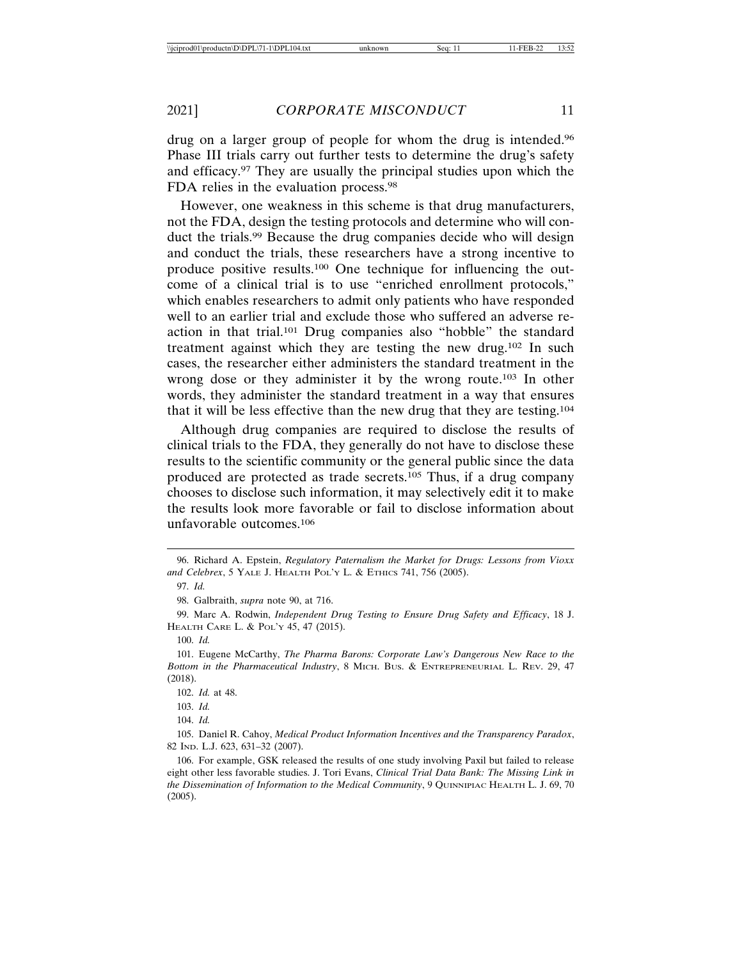drug on a larger group of people for whom the drug is intended.96 Phase III trials carry out further tests to determine the drug's safety and efficacy.97 They are usually the principal studies upon which the FDA relies in the evaluation process.<sup>98</sup>

However, one weakness in this scheme is that drug manufacturers, not the FDA, design the testing protocols and determine who will conduct the trials.99 Because the drug companies decide who will design and conduct the trials, these researchers have a strong incentive to produce positive results.100 One technique for influencing the outcome of a clinical trial is to use "enriched enrollment protocols," which enables researchers to admit only patients who have responded well to an earlier trial and exclude those who suffered an adverse reaction in that trial.101 Drug companies also "hobble" the standard treatment against which they are testing the new drug.102 In such cases, the researcher either administers the standard treatment in the wrong dose or they administer it by the wrong route.<sup>103</sup> In other words, they administer the standard treatment in a way that ensures that it will be less effective than the new drug that they are testing.104

Although drug companies are required to disclose the results of clinical trials to the FDA, they generally do not have to disclose these results to the scientific community or the general public since the data produced are protected as trade secrets.105 Thus, if a drug company chooses to disclose such information, it may selectively edit it to make the results look more favorable or fail to disclose information about unfavorable outcomes.106

<sup>96.</sup> Richard A. Epstein, *Regulatory Paternalism the Market for Drugs: Lessons from Vioxx and Celebrex*, 5 YALE J. HEALTH POL'Y L. & ETHICS 741, 756 (2005).

<sup>97.</sup> *Id.*

<sup>98.</sup> Galbraith, *supra* note 90, at 716.

<sup>99.</sup> Marc A. Rodwin, *Independent Drug Testing to Ensure Drug Safety and Efficacy*, 18 J. HEALTH CARE L. & POL'Y 45, 47 (2015).

<sup>100.</sup> *Id.*

<sup>101.</sup> Eugene McCarthy, *The Pharma Barons: Corporate Law's Dangerous New Race to the Bottom in the Pharmaceutical Industry*, 8 MICH. BUS. & ENTREPRENEURIAL L. REV. 29, 47 (2018).

<sup>102.</sup> *Id.* at 48.

<sup>103.</sup> *Id.*

<sup>104.</sup> *Id.*

<sup>105.</sup> Daniel R. Cahoy, *Medical Product Information Incentives and the Transparency Paradox*, 82 IND. L.J. 623, 631–32 (2007).

<sup>106.</sup> For example, GSK released the results of one study involving Paxil but failed to release eight other less favorable studies. J. Tori Evans, *Clinical Trial Data Bank: The Missing Link in the Dissemination of Information to the Medical Community*, 9 QUINNIPIAC HEALTH L. J. 69, 70 (2005).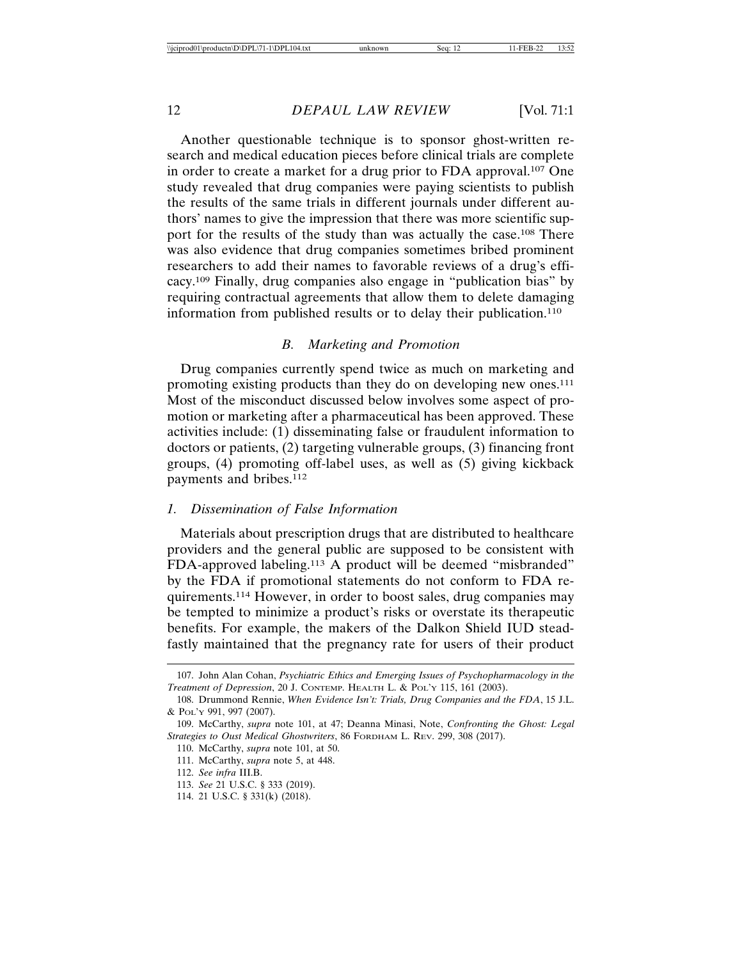Another questionable technique is to sponsor ghost-written research and medical education pieces before clinical trials are complete in order to create a market for a drug prior to FDA approval.107 One study revealed that drug companies were paying scientists to publish the results of the same trials in different journals under different authors' names to give the impression that there was more scientific support for the results of the study than was actually the case.<sup>108</sup> There was also evidence that drug companies sometimes bribed prominent researchers to add their names to favorable reviews of a drug's efficacy.109 Finally, drug companies also engage in "publication bias" by requiring contractual agreements that allow them to delete damaging information from published results or to delay their publication.110

#### *B. Marketing and Promotion*

Drug companies currently spend twice as much on marketing and promoting existing products than they do on developing new ones.111 Most of the misconduct discussed below involves some aspect of promotion or marketing after a pharmaceutical has been approved. These activities include: (1) disseminating false or fraudulent information to doctors or patients, (2) targeting vulnerable groups, (3) financing front groups, (4) promoting off-label uses, as well as (5) giving kickback payments and bribes.112

#### *1. Dissemination of False Information*

Materials about prescription drugs that are distributed to healthcare providers and the general public are supposed to be consistent with FDA-approved labeling.113 A product will be deemed "misbranded" by the FDA if promotional statements do not conform to FDA requirements.114 However, in order to boost sales, drug companies may be tempted to minimize a product's risks or overstate its therapeutic benefits. For example, the makers of the Dalkon Shield IUD steadfastly maintained that the pregnancy rate for users of their product

<sup>107.</sup> John Alan Cohan, *Psychiatric Ethics and Emerging Issues of Psychopharmacology in the Treatment of Depression*, 20 J. CONTEMP. HEALTH L. & POL'Y 115, 161 (2003).

<sup>108.</sup> Drummond Rennie, *When Evidence Isn't: Trials, Drug Companies and the FDA*, 15 J.L. & POL'Y 991, 997 (2007).

<sup>109.</sup> McCarthy, *supra* note 101, at 47; Deanna Minasi, Note, *Confronting the Ghost: Legal Strategies to Oust Medical Ghostwriters*, 86 FORDHAM L. REV. 299, 308 (2017).

<sup>110.</sup> McCarthy, *supra* note 101, at 50.

<sup>111.</sup> McCarthy, *supra* note 5, at 448.

<sup>112.</sup> *See infra* III.B.

<sup>113.</sup> *See* 21 U.S.C. § 333 (2019).

<sup>114. 21</sup> U.S.C. § 331(k) (2018).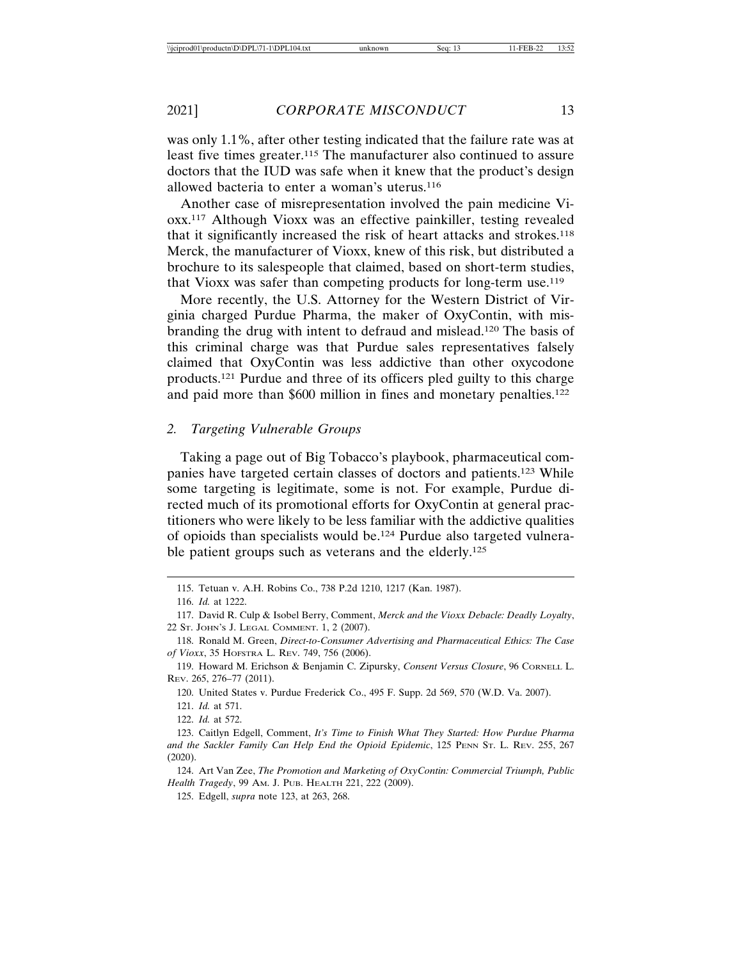was only 1.1%, after other testing indicated that the failure rate was at least five times greater.115 The manufacturer also continued to assure doctors that the IUD was safe when it knew that the product's design allowed bacteria to enter a woman's uterus.116

Another case of misrepresentation involved the pain medicine Vioxx.117 Although Vioxx was an effective painkiller, testing revealed that it significantly increased the risk of heart attacks and strokes.118 Merck, the manufacturer of Vioxx, knew of this risk, but distributed a brochure to its salespeople that claimed, based on short-term studies, that Vioxx was safer than competing products for long-term use.119

More recently, the U.S. Attorney for the Western District of Virginia charged Purdue Pharma, the maker of OxyContin, with misbranding the drug with intent to defraud and mislead.120 The basis of this criminal charge was that Purdue sales representatives falsely claimed that OxyContin was less addictive than other oxycodone products.121 Purdue and three of its officers pled guilty to this charge and paid more than \$600 million in fines and monetary penalties.122

#### *2. Targeting Vulnerable Groups*

Taking a page out of Big Tobacco's playbook, pharmaceutical companies have targeted certain classes of doctors and patients.123 While some targeting is legitimate, some is not. For example, Purdue directed much of its promotional efforts for OxyContin at general practitioners who were likely to be less familiar with the addictive qualities of opioids than specialists would be.124 Purdue also targeted vulnerable patient groups such as veterans and the elderly.<sup>125</sup>

120. United States v. Purdue Frederick Co., 495 F. Supp. 2d 569, 570 (W.D. Va. 2007).

121. *Id.* at 571.

122. *Id.* at 572.

125. Edgell, *supra* note 123, at 263, 268.

<sup>115.</sup> Tetuan v. A.H. Robins Co., 738 P.2d 1210, 1217 (Kan. 1987).

<sup>116.</sup> *Id.* at 1222.

<sup>117.</sup> David R. Culp & Isobel Berry, Comment, *Merck and the Vioxx Debacle: Deadly Loyalty*, 22 ST. JOHN'S J. LEGAL COMMENT. 1, 2 (2007).

<sup>118.</sup> Ronald M. Green, *Direct-to-Consumer Advertising and Pharmaceutical Ethics: The Case of Vioxx*, 35 HOFSTRA L. REV. 749, 756 (2006).

<sup>119.</sup> Howard M. Erichson & Benjamin C. Zipursky, *Consent Versus Closure*, 96 CORNELL L. REV. 265, 276–77 (2011).

<sup>123.</sup> Caitlyn Edgell, Comment, *It's Time to Finish What They Started: How Purdue Pharma and the Sackler Family Can Help End the Opioid Epidemic*, 125 PENN ST. L. REV. 255, 267 (2020).

<sup>124.</sup> Art Van Zee, *The Promotion and Marketing of OxyContin: Commercial Triumph, Public Health Tragedy*, 99 AM. J. PUB. HEALTH 221, 222 (2009).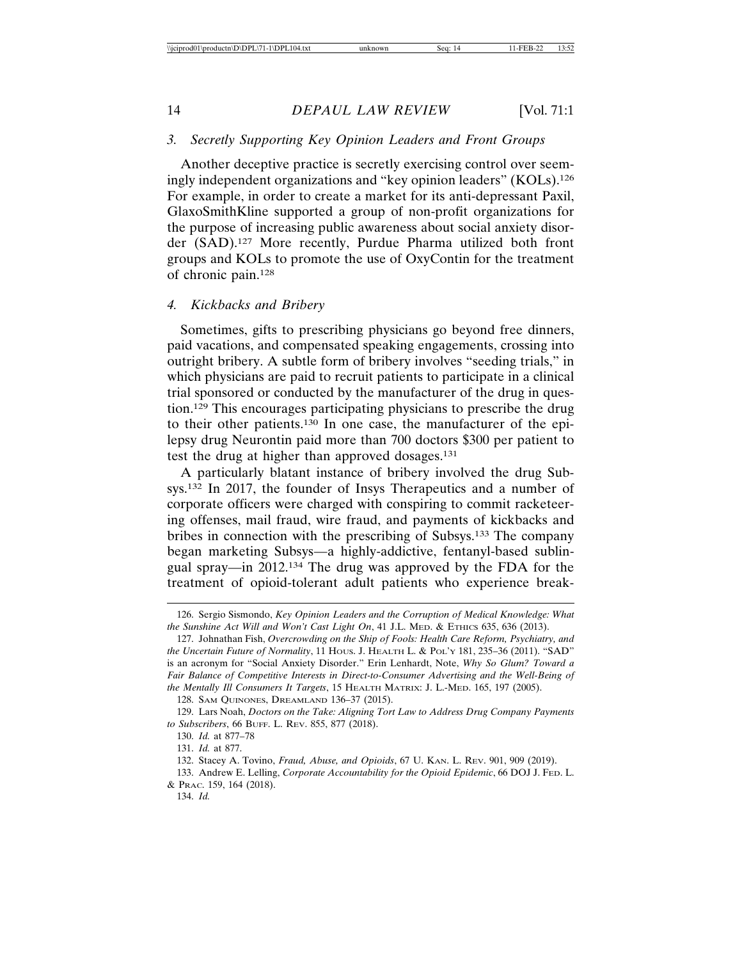## *3. Secretly Supporting Key Opinion Leaders and Front Groups*

Another deceptive practice is secretly exercising control over seemingly independent organizations and "key opinion leaders" (KOLs).126 For example, in order to create a market for its anti-depressant Paxil, GlaxoSmithKline supported a group of non-profit organizations for the purpose of increasing public awareness about social anxiety disorder (SAD).127 More recently, Purdue Pharma utilized both front groups and KOLs to promote the use of OxyContin for the treatment of chronic pain.128

#### *4. Kickbacks and Bribery*

Sometimes, gifts to prescribing physicians go beyond free dinners, paid vacations, and compensated speaking engagements, crossing into outright bribery. A subtle form of bribery involves "seeding trials," in which physicians are paid to recruit patients to participate in a clinical trial sponsored or conducted by the manufacturer of the drug in question.129 This encourages participating physicians to prescribe the drug to their other patients.130 In one case, the manufacturer of the epilepsy drug Neurontin paid more than 700 doctors \$300 per patient to test the drug at higher than approved dosages.131

A particularly blatant instance of bribery involved the drug Subsys.132 In 2017, the founder of Insys Therapeutics and a number of corporate officers were charged with conspiring to commit racketeering offenses, mail fraud, wire fraud, and payments of kickbacks and bribes in connection with the prescribing of Subsys.133 The company began marketing Subsys—a highly-addictive, fentanyl-based sublingual spray—in 2012.134 The drug was approved by the FDA for the treatment of opioid-tolerant adult patients who experience break-

128. SAM QUINONES, DREAMLAND 136–37 (2015).

129. Lars Noah, *Doctors on the Take: Aligning Tort Law to Address Drug Company Payments to Subscribers*, 66 BUFF. L. REV. 855, 877 (2018).

134. *Id.*

<sup>126.</sup> Sergio Sismondo, *Key Opinion Leaders and the Corruption of Medical Knowledge: What the Sunshine Act Will and Won't Cast Light On*, 41 J.L. MED. & ETHICS 635, 636 (2013).

<sup>127.</sup> Johnathan Fish, *Overcrowding on the Ship of Fools: Health Care Reform, Psychiatry, and the Uncertain Future of Normality*, 11 HOUS. J. HEALTH L. & POL'Y 181, 235–36 (2011). "SAD" is an acronym for "Social Anxiety Disorder." Erin Lenhardt, Note, *Why So Glum? Toward a Fair Balance of Competitive Interests in Direct-to-Consumer Advertising and the Well-Being of the Mentally Ill Consumers It Targets*, 15 HEALTH MATRIX: J. L.-MED. 165, 197 (2005).

<sup>130.</sup> *Id.* at 877–78

<sup>131.</sup> *Id.* at 877.

<sup>132.</sup> Stacey A. Tovino, *Fraud, Abuse, and Opioids*, 67 U. KAN. L. REV. 901, 909 (2019).

<sup>133.</sup> Andrew E. Lelling, *Corporate Accountability for the Opioid Epidemic*, 66 DOJ J. FED. L. & PRAC. 159, 164 (2018).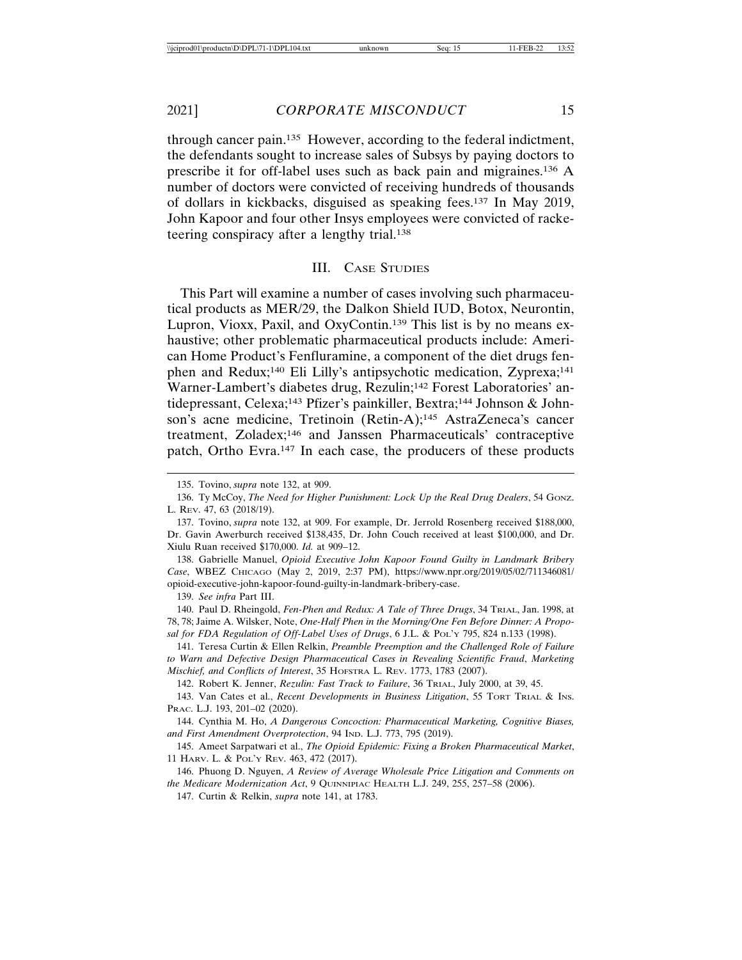through cancer pain.135 However, according to the federal indictment, the defendants sought to increase sales of Subsys by paying doctors to prescribe it for off-label uses such as back pain and migraines.136 A number of doctors were convicted of receiving hundreds of thousands of dollars in kickbacks, disguised as speaking fees.137 In May 2019, John Kapoor and four other Insys employees were convicted of racketeering conspiracy after a lengthy trial.138

## III. CASE STUDIES

This Part will examine a number of cases involving such pharmaceutical products as MER/29, the Dalkon Shield IUD, Botox, Neurontin, Lupron, Vioxx, Paxil, and OxyContin.139 This list is by no means exhaustive; other problematic pharmaceutical products include: American Home Product's Fenfluramine, a component of the diet drugs fenphen and Redux;<sup>140</sup> Eli Lilly's antipsychotic medication, Zyprexa;<sup>141</sup> Warner-Lambert's diabetes drug, Rezulin;142 Forest Laboratories' antidepressant, Celexa;<sup>143</sup> Pfizer's painkiller, Bextra;<sup>144</sup> Johnson & Johnson's acne medicine, Tretinoin (Retin-A);<sup>145</sup> AstraZeneca's cancer treatment, Zoladex;146 and Janssen Pharmaceuticals' contraceptive patch, Ortho Evra.147 In each case, the producers of these products

138. Gabrielle Manuel, *Opioid Executive John Kapoor Found Guilty in Landmark Bribery Case*, WBEZ CHICAGO (May 2, 2019, 2:37 PM), https://www.npr.org/2019/05/02/711346081/ opioid-executive-john-kapoor-found-guilty-in-landmark-bribery-case.

139. *See infra* Part III.

140. Paul D. Rheingold, *Fen-Phen and Redux: A Tale of Three Drugs*, 34 TRIAL, Jan. 1998, at 78, 78; Jaime A. Wilsker, Note, *One-Half Phen in the Morning/One Fen Before Dinner: A Proposal for FDA Regulation of Off-Label Uses of Drugs*, 6 J.L. & POL'Y 795, 824 n.133 (1998).

141. Teresa Curtin & Ellen Relkin, *Preamble Preemption and the Challenged Role of Failure to Warn and Defective Design Pharmaceutical Cases in Revealing Scientific Fraud*, *Marketing Mischief, and Conflicts of Interest*, 35 HOFSTRA L. REV. 1773, 1783 (2007).

142. Robert K. Jenner, *Rezulin: Fast Track to Failure*, 36 TRIAL, July 2000, at 39, 45.

143. Van Cates et al., *Recent Developments in Business Litigation*, 55 TORT TRIAL & INS. PRAC. L.J. 193, 201–02 (2020).

144. Cynthia M. Ho, *A Dangerous Concoction: Pharmaceutical Marketing, Cognitive Biases, and First Amendment Overprotection*, 94 IND. L.J. 773, 795 (2019).

145. Ameet Sarpatwari et al., *The Opioid Epidemic: Fixing a Broken Pharmaceutical Market*, 11 HARV. L. & POL'Y REV. 463, 472 (2017).

146. Phuong D. Nguyen, *A Review of Average Wholesale Price Litigation and Comments on the Medicare Modernization Act*, 9 QUINNIPIAC HEALTH L.J. 249, 255, 257–58 (2006).

147. Curtin & Relkin, *supra* note 141, at 1783.

<sup>135.</sup> Tovino, *supra* note 132, at 909.

<sup>136.</sup> Ty McCoy, *The Need for Higher Punishment: Lock Up the Real Drug Dealers*, 54 GONZ. L. REV. 47, 63 (2018/19).

<sup>137.</sup> Tovino, *supra* note 132, at 909. For example, Dr. Jerrold Rosenberg received \$188,000, Dr. Gavin Awerburch received \$138,435, Dr. John Couch received at least \$100,000, and Dr. Xiulu Ruan received \$170,000. *Id.* at 909–12.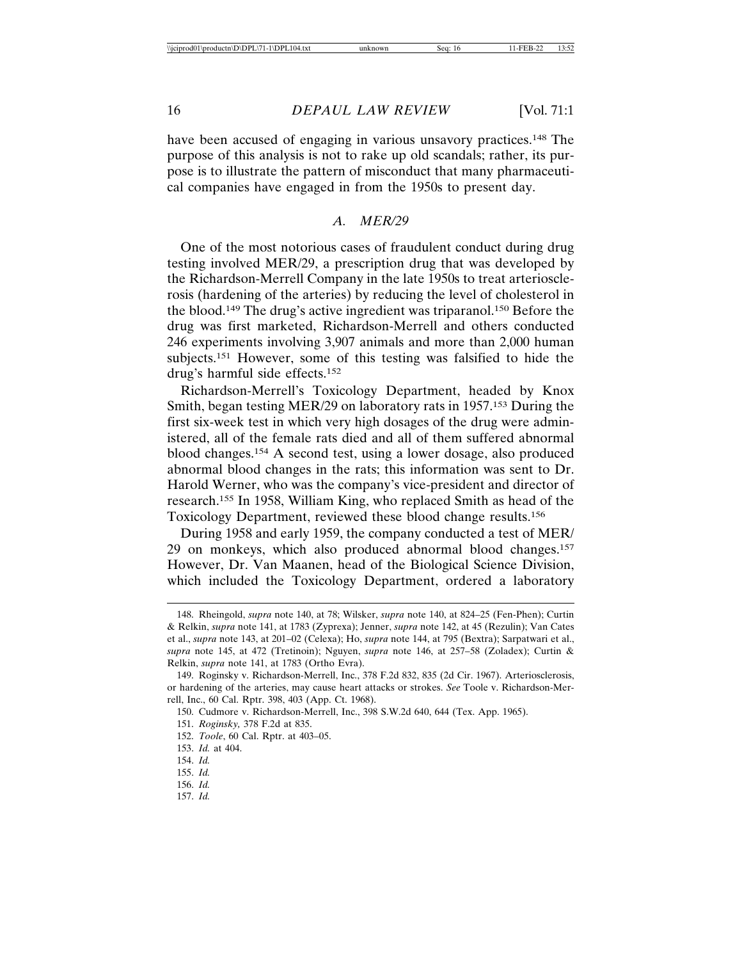have been accused of engaging in various unsavory practices.<sup>148</sup> The purpose of this analysis is not to rake up old scandals; rather, its purpose is to illustrate the pattern of misconduct that many pharmaceutical companies have engaged in from the 1950s to present day.

## *A. MER/29*

One of the most notorious cases of fraudulent conduct during drug testing involved MER/29, a prescription drug that was developed by the Richardson-Merrell Company in the late 1950s to treat arteriosclerosis (hardening of the arteries) by reducing the level of cholesterol in the blood.149 The drug's active ingredient was triparanol.150 Before the drug was first marketed, Richardson-Merrell and others conducted 246 experiments involving 3,907 animals and more than 2,000 human subjects.151 However, some of this testing was falsified to hide the drug's harmful side effects.152

Richardson-Merrell's Toxicology Department, headed by Knox Smith, began testing MER/29 on laboratory rats in 1957.153 During the first six-week test in which very high dosages of the drug were administered, all of the female rats died and all of them suffered abnormal blood changes.154 A second test, using a lower dosage, also produced abnormal blood changes in the rats; this information was sent to Dr. Harold Werner, who was the company's vice-president and director of research.155 In 1958, William King, who replaced Smith as head of the Toxicology Department, reviewed these blood change results.156

During 1958 and early 1959, the company conducted a test of MER/ 29 on monkeys, which also produced abnormal blood changes.157 However, Dr. Van Maanen, head of the Biological Science Division, which included the Toxicology Department, ordered a laboratory

<sup>148.</sup> Rheingold, *supra* note 140, at 78; Wilsker, *supra* note 140, at 824–25 (Fen-Phen); Curtin & Relkin, *supra* note 141, at 1783 (Zyprexa); Jenner, *supra* note 142, at 45 (Rezulin); Van Cates et al., *supra* note 143, at 201–02 (Celexa); Ho, *supra* note 144, at 795 (Bextra); Sarpatwari et al., *supra* note 145, at 472 (Tretinoin); Nguyen, *supra* note 146, at 257–58 (Zoladex); Curtin & Relkin, *supra* note 141, at 1783 (Ortho Evra).

<sup>149.</sup> Roginsky v. Richardson-Merrell, Inc., 378 F.2d 832, 835 (2d Cir. 1967). Arteriosclerosis, or hardening of the arteries, may cause heart attacks or strokes. *See* Toole v. Richardson-Merrell, Inc., 60 Cal. Rptr. 398, 403 (App. Ct. 1968).

<sup>150.</sup> Cudmore v. Richardson-Merrell, Inc., 398 S.W.2d 640, 644 (Tex. App. 1965).

<sup>151.</sup> *Roginsky,* 378 F.2d at 835.

<sup>152.</sup> *Toole*, 60 Cal. Rptr. at 403–05.

<sup>153.</sup> *Id.* at 404.

<sup>154.</sup> *Id.*

<sup>155.</sup> *Id.*

<sup>156.</sup> *Id.*

<sup>157.</sup> *Id.*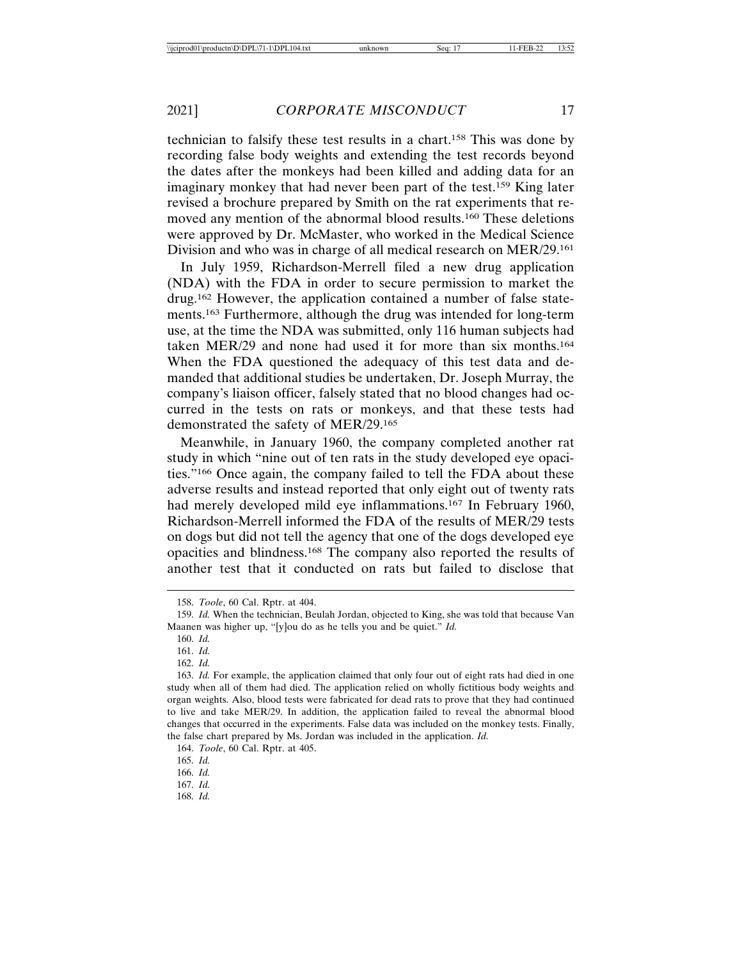technician to falsify these test results in a chart.158 This was done by recording false body weights and extending the test records beyond the dates after the monkeys had been killed and adding data for an imaginary monkey that had never been part of the test.159 King later revised a brochure prepared by Smith on the rat experiments that removed any mention of the abnormal blood results.160 These deletions were approved by Dr. McMaster, who worked in the Medical Science Division and who was in charge of all medical research on MER/29.161

In July 1959, Richardson-Merrell filed a new drug application (NDA) with the FDA in order to secure permission to market the drug.162 However, the application contained a number of false statements.163 Furthermore, although the drug was intended for long-term use, at the time the NDA was submitted, only 116 human subjects had taken MER/29 and none had used it for more than six months.164 When the FDA questioned the adequacy of this test data and demanded that additional studies be undertaken, Dr. Joseph Murray, the company's liaison officer, falsely stated that no blood changes had occurred in the tests on rats or monkeys, and that these tests had demonstrated the safety of MER/29.165

Meanwhile, in January 1960, the company completed another rat study in which "nine out of ten rats in the study developed eye opacities."166 Once again, the company failed to tell the FDA about these adverse results and instead reported that only eight out of twenty rats had merely developed mild eye inflammations.167 In February 1960, Richardson-Merrell informed the FDA of the results of MER/29 tests on dogs but did not tell the agency that one of the dogs developed eye opacities and blindness.168 The company also reported the results of another test that it conducted on rats but failed to disclose that

167. *Id.*

<sup>158.</sup> *Toole*, 60 Cal. Rptr. at 404.

<sup>159.</sup> *Id.* When the technician, Beulah Jordan, objected to King, she was told that because Van Maanen was higher up, "[y]ou do as he tells you and be quiet." *Id.*

<sup>160.</sup> *Id.*

<sup>161.</sup> *Id.*

<sup>162.</sup> *Id.*

<sup>163.</sup> *Id.* For example, the application claimed that only four out of eight rats had died in one study when all of them had died. The application relied on wholly fictitious body weights and organ weights. Also, blood tests were fabricated for dead rats to prove that they had continued to live and take MER/29. In addition, the application failed to reveal the abnormal blood changes that occurred in the experiments. False data was included on the monkey tests. Finally, the false chart prepared by Ms. Jordan was included in the application. *Id.*

<sup>164.</sup> *Toole*, 60 Cal. Rptr. at 405.

<sup>165.</sup> *Id.*

<sup>166.</sup> *Id.*

<sup>168.</sup> *Id.*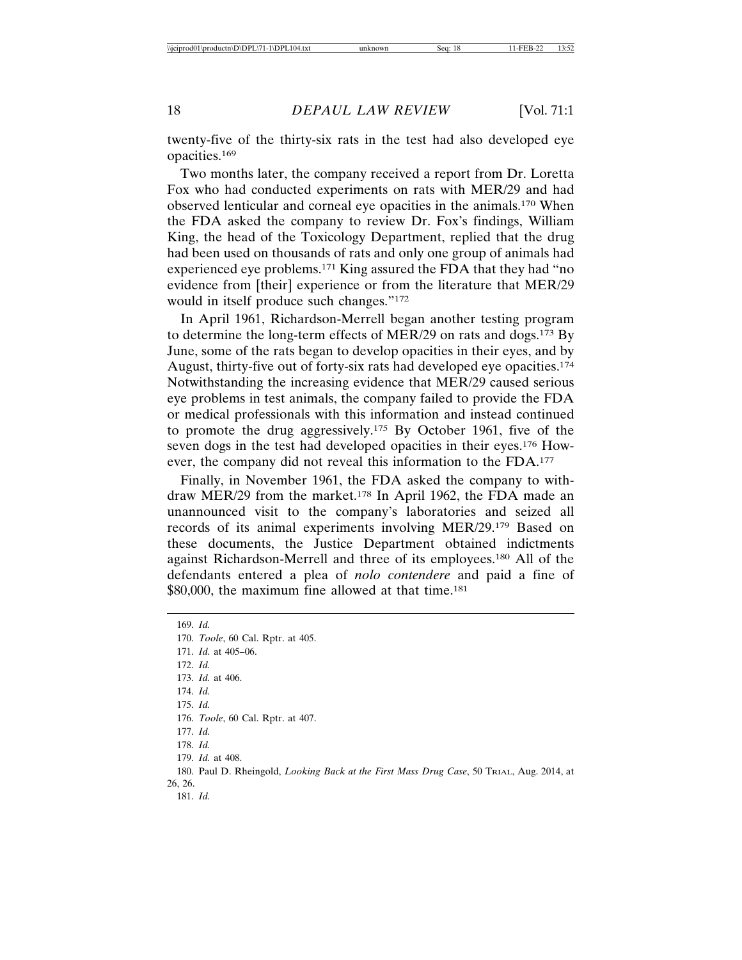twenty-five of the thirty-six rats in the test had also developed eye opacities.169

Two months later, the company received a report from Dr. Loretta Fox who had conducted experiments on rats with MER/29 and had observed lenticular and corneal eye opacities in the animals.170 When the FDA asked the company to review Dr. Fox's findings, William King, the head of the Toxicology Department, replied that the drug had been used on thousands of rats and only one group of animals had experienced eye problems.171 King assured the FDA that they had "no evidence from [their] experience or from the literature that MER/29 would in itself produce such changes."172

In April 1961, Richardson-Merrell began another testing program to determine the long-term effects of MER/29 on rats and dogs.173 By June, some of the rats began to develop opacities in their eyes, and by August, thirty-five out of forty-six rats had developed eye opacities.174 Notwithstanding the increasing evidence that MER/29 caused serious eye problems in test animals, the company failed to provide the FDA or medical professionals with this information and instead continued to promote the drug aggressively.175 By October 1961, five of the seven dogs in the test had developed opacities in their eyes.176 However, the company did not reveal this information to the FDA.177

Finally, in November 1961, the FDA asked the company to withdraw MER/29 from the market.178 In April 1962, the FDA made an unannounced visit to the company's laboratories and seized all records of its animal experiments involving MER/29.179 Based on these documents, the Justice Department obtained indictments against Richardson-Merrell and three of its employees.180 All of the defendants entered a plea of *nolo contendere* and paid a fine of \$80,000, the maximum fine allowed at that time.<sup>181</sup>

169. *Id.* 170. *Toole*, 60 Cal. Rptr. at 405. 171. *Id.* at 405–06. 172. *Id.* 173. *Id.* at 406. 174. *Id.* 175. *Id.* 176. *Toole*, 60 Cal. Rptr. at 407. 177. *Id.* 178. *Id.* 179. *Id.* at 408. 180. Paul D. Rheingold, *Looking Back at the First Mass Drug Case*, 50 TRIAL, Aug. 2014, at 26, 26. 181. *Id.*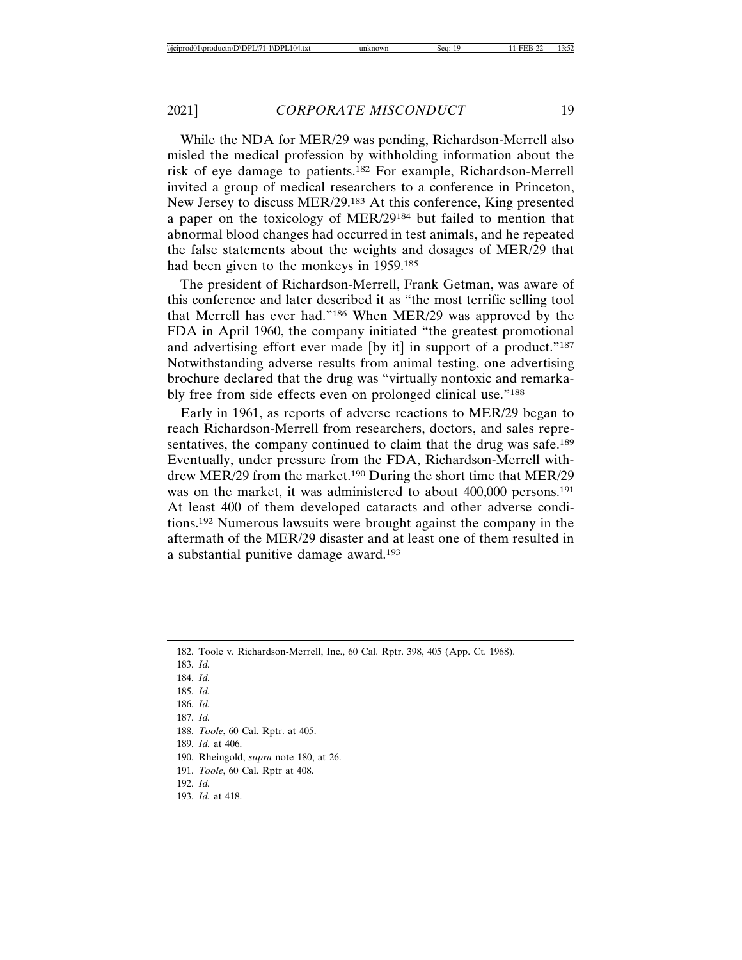While the NDA for MER/29 was pending, Richardson-Merrell also misled the medical profession by withholding information about the risk of eye damage to patients.182 For example, Richardson-Merrell invited a group of medical researchers to a conference in Princeton, New Jersey to discuss MER/29.183 At this conference, King presented a paper on the toxicology of MER/29184 but failed to mention that abnormal blood changes had occurred in test animals, and he repeated the false statements about the weights and dosages of MER/29 that had been given to the monkeys in 1959.<sup>185</sup>

The president of Richardson-Merrell, Frank Getman, was aware of this conference and later described it as "the most terrific selling tool that Merrell has ever had."186 When MER/29 was approved by the FDA in April 1960, the company initiated "the greatest promotional and advertising effort ever made [by it] in support of a product."<sup>187</sup> Notwithstanding adverse results from animal testing, one advertising brochure declared that the drug was "virtually nontoxic and remarkably free from side effects even on prolonged clinical use."188

Early in 1961, as reports of adverse reactions to MER/29 began to reach Richardson-Merrell from researchers, doctors, and sales representatives, the company continued to claim that the drug was safe.<sup>189</sup> Eventually, under pressure from the FDA, Richardson-Merrell withdrew MER/29 from the market.<sup>190</sup> During the short time that MER/29 was on the market, it was administered to about 400,000 persons.191 At least 400 of them developed cataracts and other adverse conditions.192 Numerous lawsuits were brought against the company in the aftermath of the MER/29 disaster and at least one of them resulted in a substantial punitive damage award.193

- 183. *Id.*
- 184. *Id.*
- 185. *Id.*
- 186. *Id.*
- 187. *Id.*
- 188. *Toole*, 60 Cal. Rptr. at 405.
- 189. *Id.* at 406.
- 190. Rheingold, *supra* note 180, at 26.
- 191. *Toole*, 60 Cal. Rptr at 408.
- 192. *Id.*
- 193. *Id.* at 418.

<sup>182.</sup> Toole v. Richardson-Merrell, Inc., 60 Cal. Rptr. 398, 405 (App. Ct. 1968).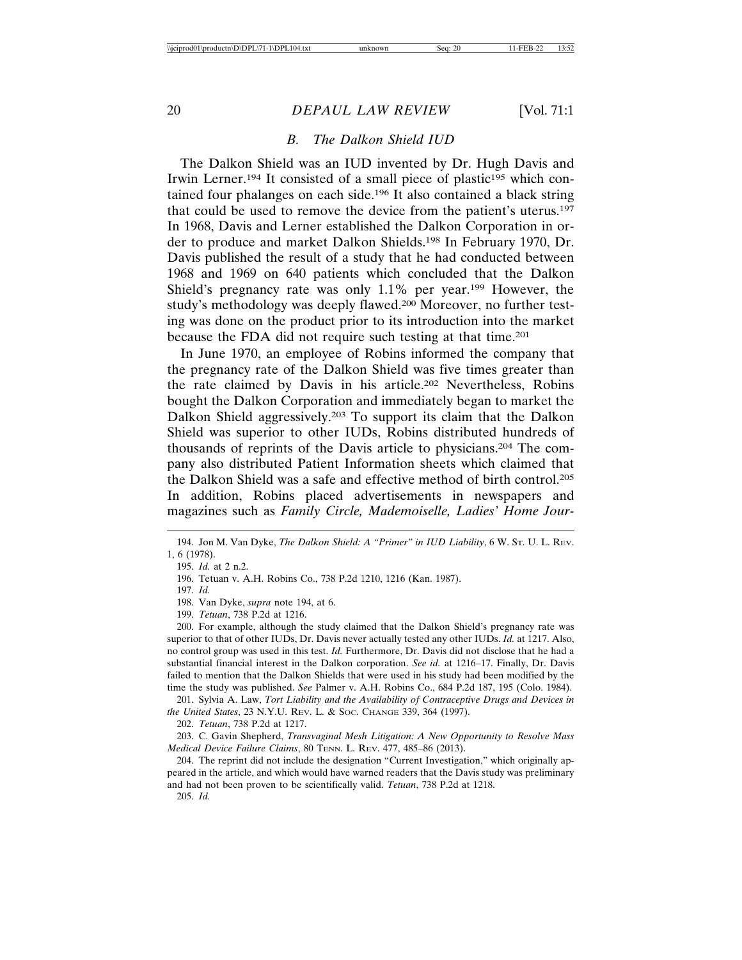## *B. The Dalkon Shield IUD*

The Dalkon Shield was an IUD invented by Dr. Hugh Davis and Irwin Lerner.<sup>194</sup> It consisted of a small piece of plastic<sup>195</sup> which contained four phalanges on each side.196 It also contained a black string that could be used to remove the device from the patient's uterus.197 In 1968, Davis and Lerner established the Dalkon Corporation in order to produce and market Dalkon Shields.198 In February 1970, Dr. Davis published the result of a study that he had conducted between 1968 and 1969 on 640 patients which concluded that the Dalkon Shield's pregnancy rate was only  $1.1\%$  per year.<sup>199</sup> However, the study's methodology was deeply flawed.200 Moreover, no further testing was done on the product prior to its introduction into the market because the FDA did not require such testing at that time.201

In June 1970, an employee of Robins informed the company that the pregnancy rate of the Dalkon Shield was five times greater than the rate claimed by Davis in his article.202 Nevertheless, Robins bought the Dalkon Corporation and immediately began to market the Dalkon Shield aggressively.203 To support its claim that the Dalkon Shield was superior to other IUDs, Robins distributed hundreds of thousands of reprints of the Davis article to physicians.204 The company also distributed Patient Information sheets which claimed that the Dalkon Shield was a safe and effective method of birth control.205 In addition, Robins placed advertisements in newspapers and magazines such as *Family Circle, Mademoiselle, Ladies' Home Jour-*

200. For example, although the study claimed that the Dalkon Shield's pregnancy rate was superior to that of other IUDs, Dr. Davis never actually tested any other IUDs. *Id.* at 1217. Also, no control group was used in this test. *Id.* Furthermore, Dr. Davis did not disclose that he had a substantial financial interest in the Dalkon corporation. *See id.* at 1216–17. Finally, Dr. Davis failed to mention that the Dalkon Shields that were used in his study had been modified by the time the study was published. *See* Palmer v. A.H. Robins Co., 684 P.2d 187, 195 (Colo. 1984).

201. Sylvia A. Law, *Tort Liability and the Availability of Contraceptive Drugs and Devices in the United States*, 23 N.Y.U. REV. L. & SOC. CHANGE 339, 364 (1997).

202. *Tetuan*, 738 P.2d at 1217.

203. C. Gavin Shepherd, *Transvaginal Mesh Litigation: A New Opportunity to Resolve Mass Medical Device Failure Claims*, 80 TENN. L. REV. 477, 485–86 (2013).

204. The reprint did not include the designation "Current Investigation," which originally appeared in the article, and which would have warned readers that the Davis study was preliminary and had not been proven to be scientifically valid. *Tetuan*, 738 P.2d at 1218.

205. *Id.*

<sup>194.</sup> Jon M. Van Dyke, *The Dalkon Shield: A "Primer" in IUD Liability*, 6 W. ST. U. L. REV. 1, 6 (1978).

<sup>195.</sup> *Id.* at 2 n.2.

<sup>196.</sup> Tetuan v. A.H. Robins Co., 738 P.2d 1210, 1216 (Kan. 1987).

<sup>197.</sup> *Id.*

<sup>198.</sup> Van Dyke, *supra* note 194, at 6.

<sup>199.</sup> *Tetuan*, 738 P.2d at 1216.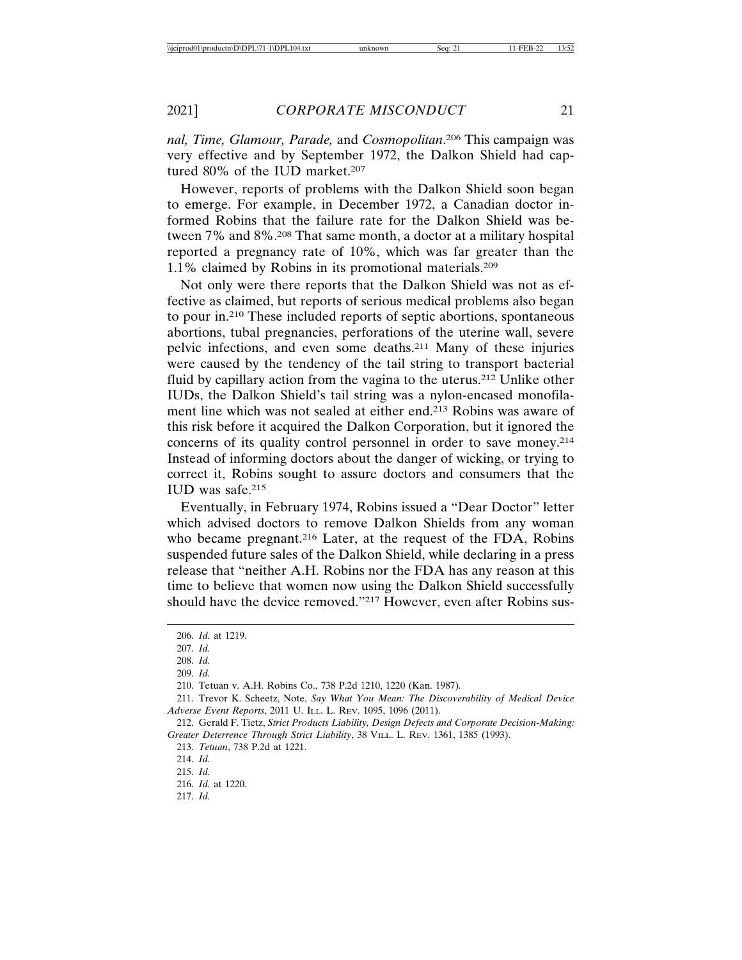*nal, Time, Glamour, Parade,* and *Cosmopolitan*. 206 This campaign was very effective and by September 1972, the Dalkon Shield had captured 80% of the IUD market.<sup>207</sup>

However, reports of problems with the Dalkon Shield soon began to emerge. For example, in December 1972, a Canadian doctor informed Robins that the failure rate for the Dalkon Shield was between 7% and 8%.208 That same month, a doctor at a military hospital reported a pregnancy rate of 10%, which was far greater than the 1.1% claimed by Robins in its promotional materials.209

Not only were there reports that the Dalkon Shield was not as effective as claimed, but reports of serious medical problems also began to pour in.210 These included reports of septic abortions, spontaneous abortions, tubal pregnancies, perforations of the uterine wall, severe pelvic infections, and even some deaths.211 Many of these injuries were caused by the tendency of the tail string to transport bacterial fluid by capillary action from the vagina to the uterus.212 Unlike other IUDs, the Dalkon Shield's tail string was a nylon-encased monofilament line which was not sealed at either end.213 Robins was aware of this risk before it acquired the Dalkon Corporation, but it ignored the concerns of its quality control personnel in order to save money.214 Instead of informing doctors about the danger of wicking, or trying to correct it, Robins sought to assure doctors and consumers that the IUD was safe.215

Eventually, in February 1974, Robins issued a "Dear Doctor" letter which advised doctors to remove Dalkon Shields from any woman who became pregnant.<sup>216</sup> Later, at the request of the FDA, Robins suspended future sales of the Dalkon Shield, while declaring in a press release that "neither A.H. Robins nor the FDA has any reason at this time to believe that women now using the Dalkon Shield successfully should have the device removed."217 However, even after Robins sus-

<sup>206.</sup> *Id.* at 1219.

<sup>207.</sup> *Id.*

<sup>208.</sup> *Id.*

<sup>209.</sup> *Id.*

<sup>210.</sup> Tetuan v. A.H. Robins Co., 738 P.2d 1210, 1220 (Kan. 1987)*.*

<sup>211.</sup> Trevor K. Scheetz, Note, *Say What You Mean: The Discoverability of Medical Device Adverse Event Reports*, 2011 U. ILL. L. REV. 1095, 1096 (2011).

<sup>212.</sup> Gerald F. Tietz, *Strict Products Liability, Design Defects and Corporate Decision-Making: Greater Deterrence Through Strict Liability*, 38 VILL. L. REV. 1361, 1385 (1993).

<sup>213.</sup> *Tetuan*, 738 P.2d at 1221.

<sup>214.</sup> *Id.*

<sup>215.</sup> *Id.*

<sup>216.</sup> *Id.* at 1220.

<sup>217.</sup> *Id.*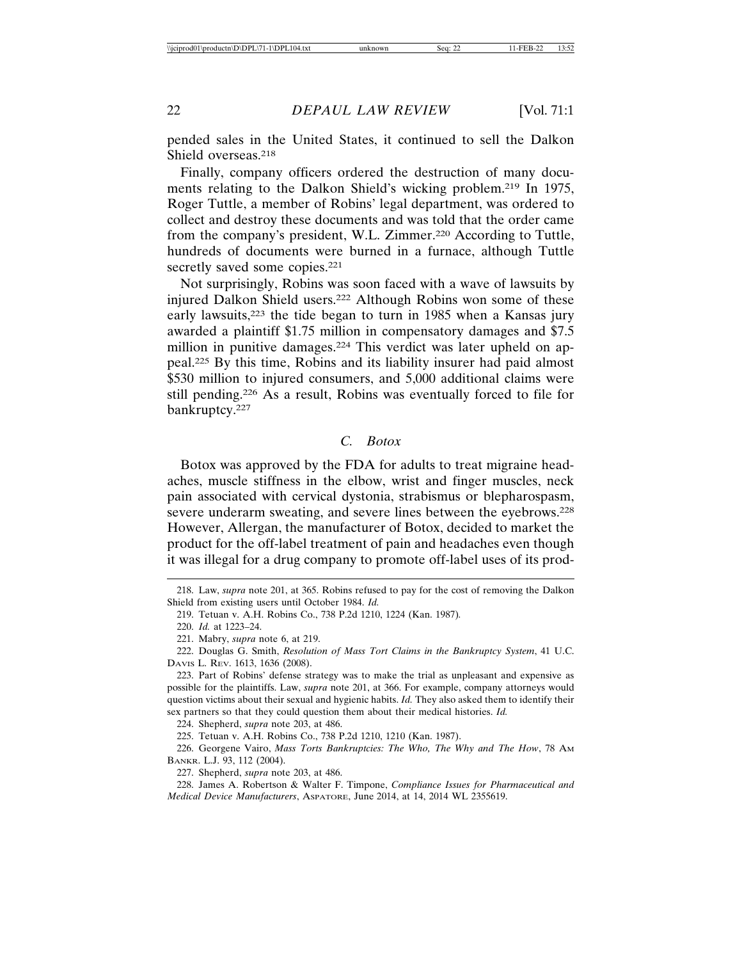pended sales in the United States, it continued to sell the Dalkon Shield overseas.218

Finally, company officers ordered the destruction of many documents relating to the Dalkon Shield's wicking problem.219 In 1975, Roger Tuttle, a member of Robins' legal department, was ordered to collect and destroy these documents and was told that the order came from the company's president, W.L. Zimmer.220 According to Tuttle, hundreds of documents were burned in a furnace, although Tuttle secretly saved some copies.<sup>221</sup>

Not surprisingly, Robins was soon faced with a wave of lawsuits by injured Dalkon Shield users.222 Although Robins won some of these early lawsuits,223 the tide began to turn in 1985 when a Kansas jury awarded a plaintiff \$1.75 million in compensatory damages and \$7.5 million in punitive damages.224 This verdict was later upheld on appeal.225 By this time, Robins and its liability insurer had paid almost \$530 million to injured consumers, and 5,000 additional claims were still pending.226 As a result, Robins was eventually forced to file for bankruptcy.227

#### *C. Botox*

Botox was approved by the FDA for adults to treat migraine headaches, muscle stiffness in the elbow, wrist and finger muscles, neck pain associated with cervical dystonia, strabismus or blepharospasm, severe underarm sweating, and severe lines between the eyebrows.228 However, Allergan, the manufacturer of Botox, decided to market the product for the off-label treatment of pain and headaches even though it was illegal for a drug company to promote off-label uses of its prod-

224. Shepherd, *supra* note 203, at 486.

225. Tetuan v. A.H. Robins Co., 738 P.2d 1210, 1210 (Kan. 1987).

226. Georgene Vairo, *Mass Torts Bankruptcies: The Who, The Why and The How*, 78 AM BANKR. L.J. 93, 112 (2004).

227. Shepherd, *supra* note 203, at 486.

228. James A. Robertson & Walter F. Timpone, *Compliance Issues for Pharmaceutical and Medical Device Manufacturers*, ASPATORE, June 2014, at 14, 2014 WL 2355619.

<sup>218.</sup> Law, *supra* note 201, at 365. Robins refused to pay for the cost of removing the Dalkon Shield from existing users until October 1984. *Id.*

<sup>219.</sup> Tetuan v. A.H. Robins Co., 738 P.2d 1210, 1224 (Kan. 1987)*.*

<sup>220.</sup> *Id.* at 1223–24.

<sup>221.</sup> Mabry, *supra* note 6, at 219.

<sup>222.</sup> Douglas G. Smith, *Resolution of Mass Tort Claims in the Bankruptcy System*, 41 U.C. DAVIS L. REV. 1613, 1636 (2008).

<sup>223.</sup> Part of Robins' defense strategy was to make the trial as unpleasant and expensive as possible for the plaintiffs. Law, *supra* note 201, at 366. For example, company attorneys would question victims about their sexual and hygienic habits. *Id.* They also asked them to identify their sex partners so that they could question them about their medical histories. *Id.*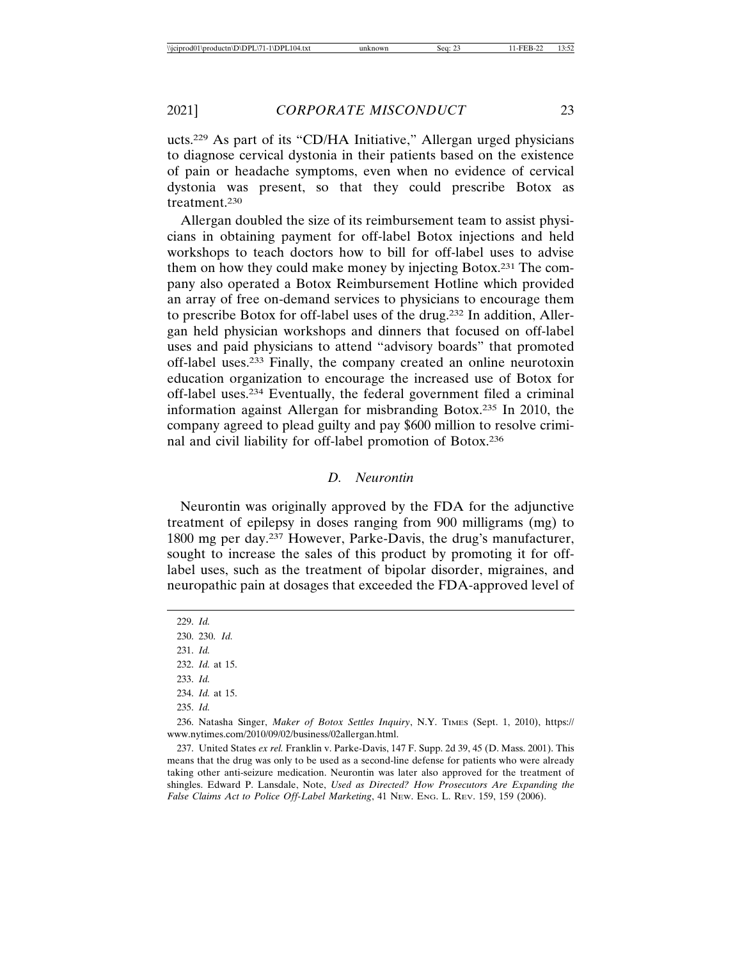ucts.229 As part of its "CD/HA Initiative," Allergan urged physicians to diagnose cervical dystonia in their patients based on the existence of pain or headache symptoms, even when no evidence of cervical dystonia was present, so that they could prescribe Botox as treatment.230

Allergan doubled the size of its reimbursement team to assist physicians in obtaining payment for off-label Botox injections and held workshops to teach doctors how to bill for off-label uses to advise them on how they could make money by injecting Botox.231 The company also operated a Botox Reimbursement Hotline which provided an array of free on-demand services to physicians to encourage them to prescribe Botox for off-label uses of the drug.232 In addition, Allergan held physician workshops and dinners that focused on off-label uses and paid physicians to attend "advisory boards" that promoted off-label uses.233 Finally, the company created an online neurotoxin education organization to encourage the increased use of Botox for off-label uses.234 Eventually, the federal government filed a criminal information against Allergan for misbranding Botox.235 In 2010, the company agreed to plead guilty and pay \$600 million to resolve criminal and civil liability for off-label promotion of Botox.236

## *D. Neurontin*

Neurontin was originally approved by the FDA for the adjunctive treatment of epilepsy in doses ranging from 900 milligrams (mg) to 1800 mg per day.237 However, Parke-Davis, the drug's manufacturer, sought to increase the sales of this product by promoting it for offlabel uses, such as the treatment of bipolar disorder, migraines, and neuropathic pain at dosages that exceeded the FDA-approved level of

229. *Id.* 230. 230. *Id.* 231. *Id.* 232. *Id.* at 15. 233. *Id.* 234. *Id.* at 15. 235. *Id.*

236. Natasha Singer, *Maker of Botox Settles Inquiry*, N.Y. TIMES (Sept. 1, 2010), https:// www.nytimes.com/2010/09/02/business/02allergan.html.

237. United States *ex rel.* Franklin v. Parke-Davis, 147 F. Supp. 2d 39, 45 (D. Mass. 2001). This means that the drug was only to be used as a second-line defense for patients who were already taking other anti-seizure medication. Neurontin was later also approved for the treatment of shingles. Edward P. Lansdale, Note, *Used as Directed? How Prosecutors Are Expanding the False Claims Act to Police Off-Label Marketing*, 41 NEW. ENG. L. REV. 159, 159 (2006).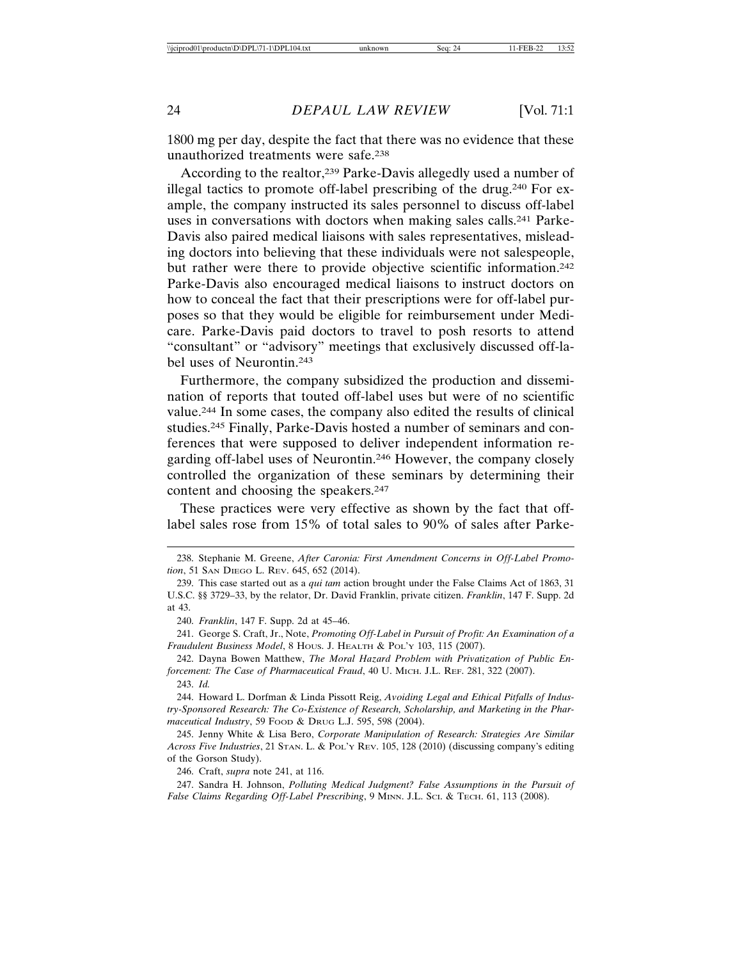1800 mg per day, despite the fact that there was no evidence that these unauthorized treatments were safe.238

According to the realtor,<sup>239</sup> Parke-Davis allegedly used a number of illegal tactics to promote off-label prescribing of the drug.240 For example, the company instructed its sales personnel to discuss off-label uses in conversations with doctors when making sales calls.241 Parke-Davis also paired medical liaisons with sales representatives, misleading doctors into believing that these individuals were not salespeople, but rather were there to provide objective scientific information.<sup>242</sup> Parke-Davis also encouraged medical liaisons to instruct doctors on how to conceal the fact that their prescriptions were for off-label purposes so that they would be eligible for reimbursement under Medicare. Parke-Davis paid doctors to travel to posh resorts to attend "consultant" or "advisory" meetings that exclusively discussed off-label uses of Neurontin.243

Furthermore, the company subsidized the production and dissemination of reports that touted off-label uses but were of no scientific value.244 In some cases, the company also edited the results of clinical studies.245 Finally, Parke-Davis hosted a number of seminars and conferences that were supposed to deliver independent information regarding off-label uses of Neurontin.246 However, the company closely controlled the organization of these seminars by determining their content and choosing the speakers.247

These practices were very effective as shown by the fact that offlabel sales rose from 15% of total sales to 90% of sales after Parke-

240. *Franklin*, 147 F. Supp. 2d at 45–46.

241. George S. Craft, Jr., Note, *Promoting Off-Label in Pursuit of Profit: An Examination of a Fraudulent Business Model*, 8 HOUS. J. HEALTH & POL'Y 103, 115 (2007).

242. Dayna Bowen Matthew, *The Moral Hazard Problem with Privatization of Public Enforcement: The Case of Pharmaceutical Fraud*, 40 U. MICH. J.L. REF. 281, 322 (2007). 243. *Id.*

244. Howard L. Dorfman & Linda Pissott Reig, *Avoiding Legal and Ethical Pitfalls of Industry-Sponsored Research: The Co-Existence of Research, Scholarship, and Marketing in the Pharmaceutical Industry*, 59 FOOD & DRUG L.J. 595, 598 (2004).

245. Jenny White & Lisa Bero, *Corporate Manipulation of Research: Strategies Are Similar Across Five Industries*, 21 STAN. L. & POL'Y REV. 105, 128 (2010) (discussing company's editing of the Gorson Study).

246. Craft, *supra* note 241, at 116.

247. Sandra H. Johnson, *Polluting Medical Judgment? False Assumptions in the Pursuit of* False Claims Regarding Off-Label Prescribing, 9 MINN. J.L. SCI. & TECH. 61, 113 (2008).

<sup>238.</sup> Stephanie M. Greene, *After Caronia: First Amendment Concerns in Off-Label Promotion*, 51 SAN DIEGO L. REV. 645, 652 (2014).

<sup>239.</sup> This case started out as a *qui tam* action brought under the False Claims Act of 1863, 31 U.S.C. §§ 3729–33, by the relator, Dr. David Franklin, private citizen. *Franklin*, 147 F. Supp. 2d at 43.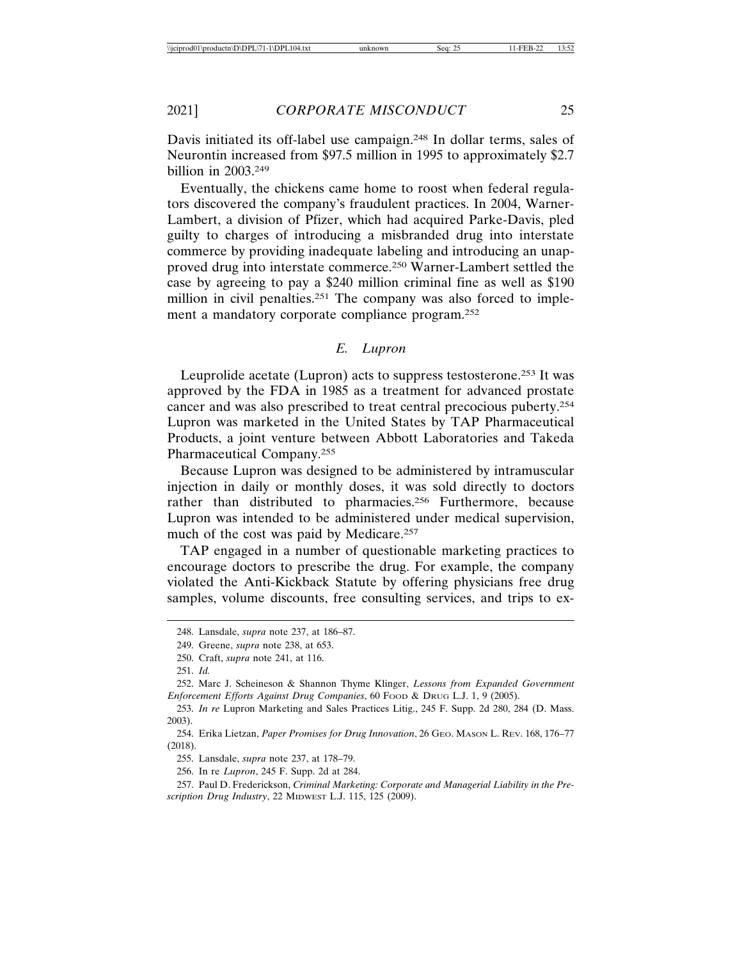Davis initiated its off-label use campaign.<sup>248</sup> In dollar terms, sales of Neurontin increased from \$97.5 million in 1995 to approximately \$2.7 billion in 2003.249

Eventually, the chickens came home to roost when federal regulators discovered the company's fraudulent practices. In 2004, Warner-Lambert, a division of Pfizer, which had acquired Parke-Davis, pled guilty to charges of introducing a misbranded drug into interstate commerce by providing inadequate labeling and introducing an unapproved drug into interstate commerce.250 Warner-Lambert settled the case by agreeing to pay a \$240 million criminal fine as well as \$190 million in civil penalties.<sup>251</sup> The company was also forced to implement a mandatory corporate compliance program.252

## *E. Lupron*

Leuprolide acetate (Lupron) acts to suppress testosterone.253 It was approved by the FDA in 1985 as a treatment for advanced prostate cancer and was also prescribed to treat central precocious puberty.254 Lupron was marketed in the United States by TAP Pharmaceutical Products, a joint venture between Abbott Laboratories and Takeda Pharmaceutical Company.255

Because Lupron was designed to be administered by intramuscular injection in daily or monthly doses, it was sold directly to doctors rather than distributed to pharmacies.<sup>256</sup> Furthermore, because Lupron was intended to be administered under medical supervision, much of the cost was paid by Medicare.<sup>257</sup>

TAP engaged in a number of questionable marketing practices to encourage doctors to prescribe the drug. For example, the company violated the Anti-Kickback Statute by offering physicians free drug samples, volume discounts, free consulting services, and trips to ex-

<sup>248.</sup> Lansdale, *supra* note 237, at 186–87.

<sup>249.</sup> Greene, *supra* note 238, at 653.

<sup>250.</sup> Craft, *supra* note 241, at 116.

<sup>251.</sup> *Id.*

<sup>252.</sup> Marc J. Scheineson & Shannon Thyme Klinger, *Lessons from Expanded Government Enforcement Efforts Against Drug Companies*, 60 FOOD & DRUG L.J. 1, 9 (2005).

<sup>253.</sup> *In re* Lupron Marketing and Sales Practices Litig., 245 F. Supp. 2d 280, 284 (D. Mass. 2003).

<sup>254.</sup> Erika Lietzan, *Paper Promises for Drug Innovation*, 26 GEO. MASON L. REV. 168, 176–77 (2018).

<sup>255.</sup> Lansdale, *supra* note 237, at 178–79.

<sup>256.</sup> In re *Lupron*, 245 F. Supp. 2d at 284.

<sup>257.</sup> Paul D. Frederickson, *Criminal Marketing: Corporate and Managerial Liability in the Prescription Drug Industry*, 22 MIDWEST L.J. 115, 125 (2009).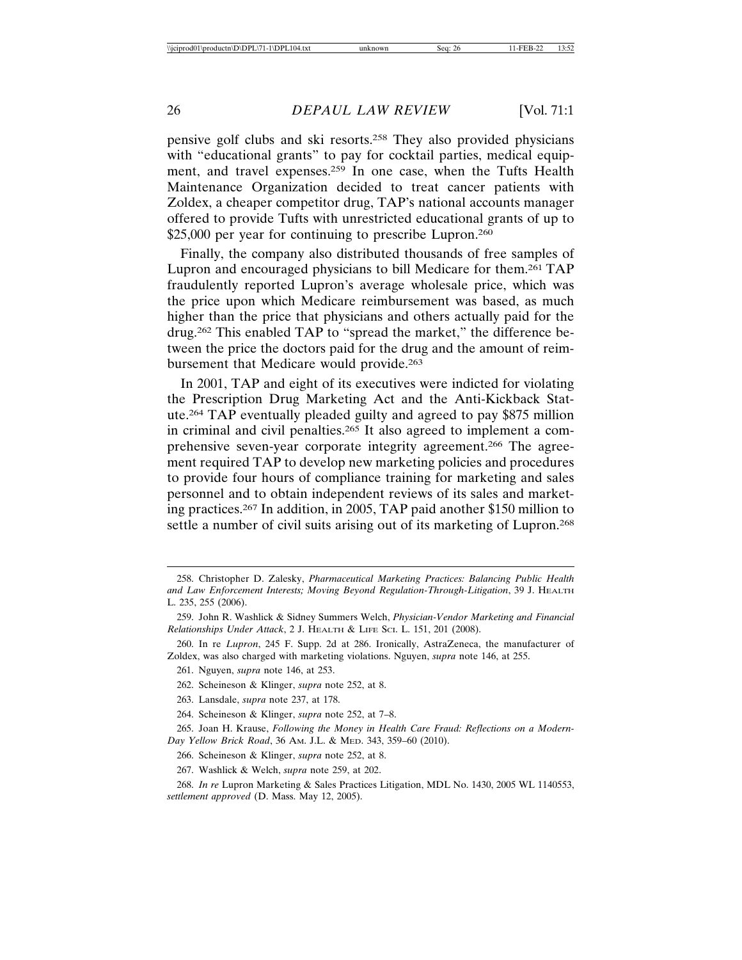pensive golf clubs and ski resorts.258 They also provided physicians with "educational grants" to pay for cocktail parties, medical equipment, and travel expenses.259 In one case, when the Tufts Health Maintenance Organization decided to treat cancer patients with Zoldex, a cheaper competitor drug, TAP's national accounts manager offered to provide Tufts with unrestricted educational grants of up to \$25,000 per year for continuing to prescribe Lupron.<sup>260</sup>

Finally, the company also distributed thousands of free samples of Lupron and encouraged physicians to bill Medicare for them.261 TAP fraudulently reported Lupron's average wholesale price, which was the price upon which Medicare reimbursement was based, as much higher than the price that physicians and others actually paid for the drug.262 This enabled TAP to "spread the market," the difference between the price the doctors paid for the drug and the amount of reimbursement that Medicare would provide.<sup>263</sup>

In 2001, TAP and eight of its executives were indicted for violating the Prescription Drug Marketing Act and the Anti-Kickback Statute.264 TAP eventually pleaded guilty and agreed to pay \$875 million in criminal and civil penalties.265 It also agreed to implement a comprehensive seven-year corporate integrity agreement.266 The agreement required TAP to develop new marketing policies and procedures to provide four hours of compliance training for marketing and sales personnel and to obtain independent reviews of its sales and marketing practices.267 In addition, in 2005, TAP paid another \$150 million to settle a number of civil suits arising out of its marketing of Lupron.<sup>268</sup>

- 262. Scheineson & Klinger, *supra* note 252, at 8.
- 263. Lansdale, *supra* note 237, at 178.
- 264. Scheineson & Klinger, *supra* note 252, at 7–8.

265. Joan H. Krause, *Following the Money in Health Care Fraud: Reflections on a Modern-Day Yellow Brick Road*, 36 AM. J.L. & MED. 343, 359–60 (2010).

266. Scheineson & Klinger, *supra* note 252, at 8.

267. Washlick & Welch, *supra* note 259, at 202.

268. *In re* Lupron Marketing & Sales Practices Litigation, MDL No. 1430, 2005 WL 1140553, *settlement approved* (D. Mass. May 12, 2005).

<sup>258.</sup> Christopher D. Zalesky, *Pharmaceutical Marketing Practices: Balancing Public Health and Law Enforcement Interests; Moving Beyond Regulation-Through-Litigation*, 39 J. HEALTH L. 235, 255 (2006).

<sup>259.</sup> John R. Washlick & Sidney Summers Welch, *Physician-Vendor Marketing and Financial Relationships Under Attack*, 2 J. HEALTH & LIFE SCI. L. 151, 201 (2008).

<sup>260.</sup> In re *Lupron*, 245 F. Supp. 2d at 286. Ironically, AstraZeneca, the manufacturer of Zoldex, was also charged with marketing violations. Nguyen, *supra* note 146, at 255.

<sup>261.</sup> Nguyen, *supra* note 146, at 253.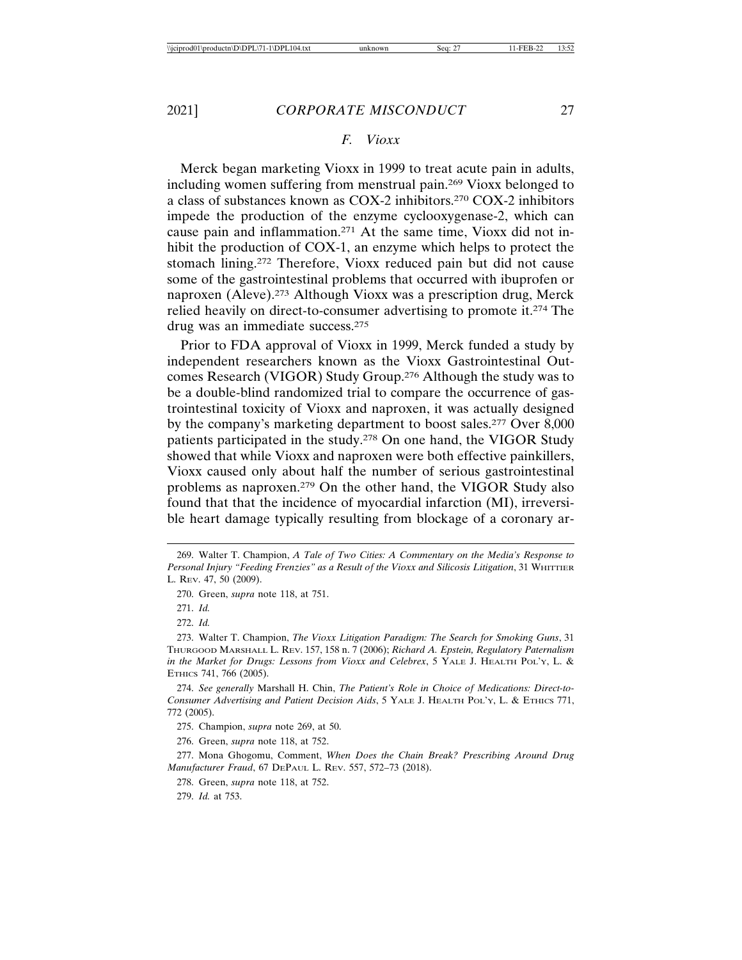## *F. Vioxx*

Merck began marketing Vioxx in 1999 to treat acute pain in adults, including women suffering from menstrual pain.269 Vioxx belonged to a class of substances known as COX-2 inhibitors.270 COX-2 inhibitors impede the production of the enzyme cyclooxygenase-2, which can cause pain and inflammation.271 At the same time, Vioxx did not inhibit the production of COX-1, an enzyme which helps to protect the stomach lining.272 Therefore, Vioxx reduced pain but did not cause some of the gastrointestinal problems that occurred with ibuprofen or naproxen (Aleve).273 Although Vioxx was a prescription drug, Merck relied heavily on direct-to-consumer advertising to promote it.274 The drug was an immediate success.275

Prior to FDA approval of Vioxx in 1999, Merck funded a study by independent researchers known as the Vioxx Gastrointestinal Outcomes Research (VIGOR) Study Group.276 Although the study was to be a double-blind randomized trial to compare the occurrence of gastrointestinal toxicity of Vioxx and naproxen, it was actually designed by the company's marketing department to boost sales.277 Over 8,000 patients participated in the study.278 On one hand, the VIGOR Study showed that while Vioxx and naproxen were both effective painkillers, Vioxx caused only about half the number of serious gastrointestinal problems as naproxen.279 On the other hand, the VIGOR Study also found that that the incidence of myocardial infarction (MI), irreversible heart damage typically resulting from blockage of a coronary ar-

270. Green, *supra* note 118, at 751.

271. *Id.*

272. *Id.*

274. *See generally* Marshall H. Chin, *The Patient's Role in Choice of Medications: Direct-to-Consumer Advertising and Patient Decision Aids*, 5 YALE J. HEALTH POL'Y, L. & ETHICS 771, 772 (2005).

275. Champion, *supra* note 269, at 50.

276. Green, *supra* note 118, at 752.

277. Mona Ghogomu, Comment, *When Does the Chain Break? Prescribing Around Drug Manufacturer Fraud*, 67 DEPAUL L. REV. 557, 572–73 (2018).

278. Green, *supra* note 118, at 752.

279. *Id.* at 753.

<sup>269.</sup> Walter T. Champion, *A Tale of Two Cities: A Commentary on the Media's Response to Personal Injury "Feeding Frenzies" as a Result of the Vioxx and Silicosis Litigation*, 31 WHITTIER L. REV. 47, 50 (2009).

<sup>273.</sup> Walter T. Champion, *The Vioxx Litigation Paradigm: The Search for Smoking Guns*, 31 THURGOOD MARSHALL L. REV. 157, 158 n. 7 (2006); *Richard A. Epstein, Regulatory Paternalism in the Market for Drugs: Lessons from Vioxx and Celebrex*, 5 YALE J. HEALTH POL'Y, L. & ETHICS 741, 766 (2005).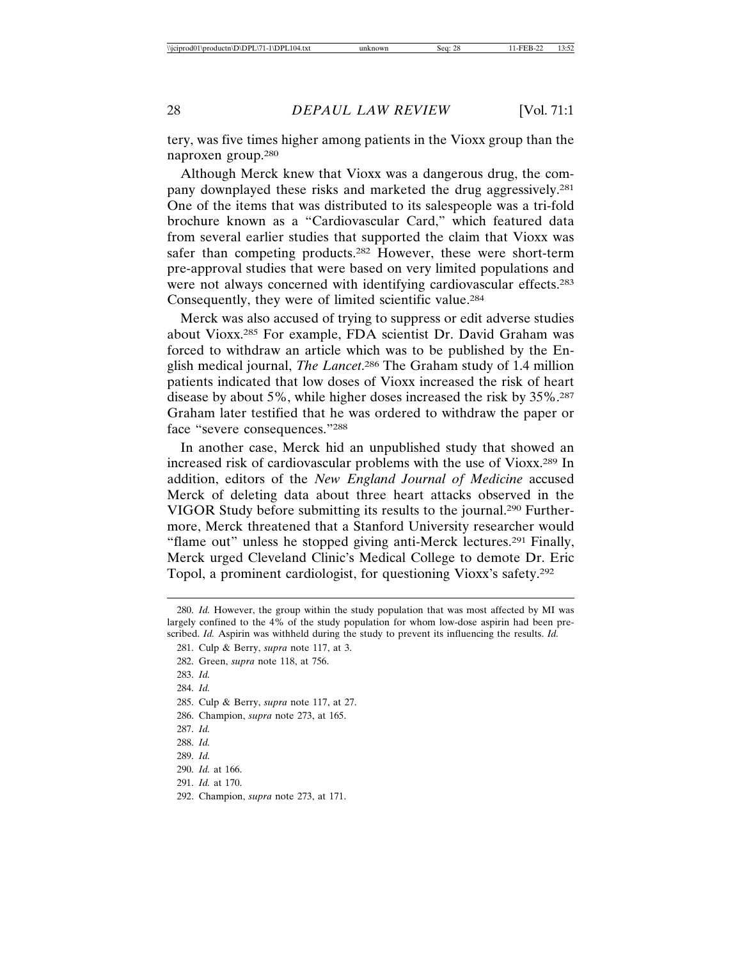tery, was five times higher among patients in the Vioxx group than the naproxen group.280

Although Merck knew that Vioxx was a dangerous drug, the company downplayed these risks and marketed the drug aggressively.281 One of the items that was distributed to its salespeople was a tri-fold brochure known as a "Cardiovascular Card," which featured data from several earlier studies that supported the claim that Vioxx was safer than competing products.282 However, these were short-term pre-approval studies that were based on very limited populations and were not always concerned with identifying cardiovascular effects.283 Consequently, they were of limited scientific value.284

Merck was also accused of trying to suppress or edit adverse studies about Vioxx.285 For example, FDA scientist Dr. David Graham was forced to withdraw an article which was to be published by the English medical journal, *The Lancet*. 286 The Graham study of 1.4 million patients indicated that low doses of Vioxx increased the risk of heart disease by about 5%, while higher doses increased the risk by 35%.287 Graham later testified that he was ordered to withdraw the paper or face "severe consequences."288

In another case, Merck hid an unpublished study that showed an increased risk of cardiovascular problems with the use of Vioxx.289 In addition, editors of the *New England Journal of Medicine* accused Merck of deleting data about three heart attacks observed in the VIGOR Study before submitting its results to the journal.290 Furthermore, Merck threatened that a Stanford University researcher would "flame out" unless he stopped giving anti-Merck lectures.291 Finally, Merck urged Cleveland Clinic's Medical College to demote Dr. Eric Topol, a prominent cardiologist, for questioning Vioxx's safety.292

<sup>280.</sup> *Id.* However, the group within the study population that was most affected by MI was largely confined to the 4% of the study population for whom low-dose aspirin had been prescribed. *Id.* Aspirin was withheld during the study to prevent its influencing the results. *Id.*

<sup>281.</sup> Culp & Berry, *supra* note 117, at 3.

<sup>282.</sup> Green, *supra* note 118, at 756.

<sup>283.</sup> *Id.*

<sup>284.</sup> *Id.*

<sup>285.</sup> Culp & Berry, *supra* note 117, at 27.

<sup>286.</sup> Champion, *supra* note 273, at 165.

<sup>287.</sup> *Id.*

<sup>288.</sup> *Id.*

<sup>289.</sup> *Id.*

<sup>290.</sup> *Id.* at 166.

<sup>291.</sup> *Id.* at 170.

<sup>292.</sup> Champion, *supra* note 273, at 171.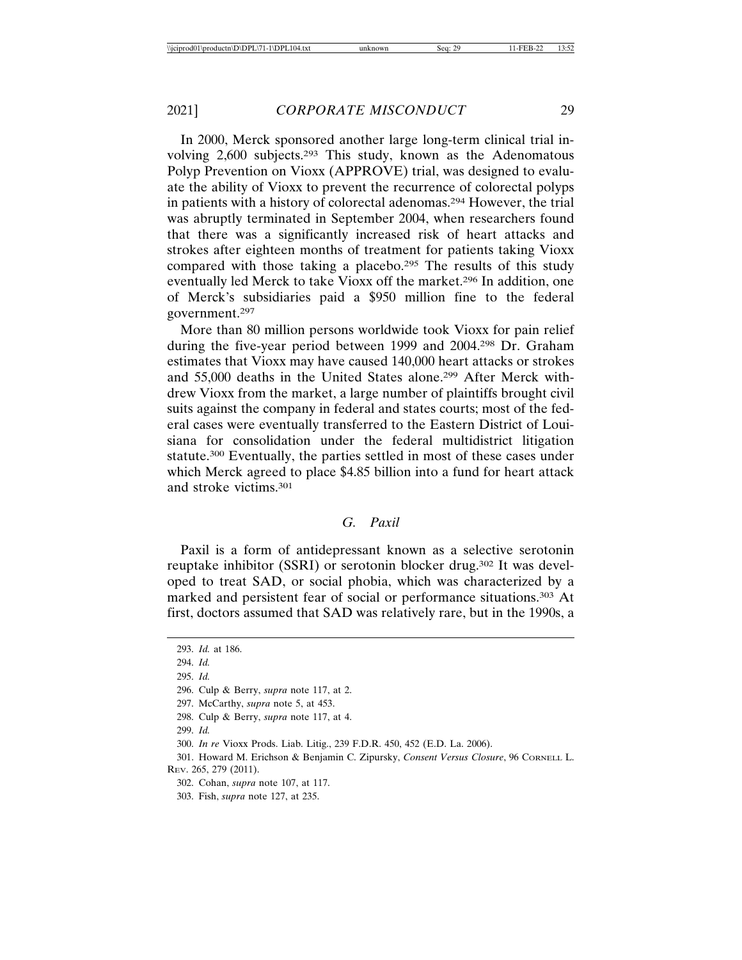In 2000, Merck sponsored another large long-term clinical trial involving 2,600 subjects.293 This study, known as the Adenomatous Polyp Prevention on Vioxx (APPROVE) trial, was designed to evaluate the ability of Vioxx to prevent the recurrence of colorectal polyps in patients with a history of colorectal adenomas.294 However, the trial was abruptly terminated in September 2004, when researchers found that there was a significantly increased risk of heart attacks and strokes after eighteen months of treatment for patients taking Vioxx compared with those taking a placebo.295 The results of this study eventually led Merck to take Vioxx off the market.296 In addition, one of Merck's subsidiaries paid a \$950 million fine to the federal government.297

More than 80 million persons worldwide took Vioxx for pain relief during the five-year period between 1999 and 2004.298 Dr. Graham estimates that Vioxx may have caused 140,000 heart attacks or strokes and 55,000 deaths in the United States alone.299 After Merck withdrew Vioxx from the market, a large number of plaintiffs brought civil suits against the company in federal and states courts; most of the federal cases were eventually transferred to the Eastern District of Louisiana for consolidation under the federal multidistrict litigation statute.300 Eventually, the parties settled in most of these cases under which Merck agreed to place \$4.85 billion into a fund for heart attack and stroke victims.301

#### *G. Paxil*

Paxil is a form of antidepressant known as a selective serotonin reuptake inhibitor (SSRI) or serotonin blocker drug.302 It was developed to treat SAD, or social phobia, which was characterized by a marked and persistent fear of social or performance situations.303 At first, doctors assumed that SAD was relatively rare, but in the 1990s, a

295. *Id.*

- 297. McCarthy, *supra* note 5, at 453.
- 298. Culp & Berry, *supra* note 117, at 4.
- 299. *Id.*

<sup>293.</sup> *Id.* at 186.

<sup>294.</sup> *Id.*

<sup>296.</sup> Culp & Berry, *supra* note 117, at 2.

<sup>300.</sup> *In re* Vioxx Prods. Liab. Litig., 239 F.D.R. 450, 452 (E.D. La. 2006).

<sup>301.</sup> Howard M. Erichson & Benjamin C. Zipursky, *Consent Versus Closure*, 96 CORNELL L. REV. 265, 279 (2011).

<sup>302.</sup> Cohan, *supra* note 107, at 117.

<sup>303.</sup> Fish, *supra* note 127, at 235.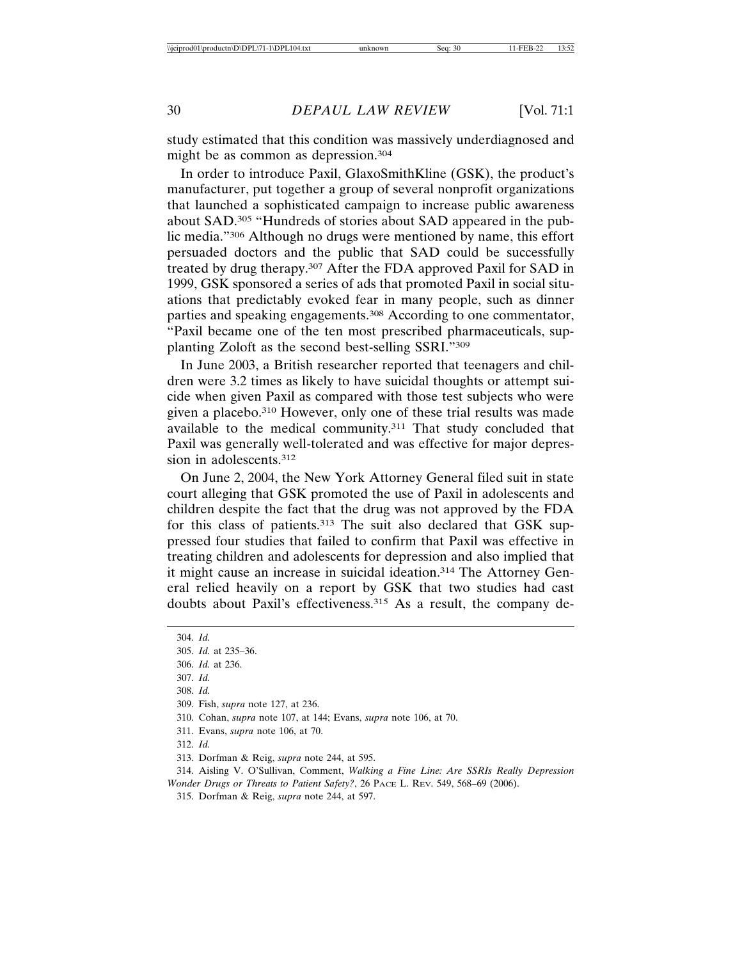study estimated that this condition was massively underdiagnosed and might be as common as depression.304

In order to introduce Paxil, GlaxoSmithKline (GSK), the product's manufacturer, put together a group of several nonprofit organizations that launched a sophisticated campaign to increase public awareness about SAD.305 "Hundreds of stories about SAD appeared in the public media."306 Although no drugs were mentioned by name, this effort persuaded doctors and the public that SAD could be successfully treated by drug therapy.307 After the FDA approved Paxil for SAD in 1999, GSK sponsored a series of ads that promoted Paxil in social situations that predictably evoked fear in many people, such as dinner parties and speaking engagements.308 According to one commentator, "Paxil became one of the ten most prescribed pharmaceuticals, supplanting Zoloft as the second best-selling SSRI."309

In June 2003, a British researcher reported that teenagers and children were 3.2 times as likely to have suicidal thoughts or attempt suicide when given Paxil as compared with those test subjects who were given a placebo.310 However, only one of these trial results was made available to the medical community.311 That study concluded that Paxil was generally well-tolerated and was effective for major depression in adolescents.312

On June 2, 2004, the New York Attorney General filed suit in state court alleging that GSK promoted the use of Paxil in adolescents and children despite the fact that the drug was not approved by the FDA for this class of patients.<sup>313</sup> The suit also declared that GSK suppressed four studies that failed to confirm that Paxil was effective in treating children and adolescents for depression and also implied that it might cause an increase in suicidal ideation.314 The Attorney General relied heavily on a report by GSK that two studies had cast doubts about Paxil's effectiveness.315 As a result, the company de-

311. Evans, *supra* note 106, at 70.

<sup>304.</sup> *Id.*

<sup>305.</sup> *Id.* at 235–36.

<sup>306.</sup> *Id.* at 236.

<sup>307.</sup> *Id.*

<sup>308.</sup> *Id.*

<sup>309.</sup> Fish, *supra* note 127, at 236.

<sup>310.</sup> Cohan, *supra* note 107, at 144; Evans, *supra* note 106, at 70.

<sup>312.</sup> *Id.*

<sup>313.</sup> Dorfman & Reig, *supra* note 244, at 595.

<sup>314.</sup> Aisling V. O'Sullivan, Comment, *Walking a Fine Line: Are SSRIs Really Depression Wonder Drugs or Threats to Patient Safety?*, 26 PACE L. REV. 549, 568–69 (2006).

<sup>315.</sup> Dorfman & Reig, *supra* note 244, at 597.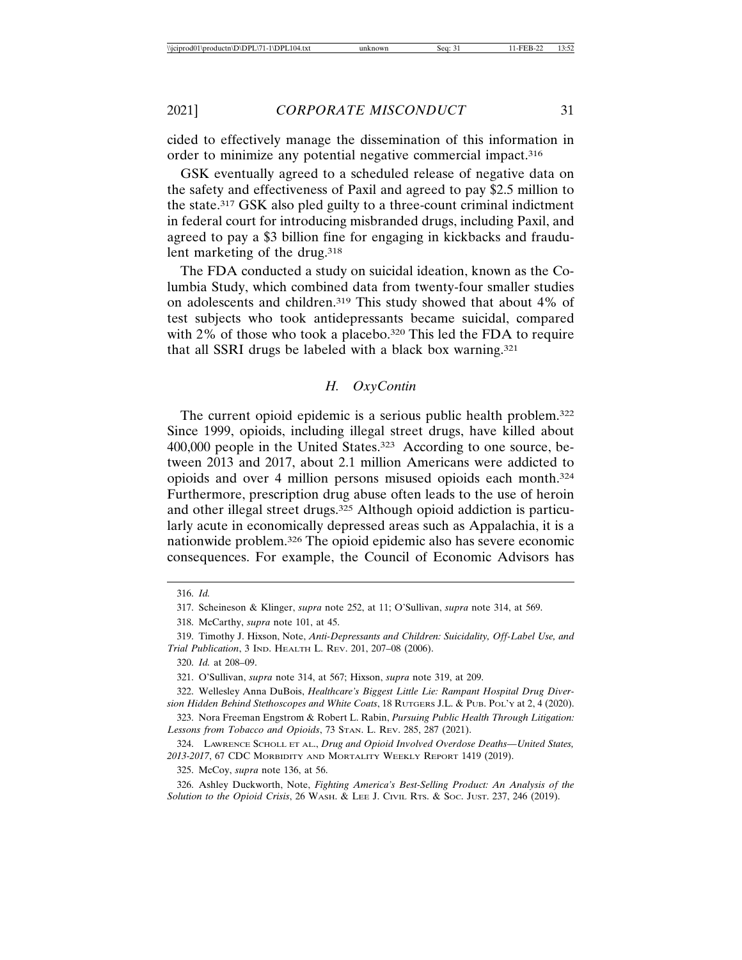cided to effectively manage the dissemination of this information in order to minimize any potential negative commercial impact.316

GSK eventually agreed to a scheduled release of negative data on the safety and effectiveness of Paxil and agreed to pay \$2.5 million to the state.317 GSK also pled guilty to a three-count criminal indictment in federal court for introducing misbranded drugs, including Paxil, and agreed to pay a \$3 billion fine for engaging in kickbacks and fraudulent marketing of the drug.318

The FDA conducted a study on suicidal ideation, known as the Columbia Study, which combined data from twenty-four smaller studies on adolescents and children.319 This study showed that about 4% of test subjects who took antidepressants became suicidal, compared with 2% of those who took a placebo.<sup>320</sup> This led the FDA to require that all SSRI drugs be labeled with a black box warning.321

#### *H. OxyContin*

The current opioid epidemic is a serious public health problem.322 Since 1999, opioids, including illegal street drugs, have killed about 400,000 people in the United States.<sup>323</sup> According to one source, between 2013 and 2017, about 2.1 million Americans were addicted to opioids and over 4 million persons misused opioids each month.324 Furthermore, prescription drug abuse often leads to the use of heroin and other illegal street drugs.<sup>325</sup> Although opioid addiction is particularly acute in economically depressed areas such as Appalachia, it is a nationwide problem.326 The opioid epidemic also has severe economic consequences. For example, the Council of Economic Advisors has

325. McCoy, *supra* note 136, at 56.

326. Ashley Duckworth, Note, *Fighting America's Best-Selling Product: An Analysis of the Solution to the Opioid Crisis*, 26 WASH. & LEE J. CIVIL RTS. & SOC. JUST. 237, 246 (2019).

<sup>316.</sup> *Id.*

<sup>317.</sup> Scheineson & Klinger, *supra* note 252, at 11; O'Sullivan, *supra* note 314, at 569.

<sup>318.</sup> McCarthy, *supra* note 101, at 45.

<sup>319.</sup> Timothy J. Hixson, Note, *Anti-Depressants and Children: Suicidality, Off-Label Use, and Trial Publication*, 3 IND. HEALTH L. REV. 201, 207–08 (2006).

<sup>320.</sup> *Id.* at 208–09.

<sup>321.</sup> O'Sullivan, *supra* note 314, at 567; Hixson, *supra* note 319, at 209.

<sup>322.</sup> Wellesley Anna DuBois, *Healthcare's Biggest Little Lie: Rampant Hospital Drug Diversion Hidden Behind Stethoscopes and White Coats*, 18 RUTGERS J.L. & PUB. POL'Y at 2, 4 (2020).

<sup>323.</sup> Nora Freeman Engstrom & Robert L. Rabin, *Pursuing Public Health Through Litigation: Lessons from Tobacco and Opioids*, 73 STAN. L. REV. 285, 287 (2021).

<sup>324.</sup> LAWRENCE SCHOLL ET AL., *Drug and Opioid Involved Overdose Deaths—United States, 2013-2017*, 67 CDC MORBIDITY AND MORTALITY WEEKLY REPORT 1419 (2019).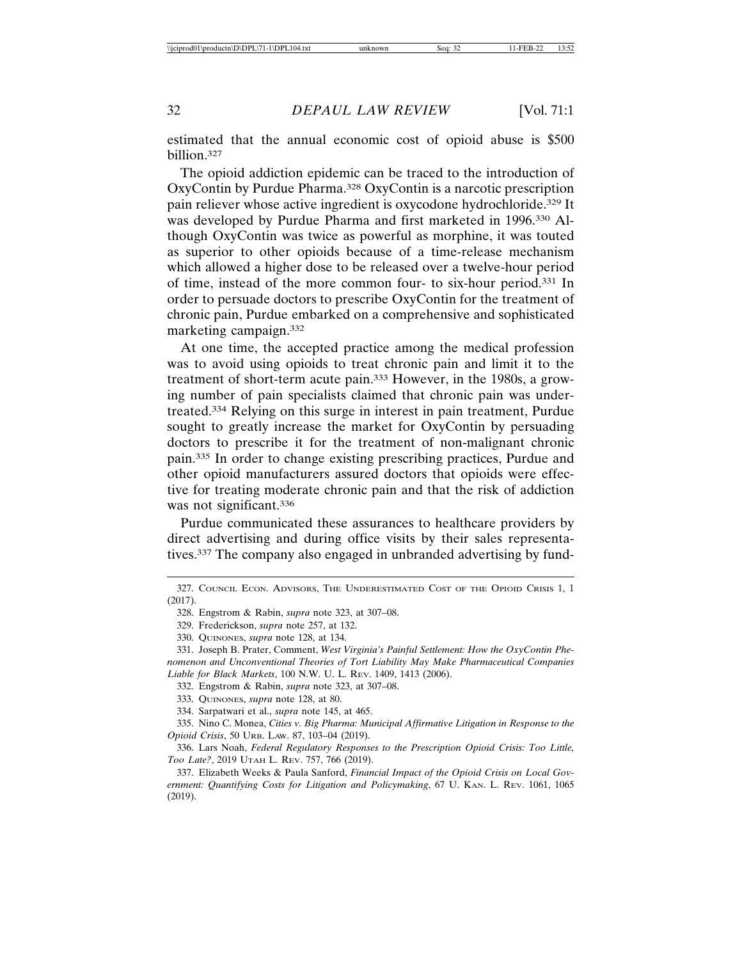estimated that the annual economic cost of opioid abuse is \$500 billion.327

The opioid addiction epidemic can be traced to the introduction of OxyContin by Purdue Pharma.328 OxyContin is a narcotic prescription pain reliever whose active ingredient is oxycodone hydrochloride.329 It was developed by Purdue Pharma and first marketed in 1996.330 Although OxyContin was twice as powerful as morphine, it was touted as superior to other opioids because of a time-release mechanism which allowed a higher dose to be released over a twelve-hour period of time, instead of the more common four- to six-hour period.331 In order to persuade doctors to prescribe OxyContin for the treatment of chronic pain, Purdue embarked on a comprehensive and sophisticated marketing campaign.332

At one time, the accepted practice among the medical profession was to avoid using opioids to treat chronic pain and limit it to the treatment of short-term acute pain.333 However, in the 1980s, a growing number of pain specialists claimed that chronic pain was undertreated.334 Relying on this surge in interest in pain treatment, Purdue sought to greatly increase the market for OxyContin by persuading doctors to prescribe it for the treatment of non-malignant chronic pain.335 In order to change existing prescribing practices, Purdue and other opioid manufacturers assured doctors that opioids were effective for treating moderate chronic pain and that the risk of addiction was not significant.<sup>336</sup>

Purdue communicated these assurances to healthcare providers by direct advertising and during office visits by their sales representatives.337 The company also engaged in unbranded advertising by fund-

<sup>327.</sup> COUNCIL ECON. ADVISORS, THE UNDERESTIMATED COST OF THE OPIOID CRISIS 1, 1 (2017).

<sup>328.</sup> Engstrom & Rabin, *supra* note 323, at 307–08.

<sup>329.</sup> Frederickson, *supra* note 257, at 132.

<sup>330.</sup> QUINONES, *supra* note 128, at 134.

<sup>331.</sup> Joseph B. Prater, Comment, *West Virginia's Painful Settlement: How the OxyContin Phenomenon and Unconventional Theories of Tort Liability May Make Pharmaceutical Companies Liable for Black Markets*, 100 N.W. U. L. REV. 1409, 1413 (2006).

<sup>332.</sup> Engstrom & Rabin, *supra* note 323, at 307–08.

<sup>333.</sup> QUINONES, *supra* note 128, at 80.

<sup>334.</sup> Sarpatwari et al., *supra* note 145, at 465.

<sup>335.</sup> Nino C. Monea, *Cities v. Big Pharma: Municipal Affirmative Litigation in Response to the Opioid Crisis*, 50 URB. LAW. 87, 103–04 (2019).

<sup>336.</sup> Lars Noah, *Federal Regulatory Responses to the Prescription Opioid Crisis: Too Little, Too Late?*, 2019 UTAH L. REV. 757, 766 (2019).

<sup>337.</sup> Elizabeth Weeks & Paula Sanford, *Financial Impact of the Opioid Crisis on Local Government: Quantifying Costs for Litigation and Policymaking*, 67 U. KAN. L. REV. 1061, 1065 (2019).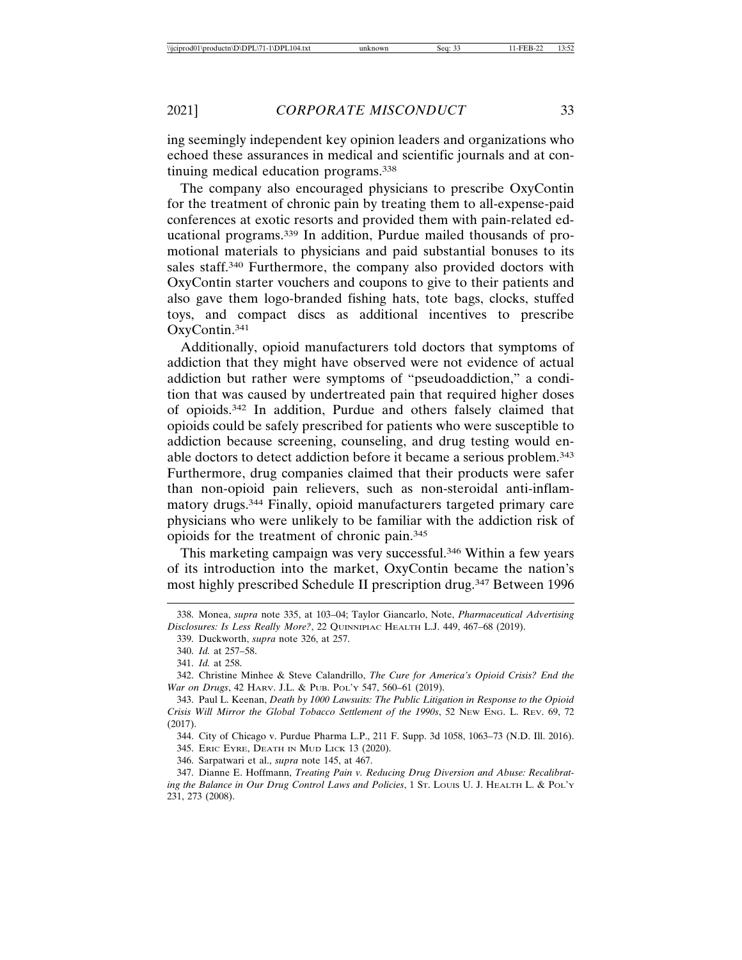ing seemingly independent key opinion leaders and organizations who echoed these assurances in medical and scientific journals and at continuing medical education programs.338

The company also encouraged physicians to prescribe OxyContin for the treatment of chronic pain by treating them to all-expense-paid conferences at exotic resorts and provided them with pain-related educational programs.339 In addition, Purdue mailed thousands of promotional materials to physicians and paid substantial bonuses to its sales staff.340 Furthermore, the company also provided doctors with OxyContin starter vouchers and coupons to give to their patients and also gave them logo-branded fishing hats, tote bags, clocks, stuffed toys, and compact discs as additional incentives to prescribe OxyContin.341

Additionally, opioid manufacturers told doctors that symptoms of addiction that they might have observed were not evidence of actual addiction but rather were symptoms of "pseudoaddiction," a condition that was caused by undertreated pain that required higher doses of opioids.342 In addition, Purdue and others falsely claimed that opioids could be safely prescribed for patients who were susceptible to addiction because screening, counseling, and drug testing would enable doctors to detect addiction before it became a serious problem.343 Furthermore, drug companies claimed that their products were safer than non-opioid pain relievers, such as non-steroidal anti-inflammatory drugs.344 Finally, opioid manufacturers targeted primary care physicians who were unlikely to be familiar with the addiction risk of opioids for the treatment of chronic pain.345

This marketing campaign was very successful.346 Within a few years of its introduction into the market, OxyContin became the nation's most highly prescribed Schedule II prescription drug.347 Between 1996

341. *Id.* at 258.

344. City of Chicago v. Purdue Pharma L.P., 211 F. Supp. 3d 1058, 1063–73 (N.D. Ill. 2016).

345. ERIC EYRE, DEATH IN MUD LICK 13 (2020).

346. Sarpatwari et al., *supra* note 145, at 467.

347. Dianne E. Hoffmann, *Treating Pain v. Reducing Drug Diversion and Abuse: Recalibrating the Balance in Our Drug Control Laws and Policies*, 1 ST. LOUIS U. J. HEALTH L. & POL'Y 231, 273 (2008).

<sup>338.</sup> Monea, *supra* note 335, at 103–04; Taylor Giancarlo, Note, *Pharmaceutical Advertising Disclosures: Is Less Really More?*, 22 QUINNIPIAC HEALTH L.J. 449, 467–68 (2019).

<sup>339.</sup> Duckworth, *supra* note 326, at 257.

<sup>340.</sup> *Id.* at 257–58.

<sup>342.</sup> Christine Minhee & Steve Calandrillo, *The Cure for America's Opioid Crisis? End the War on Drugs*, 42 HARV. J.L. & PUB. POL'Y 547, 560–61 (2019).

<sup>343.</sup> Paul L. Keenan, *Death by 1000 Lawsuits: The Public Litigation in Response to the Opioid Crisis Will Mirror the Global Tobacco Settlement of the 1990s*, 52 NEW ENG. L. REV. 69, 72 (2017).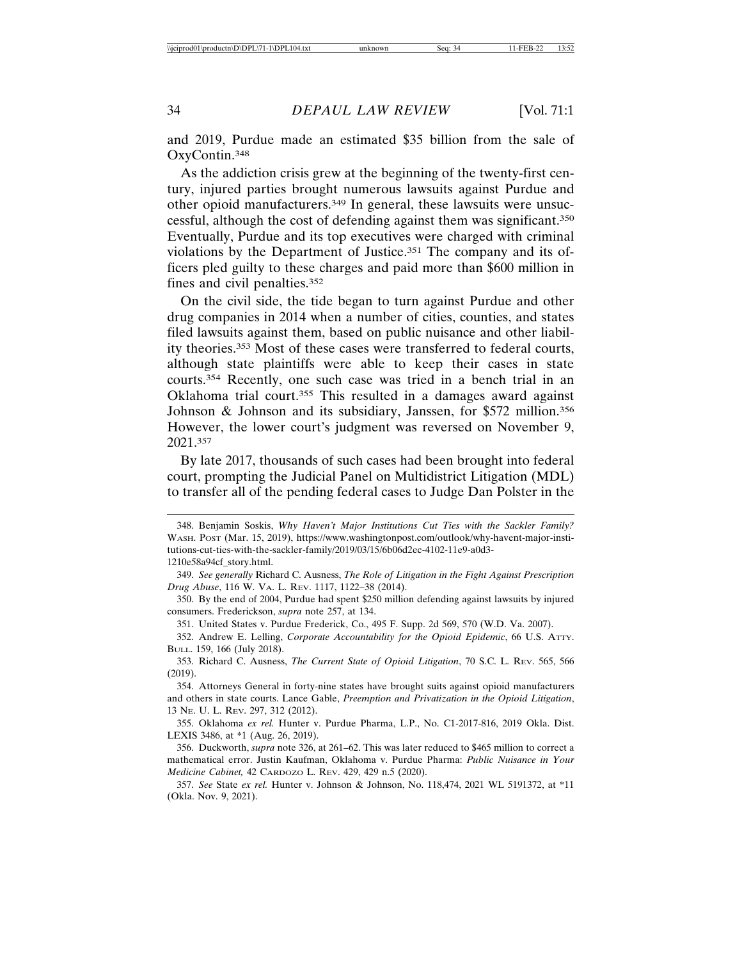and 2019, Purdue made an estimated \$35 billion from the sale of OxyContin.348

As the addiction crisis grew at the beginning of the twenty-first century, injured parties brought numerous lawsuits against Purdue and other opioid manufacturers.349 In general, these lawsuits were unsuccessful, although the cost of defending against them was significant.350 Eventually, Purdue and its top executives were charged with criminal violations by the Department of Justice.351 The company and its officers pled guilty to these charges and paid more than \$600 million in fines and civil penalties.352

On the civil side, the tide began to turn against Purdue and other drug companies in 2014 when a number of cities, counties, and states filed lawsuits against them, based on public nuisance and other liability theories.353 Most of these cases were transferred to federal courts, although state plaintiffs were able to keep their cases in state courts.354 Recently, one such case was tried in a bench trial in an Oklahoma trial court.355 This resulted in a damages award against Johnson & Johnson and its subsidiary, Janssen, for \$572 million.356 However, the lower court's judgment was reversed on November 9, 2021.357

By late 2017, thousands of such cases had been brought into federal court, prompting the Judicial Panel on Multidistrict Litigation (MDL) to transfer all of the pending federal cases to Judge Dan Polster in the

351. United States v. Purdue Frederick, Co., 495 F. Supp. 2d 569, 570 (W.D. Va. 2007).

353. Richard C. Ausness, *The Current State of Opioid Litigation*, 70 S.C. L. REV. 565, 566 (2019).

354. Attorneys General in forty-nine states have brought suits against opioid manufacturers and others in state courts. Lance Gable, *Preemption and Privatization in the Opioid Litigation*, 13 NE. U. L. REV. 297, 312 (2012).

355. Oklahoma *ex rel.* Hunter v. Purdue Pharma, L.P., No. C1-2017-816, 2019 Okla. Dist. LEXIS 3486, at \*1 (Aug. 26, 2019).

356. Duckworth, *supra* note 326, at 261–62. This was later reduced to \$465 million to correct a mathematical error. Justin Kaufman, Oklahoma v. Purdue Pharma: *Public Nuisance in Your Medicine Cabinet,* 42 CARDOZO L. REV. 429, 429 n.5 (2020).

357. *See* State *ex rel.* Hunter v. Johnson & Johnson, No. 118,474, 2021 WL 5191372, at \*11 (Okla. Nov. 9, 2021).

<sup>348.</sup> Benjamin Soskis, *Why Haven't Major Institutions Cut Ties with the Sackler Family?* WASH. POST (Mar. 15, 2019), https://www.washingtonpost.com/outlook/why-havent-major-institutions-cut-ties-with-the-sackler-family/2019/03/15/6b06d2ec-4102-11e9-a0d3- 1210e58a94cf\_story.html.

<sup>349.</sup> *See generally* Richard C. Ausness, *The Role of Litigation in the Fight Against Prescription Drug Abuse*, 116 W. VA. L. REV. 1117, 1122–38 (2014).

<sup>350.</sup> By the end of 2004, Purdue had spent \$250 million defending against lawsuits by injured consumers. Frederickson, *supra* note 257, at 134.

<sup>352.</sup> Andrew E. Lelling, *Corporate Accountability for the Opioid Epidemic*, 66 U.S. ATTY. BULL. 159, 166 (July 2018).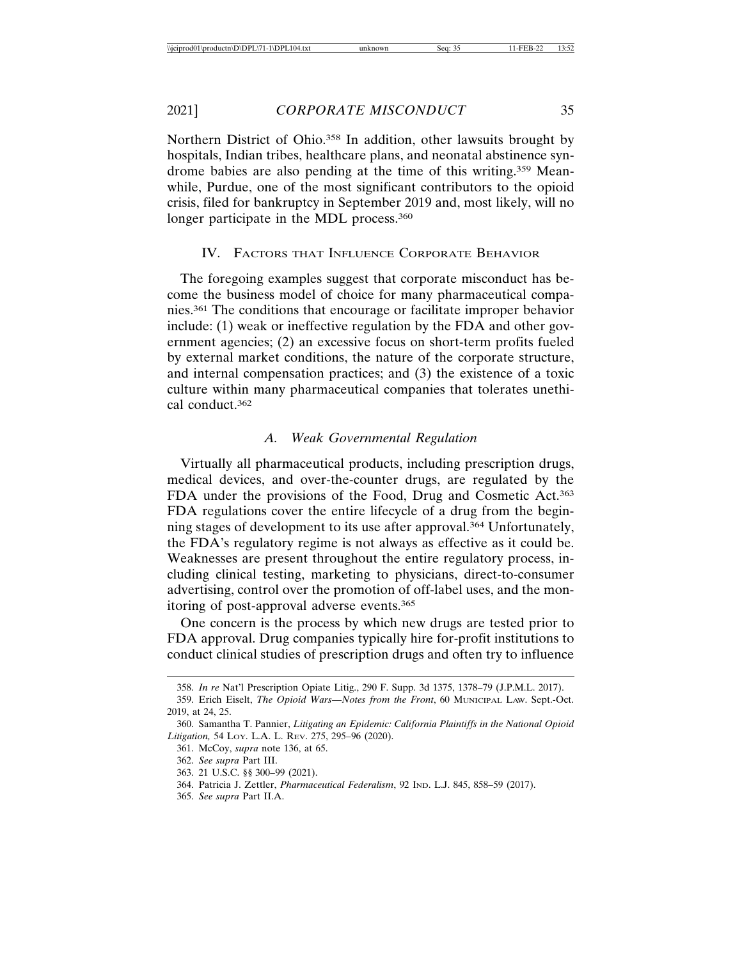Northern District of Ohio.<sup>358</sup> In addition, other lawsuits brought by hospitals, Indian tribes, healthcare plans, and neonatal abstinence syndrome babies are also pending at the time of this writing.359 Meanwhile, Purdue, one of the most significant contributors to the opioid crisis, filed for bankruptcy in September 2019 and, most likely, will no longer participate in the MDL process.<sup>360</sup>

## IV. FACTORS THAT INFLUENCE CORPORATE BEHAVIOR

The foregoing examples suggest that corporate misconduct has become the business model of choice for many pharmaceutical companies.361 The conditions that encourage or facilitate improper behavior include: (1) weak or ineffective regulation by the FDA and other government agencies; (2) an excessive focus on short-term profits fueled by external market conditions, the nature of the corporate structure, and internal compensation practices; and (3) the existence of a toxic culture within many pharmaceutical companies that tolerates unethical conduct.362

## *A. Weak Governmental Regulation*

Virtually all pharmaceutical products, including prescription drugs, medical devices, and over-the-counter drugs, are regulated by the FDA under the provisions of the Food, Drug and Cosmetic Act.<sup>363</sup> FDA regulations cover the entire lifecycle of a drug from the beginning stages of development to its use after approval.364 Unfortunately, the FDA's regulatory regime is not always as effective as it could be. Weaknesses are present throughout the entire regulatory process, including clinical testing, marketing to physicians, direct-to-consumer advertising, control over the promotion of off-label uses, and the monitoring of post-approval adverse events.365

One concern is the process by which new drugs are tested prior to FDA approval. Drug companies typically hire for-profit institutions to conduct clinical studies of prescription drugs and often try to influence

365. *See supra* Part II.A.

<sup>358.</sup> *In re* Nat'l Prescription Opiate Litig., 290 F. Supp. 3d 1375, 1378–79 (J.P.M.L. 2017).

<sup>359.</sup> Erich Eiselt, *The Opioid Wars—Notes from the Front*, 60 MUNICIPAL LAW. Sept.-Oct. 2019, at 24, 25.

<sup>360.</sup> Samantha T. Pannier, *Litigating an Epidemic: California Plaintiffs in the National Opioid Litigation,* 54 LOY. L.A. L. REV. 275, 295–96 (2020).

<sup>361.</sup> McCoy, *supra* note 136, at 65.

<sup>362.</sup> *See supra* Part III.

<sup>363. 21</sup> U.S.C. §§ 300–99 (2021).

<sup>364.</sup> Patricia J. Zettler, *Pharmaceutical Federalism*, 92 IND. L.J. 845, 858–59 (2017).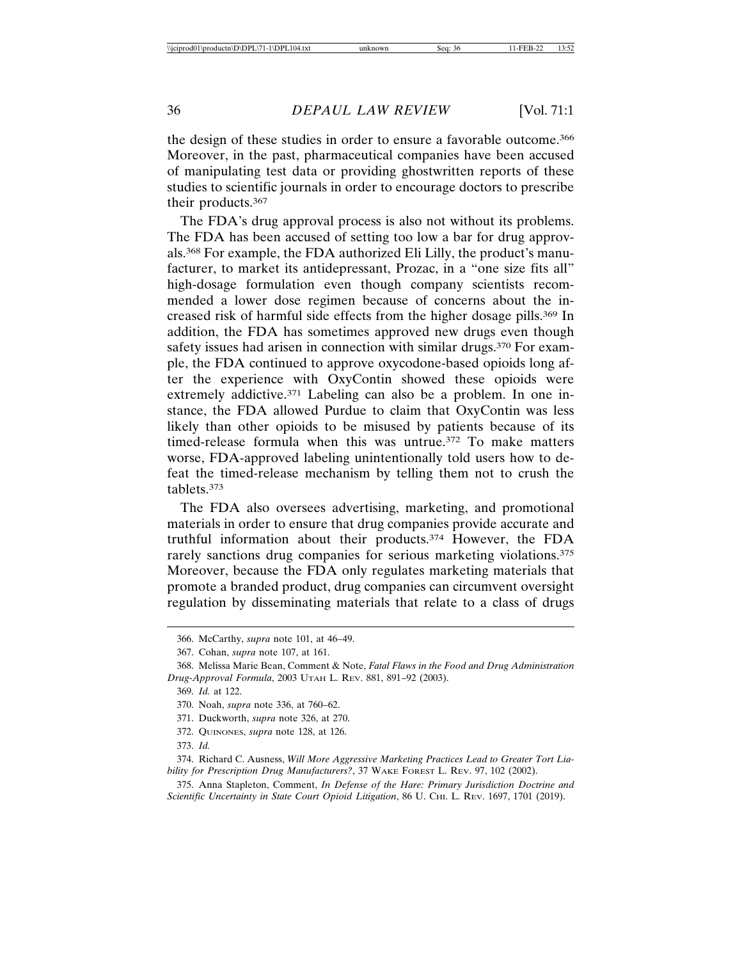the design of these studies in order to ensure a favorable outcome.366 Moreover, in the past, pharmaceutical companies have been accused of manipulating test data or providing ghostwritten reports of these studies to scientific journals in order to encourage doctors to prescribe their products.367

The FDA's drug approval process is also not without its problems. The FDA has been accused of setting too low a bar for drug approvals.368 For example, the FDA authorized Eli Lilly, the product's manufacturer, to market its antidepressant, Prozac, in a "one size fits all" high-dosage formulation even though company scientists recommended a lower dose regimen because of concerns about the increased risk of harmful side effects from the higher dosage pills.369 In addition, the FDA has sometimes approved new drugs even though safety issues had arisen in connection with similar drugs.<sup>370</sup> For example, the FDA continued to approve oxycodone-based opioids long after the experience with OxyContin showed these opioids were extremely addictive.<sup>371</sup> Labeling can also be a problem. In one instance, the FDA allowed Purdue to claim that OxyContin was less likely than other opioids to be misused by patients because of its timed-release formula when this was untrue.372 To make matters worse, FDA-approved labeling unintentionally told users how to defeat the timed-release mechanism by telling them not to crush the tablets.373

The FDA also oversees advertising, marketing, and promotional materials in order to ensure that drug companies provide accurate and truthful information about their products.374 However, the FDA rarely sanctions drug companies for serious marketing violations.<sup>375</sup> Moreover, because the FDA only regulates marketing materials that promote a branded product, drug companies can circumvent oversight regulation by disseminating materials that relate to a class of drugs

- 372. QUINONES, *supra* note 128, at 126.
- 373. *Id.*

374. Richard C. Ausness, *Will More Aggressive Marketing Practices Lead to Greater Tort Liability for Prescription Drug Manufacturers?*, 37 WAKE FOREST L. REV. 97, 102 (2002).

375. Anna Stapleton, Comment, *In Defense of the Hare: Primary Jurisdiction Doctrine and Scientific Uncertainty in State Court Opioid Litigation*, 86 U. CHI. L. REV. 1697, 1701 (2019).

<sup>366.</sup> McCarthy, *supra* note 101, at 46–49.

<sup>367.</sup> Cohan, *supra* note 107, at 161.

<sup>368.</sup> Melissa Marie Bean, Comment & Note, *Fatal Flaws in the Food and Drug Administration Drug-Approval Formula*, 2003 UTAH L. REV. 881, 891–92 (2003).

<sup>369.</sup> *Id.* at 122.

<sup>370.</sup> Noah, *supra* note 336, at 760–62.

<sup>371.</sup> Duckworth, *supra* note 326, at 270.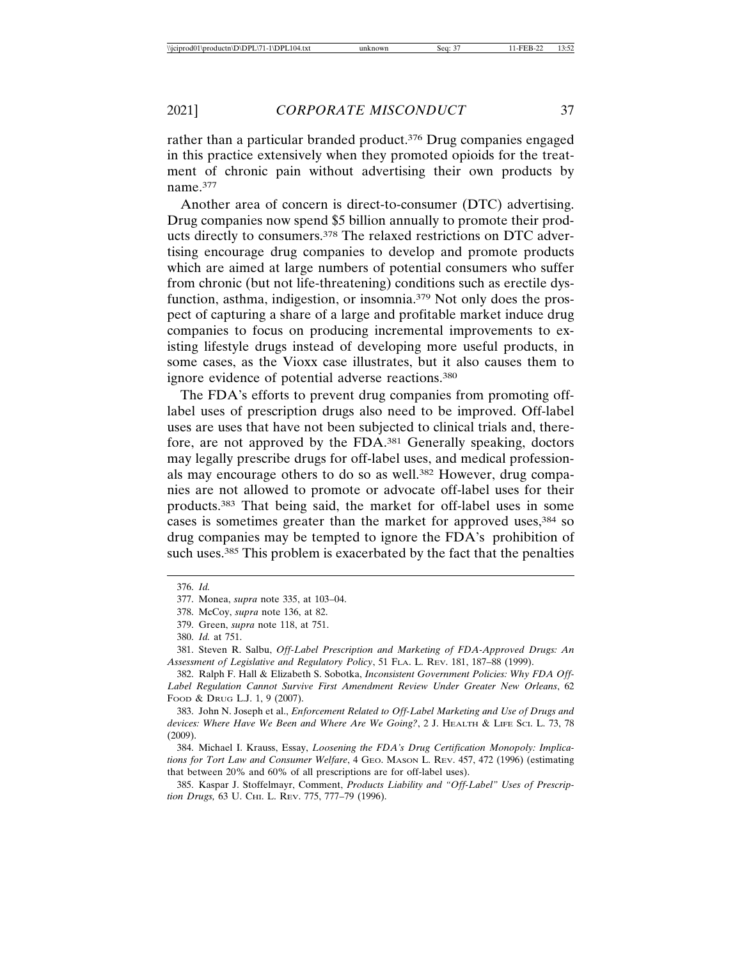rather than a particular branded product.376 Drug companies engaged in this practice extensively when they promoted opioids for the treatment of chronic pain without advertising their own products by name.377

Another area of concern is direct-to-consumer (DTC) advertising. Drug companies now spend \$5 billion annually to promote their products directly to consumers.378 The relaxed restrictions on DTC advertising encourage drug companies to develop and promote products which are aimed at large numbers of potential consumers who suffer from chronic (but not life-threatening) conditions such as erectile dysfunction, asthma, indigestion, or insomnia.379 Not only does the prospect of capturing a share of a large and profitable market induce drug companies to focus on producing incremental improvements to existing lifestyle drugs instead of developing more useful products, in some cases, as the Vioxx case illustrates, but it also causes them to ignore evidence of potential adverse reactions.380

The FDA's efforts to prevent drug companies from promoting offlabel uses of prescription drugs also need to be improved. Off-label uses are uses that have not been subjected to clinical trials and, therefore, are not approved by the FDA.381 Generally speaking, doctors may legally prescribe drugs for off-label uses, and medical professionals may encourage others to do so as well.<sup>382</sup> However, drug companies are not allowed to promote or advocate off-label uses for their products.383 That being said, the market for off-label uses in some cases is sometimes greater than the market for approved uses, <sup>384</sup> so drug companies may be tempted to ignore the FDA's prohibition of such uses.<sup>385</sup> This problem is exacerbated by the fact that the penalties

382. Ralph F. Hall & Elizabeth S. Sobotka, *Inconsistent Government Policies: Why FDA Off-Label Regulation Cannot Survive First Amendment Review Under Greater New Orleans*, 62 FOOD & DRUG L.J. 1, 9 (2007).

383. John N. Joseph et al., *Enforcement Related to Off-Label Marketing and Use of Drugs and devices: Where Have We Been and Where Are We Going?*, 2 J. HEALTH & LIFE SCI. L. 73, 78 (2009).

384. Michael I. Krauss, Essay, *Loosening the FDA's Drug Certification Monopoly: Implications for Tort Law and Consumer Welfare*, 4 GEO. MASON L. REV. 457, 472 (1996) (estimating that between 20% and 60% of all prescriptions are for off-label uses).

385. Kaspar J. Stoffelmayr, Comment, *Products Liability and "Off-Label" Uses of Prescription Drugs,* 63 U. CHI. L. REV. 775, 777–79 (1996).

<sup>376.</sup> *Id.*

<sup>377.</sup> Monea, *supra* note 335, at 103–04.

<sup>378.</sup> McCoy, *supra* note 136, at 82.

<sup>379.</sup> Green, *supra* note 118, at 751.

<sup>380.</sup> *Id.* at 751.

<sup>381.</sup> Steven R. Salbu, *Off-Label Prescription and Marketing of FDA-Approved Drugs: An Assessment of Legislative and Regulatory Policy*, 51 FLA. L. REV. 181, 187–88 (1999).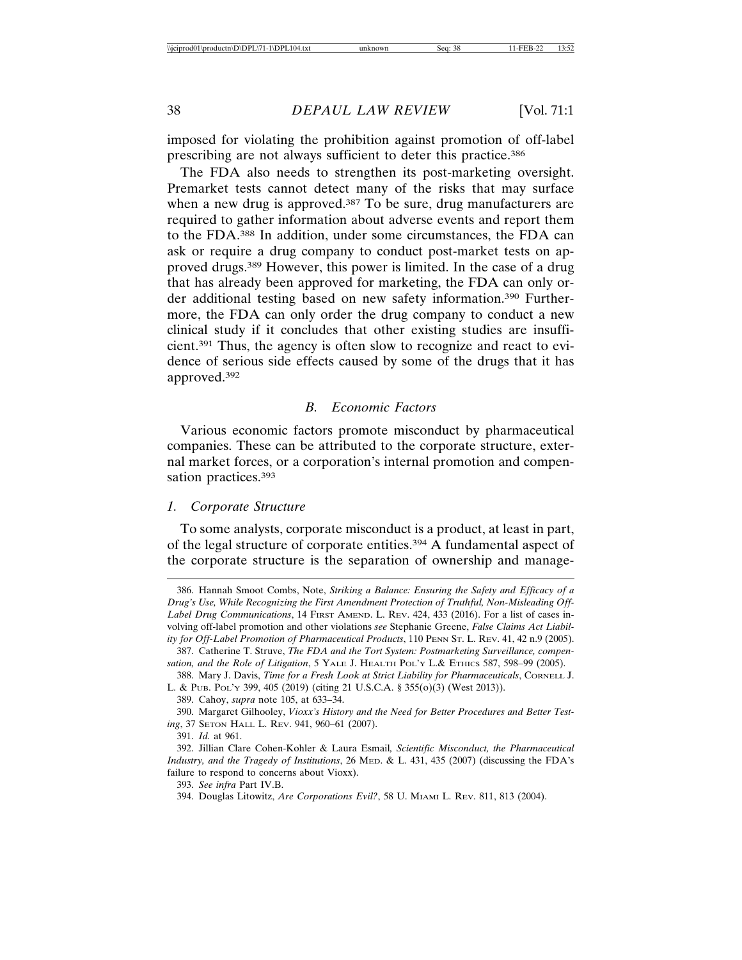imposed for violating the prohibition against promotion of off-label prescribing are not always sufficient to deter this practice.386

The FDA also needs to strengthen its post-marketing oversight. Premarket tests cannot detect many of the risks that may surface when a new drug is approved.<sup>387</sup> To be sure, drug manufacturers are required to gather information about adverse events and report them to the FDA.388 In addition, under some circumstances, the FDA can ask or require a drug company to conduct post-market tests on approved drugs.389 However, this power is limited. In the case of a drug that has already been approved for marketing, the FDA can only order additional testing based on new safety information.390 Furthermore, the FDA can only order the drug company to conduct a new clinical study if it concludes that other existing studies are insufficient.391 Thus, the agency is often slow to recognize and react to evidence of serious side effects caused by some of the drugs that it has approved.392

#### *B. Economic Factors*

Various economic factors promote misconduct by pharmaceutical companies. These can be attributed to the corporate structure, external market forces, or a corporation's internal promotion and compensation practices.393

#### *1. Corporate Structure*

To some analysts, corporate misconduct is a product, at least in part, of the legal structure of corporate entities.394 A fundamental aspect of the corporate structure is the separation of ownership and manage-

390. Margaret Gilhooley, *Vioxx's History and the Need for Better Procedures and Better Testing*, 37 SETON HALL L. REV. 941, 960–61 (2007).

<sup>386.</sup> Hannah Smoot Combs, Note, *Striking a Balance: Ensuring the Safety and Efficacy of a Drug's Use, While Recognizing the First Amendment Protection of Truthful, Non-Misleading Off-Label Drug Communications*, 14 FIRST AMEND. L. REV. 424, 433 (2016). For a list of cases involving off-label promotion and other violations *see* Stephanie Greene, *False Claims Act Liability for Off-Label Promotion of Pharmaceutical Products*, 110 PENN ST. L. REV. 41, 42 n.9 (2005). 387. Catherine T. Struve, *The FDA and the Tort System: Postmarketing Surveillance, compen-*

*sation, and the Role of Litigation*, 5 YALE J. HEALTH POL'Y L.& ETHICS 587, 598–99 (2005).

<sup>388.</sup> Mary J. Davis, *Time for a Fresh Look at Strict Liability for Pharmaceuticals*, CORNELL J. L. & PUB. POL'Y 399, 405 (2019) (citing 21 U.S.C.A. § 355(o)(3) (West 2013)).

<sup>389.</sup> Cahoy, *supra* note 105, at 633–34.

<sup>391.</sup> *Id.* at 961.

<sup>392.</sup> Jillian Clare Cohen-Kohler & Laura Esmail*, Scientific Misconduct, the Pharmaceutical Industry, and the Tragedy of Institutions*, 26 MED. & L. 431, 435 (2007) (discussing the FDA's failure to respond to concerns about Vioxx).

<sup>393.</sup> *See infra* Part IV.B.

<sup>394.</sup> Douglas Litowitz, *Are Corporations Evil?*, 58 U. MIAMI L. REV. 811, 813 (2004).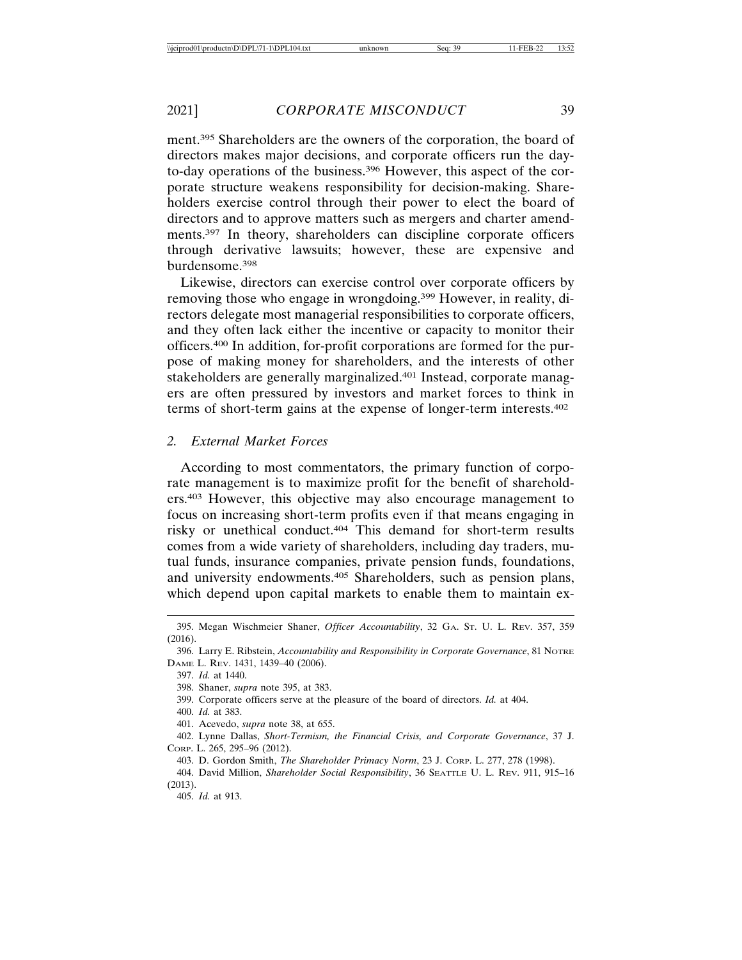ment.395 Shareholders are the owners of the corporation, the board of directors makes major decisions, and corporate officers run the dayto-day operations of the business.396 However, this aspect of the corporate structure weakens responsibility for decision-making. Shareholders exercise control through their power to elect the board of directors and to approve matters such as mergers and charter amendments.397 In theory, shareholders can discipline corporate officers through derivative lawsuits; however, these are expensive and burdensome.398

Likewise, directors can exercise control over corporate officers by removing those who engage in wrongdoing.399 However, in reality, directors delegate most managerial responsibilities to corporate officers, and they often lack either the incentive or capacity to monitor their officers.400 In addition, for-profit corporations are formed for the purpose of making money for shareholders, and the interests of other stakeholders are generally marginalized.401 Instead, corporate managers are often pressured by investors and market forces to think in terms of short-term gains at the expense of longer-term interests.402

## *2. External Market Forces*

According to most commentators, the primary function of corporate management is to maximize profit for the benefit of shareholders.403 However, this objective may also encourage management to focus on increasing short-term profits even if that means engaging in risky or unethical conduct.404 This demand for short-term results comes from a wide variety of shareholders, including day traders, mutual funds, insurance companies, private pension funds, foundations, and university endowments.405 Shareholders, such as pension plans, which depend upon capital markets to enable them to maintain ex-

399. Corporate officers serve at the pleasure of the board of directors. *Id.* at 404.

400. *Id.* at 383.

401. Acevedo, *supra* note 38, at 655.

402. Lynne Dallas, *Short-Termism, the Financial Crisis, and Corporate Governance*, 37 J. CORP. L. 265, 295–96 (2012).

- 403. D. Gordon Smith, *The Shareholder Primacy Norm*, 23 J. CORP. L. 277, 278 (1998).
- 404. David Million, *Shareholder Social Responsibility*, 36 SEATTLE U. L. REV. 911, 915–16 (2013).

405. *Id.* at 913.

<sup>395.</sup> Megan Wischmeier Shaner, *Officer Accountability*, 32 GA. ST. U. L. REV. 357, 359 (2016).

<sup>396.</sup> Larry E. Ribstein, *Accountability and Responsibility in Corporate Governance*, 81 NOTRE DAME L. REV. 1431, 1439–40 (2006).

<sup>397.</sup> *Id.* at 1440.

<sup>398.</sup> Shaner, *supra* note 395, at 383.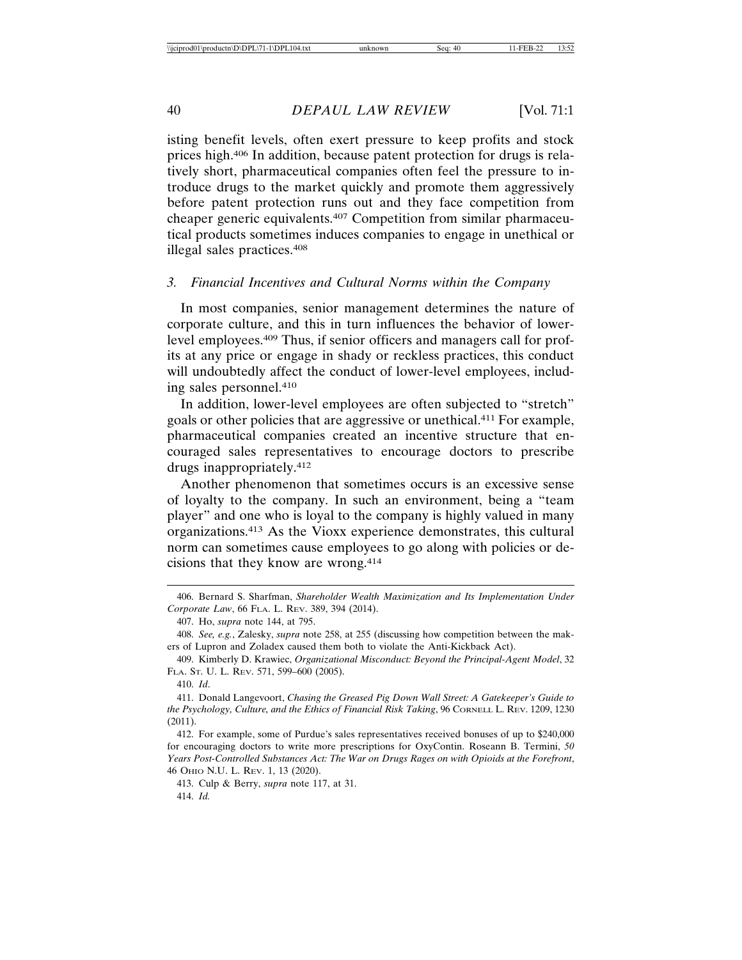isting benefit levels, often exert pressure to keep profits and stock prices high.406 In addition, because patent protection for drugs is relatively short, pharmaceutical companies often feel the pressure to introduce drugs to the market quickly and promote them aggressively before patent protection runs out and they face competition from cheaper generic equivalents.407 Competition from similar pharmaceutical products sometimes induces companies to engage in unethical or illegal sales practices.408

## *3. Financial Incentives and Cultural Norms within the Company*

In most companies, senior management determines the nature of corporate culture, and this in turn influences the behavior of lowerlevel employees.409 Thus, if senior officers and managers call for profits at any price or engage in shady or reckless practices, this conduct will undoubtedly affect the conduct of lower-level employees, including sales personnel.410

In addition, lower-level employees are often subjected to "stretch" goals or other policies that are aggressive or unethical.411 For example, pharmaceutical companies created an incentive structure that encouraged sales representatives to encourage doctors to prescribe drugs inappropriately.412

Another phenomenon that sometimes occurs is an excessive sense of loyalty to the company. In such an environment, being a "team player" and one who is loyal to the company is highly valued in many organizations.413 As the Vioxx experience demonstrates, this cultural norm can sometimes cause employees to go along with policies or decisions that they know are wrong.414

<sup>406.</sup> Bernard S. Sharfman, *Shareholder Wealth Maximization and Its Implementation Under Corporate Law*, 66 FLA. L. REV. 389, 394 (2014).

<sup>407.</sup> Ho, *supra* note 144, at 795.

<sup>408.</sup> *See, e.g.*, Zalesky, *supra* note 258, at 255 (discussing how competition between the makers of Lupron and Zoladex caused them both to violate the Anti-Kickback Act).

<sup>409.</sup> Kimberly D. Krawiec, *Organizational Misconduct: Beyond the Principal-Agent Model*, 32 FLA. ST. U. L. REV. 571, 599–600 (2005).

<sup>410.</sup> *Id*.

<sup>411.</sup> Donald Langevoort, *Chasing the Greased Pig Down Wall Street: A Gatekeeper's Guide to the Psychology, Culture, and the Ethics of Financial Risk Taking*, 96 CORNELL L. REV. 1209, 1230 (2011).

<sup>412.</sup> For example, some of Purdue's sales representatives received bonuses of up to \$240,000 for encouraging doctors to write more prescriptions for OxyContin. Roseann B. Termini, *50 Years Post-Controlled Substances Act: The War on Drugs Rages on with Opioids at the Forefront*, 46 OHIO N.U. L. REV. 1, 13 (2020).

<sup>413.</sup> Culp & Berry, *supra* note 117, at 31. 414. *Id.*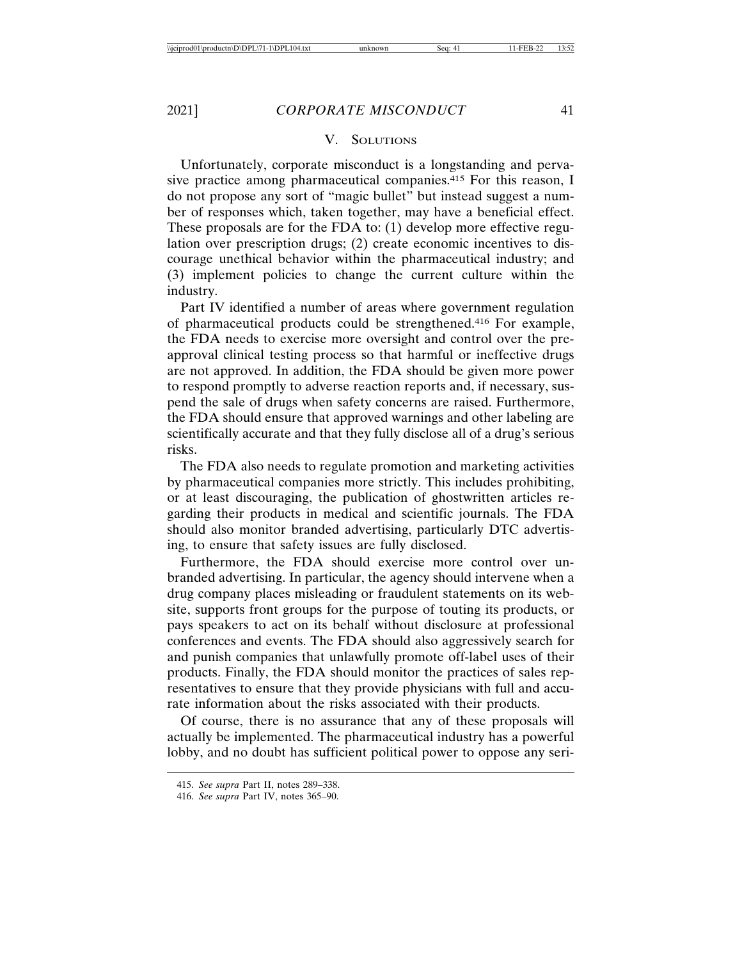#### V. SOLUTIONS

Unfortunately, corporate misconduct is a longstanding and pervasive practice among pharmaceutical companies.415 For this reason, I do not propose any sort of "magic bullet" but instead suggest a number of responses which, taken together, may have a beneficial effect. These proposals are for the FDA to: (1) develop more effective regulation over prescription drugs; (2) create economic incentives to discourage unethical behavior within the pharmaceutical industry; and (3) implement policies to change the current culture within the industry.

Part IV identified a number of areas where government regulation of pharmaceutical products could be strengthened.416 For example, the FDA needs to exercise more oversight and control over the preapproval clinical testing process so that harmful or ineffective drugs are not approved. In addition, the FDA should be given more power to respond promptly to adverse reaction reports and, if necessary, suspend the sale of drugs when safety concerns are raised. Furthermore, the FDA should ensure that approved warnings and other labeling are scientifically accurate and that they fully disclose all of a drug's serious risks.

The FDA also needs to regulate promotion and marketing activities by pharmaceutical companies more strictly. This includes prohibiting, or at least discouraging, the publication of ghostwritten articles regarding their products in medical and scientific journals. The FDA should also monitor branded advertising, particularly DTC advertising, to ensure that safety issues are fully disclosed.

Furthermore, the FDA should exercise more control over unbranded advertising. In particular, the agency should intervene when a drug company places misleading or fraudulent statements on its website, supports front groups for the purpose of touting its products, or pays speakers to act on its behalf without disclosure at professional conferences and events. The FDA should also aggressively search for and punish companies that unlawfully promote off-label uses of their products. Finally, the FDA should monitor the practices of sales representatives to ensure that they provide physicians with full and accurate information about the risks associated with their products.

Of course, there is no assurance that any of these proposals will actually be implemented. The pharmaceutical industry has a powerful lobby, and no doubt has sufficient political power to oppose any seri-

<sup>415.</sup> *See supra* Part II, notes 289–338.

<sup>416.</sup> *See supra* Part IV, notes 365–90.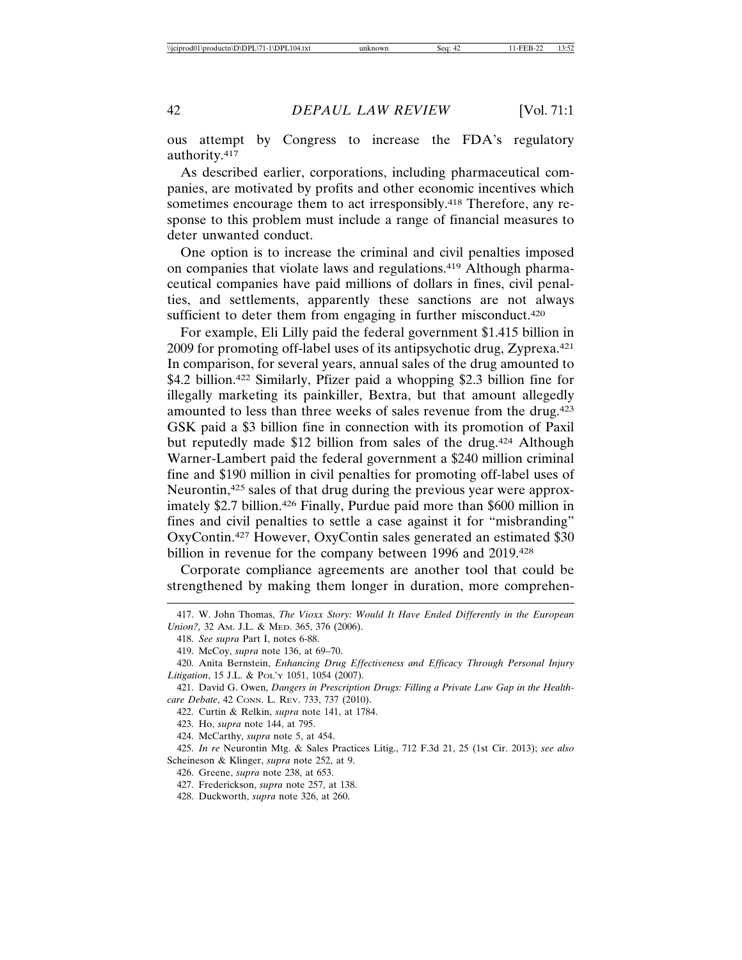ous attempt by Congress to increase the FDA's regulatory authority.417

As described earlier, corporations, including pharmaceutical companies, are motivated by profits and other economic incentives which sometimes encourage them to act irresponsibly.<sup>418</sup> Therefore, any response to this problem must include a range of financial measures to deter unwanted conduct.

One option is to increase the criminal and civil penalties imposed on companies that violate laws and regulations.419 Although pharmaceutical companies have paid millions of dollars in fines, civil penalties, and settlements, apparently these sanctions are not always sufficient to deter them from engaging in further misconduct.<sup>420</sup>

For example, Eli Lilly paid the federal government \$1.415 billion in 2009 for promoting off-label uses of its antipsychotic drug, Zyprexa.421 In comparison, for several years, annual sales of the drug amounted to \$4.2 billion.<sup>422</sup> Similarly, Pfizer paid a whopping \$2.3 billion fine for illegally marketing its painkiller, Bextra, but that amount allegedly amounted to less than three weeks of sales revenue from the drug.<sup>423</sup> GSK paid a \$3 billion fine in connection with its promotion of Paxil but reputedly made \$12 billion from sales of the drug.<sup>424</sup> Although Warner-Lambert paid the federal government a \$240 million criminal fine and \$190 million in civil penalties for promoting off-label uses of Neurontin,425 sales of that drug during the previous year were approximately \$2.7 billion.<sup>426</sup> Finally, Purdue paid more than \$600 million in fines and civil penalties to settle a case against it for "misbranding" OxyContin.427 However, OxyContin sales generated an estimated \$30 billion in revenue for the company between 1996 and 2019.<sup>428</sup>

Corporate compliance agreements are another tool that could be strengthened by making them longer in duration, more comprehen-

423. Ho, *supra* note 144, at 795.

424. McCarthy, *supra* note 5, at 454.

425. *In re* Neurontin Mtg. & Sales Practices Litig., 712 F.3d 21, 25 (1st Cir. 2013); *see also* Scheineson & Klinger, *supra* note 252, at 9.

426. Greene, *supra* note 238, at 653.

427. Frederickson, *supra* note 257, at 138.

428. Duckworth, *supra* note 326, at 260.

<sup>417.</sup> W. John Thomas, *The Vioxx Story: Would It Have Ended Differently in the European Union?,* 32 AM. J.L. & MED. 365, 376 (2006).

<sup>418.</sup> *See supra* Part I, notes 6-88.

<sup>419.</sup> McCoy, *supra* note 136, at 69–70.

<sup>420.</sup> Anita Bernstein, *Enhancing Drug Effectiveness and Efficacy Through Personal Injury Litigation*, 15 J.L. & POL'Y 1051, 1054 (2007).

<sup>421.</sup> David G. Owen, *Dangers in Prescription Drugs: Filling a Private Law Gap in the Healthcare Debate*, 42 CONN. L. REV. 733, 737 (2010).

<sup>422.</sup> Curtin & Relkin, *supra* note 141, at 1784.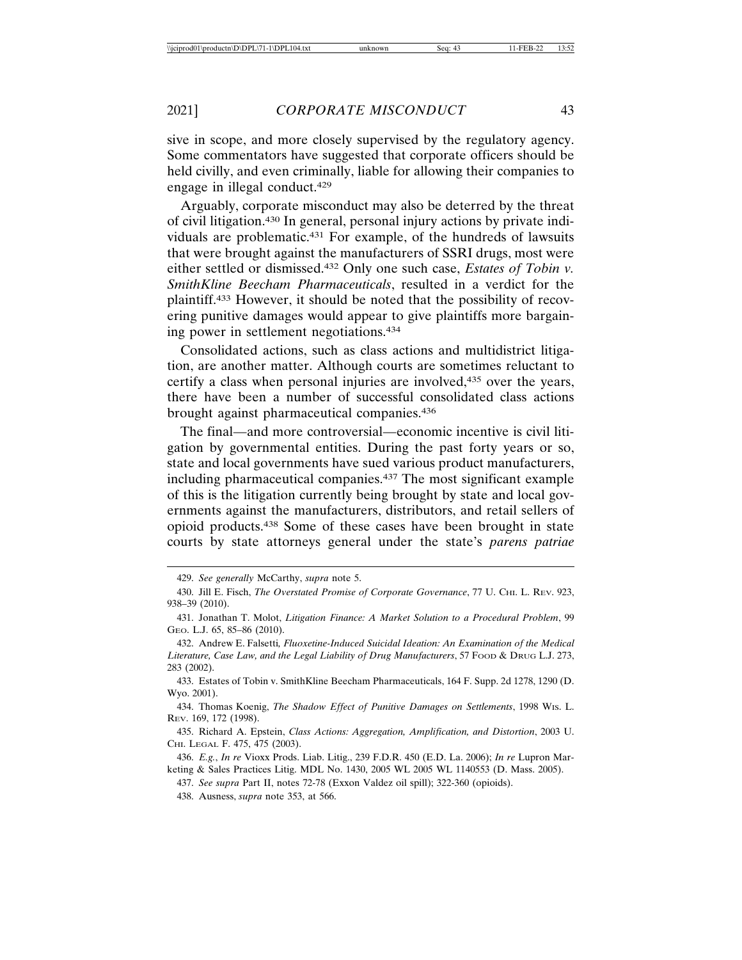sive in scope, and more closely supervised by the regulatory agency. Some commentators have suggested that corporate officers should be held civilly, and even criminally, liable for allowing their companies to engage in illegal conduct.429

Arguably, corporate misconduct may also be deterred by the threat of civil litigation.430 In general, personal injury actions by private individuals are problematic.431 For example, of the hundreds of lawsuits that were brought against the manufacturers of SSRI drugs, most were either settled or dismissed.432 Only one such case, *Estates of Tobin v. SmithKline Beecham Pharmaceuticals*, resulted in a verdict for the plaintiff.433 However, it should be noted that the possibility of recovering punitive damages would appear to give plaintiffs more bargaining power in settlement negotiations.434

Consolidated actions, such as class actions and multidistrict litigation, are another matter. Although courts are sometimes reluctant to certify a class when personal injuries are involved,<sup>435</sup> over the years, there have been a number of successful consolidated class actions brought against pharmaceutical companies.436

The final—and more controversial—economic incentive is civil litigation by governmental entities. During the past forty years or so, state and local governments have sued various product manufacturers, including pharmaceutical companies.437 The most significant example of this is the litigation currently being brought by state and local governments against the manufacturers, distributors, and retail sellers of opioid products.438 Some of these cases have been brought in state courts by state attorneys general under the state's *parens patriae*

433. Estates of Tobin v. SmithKline Beecham Pharmaceuticals, 164 F. Supp. 2d 1278, 1290 (D. Wyo. 2001).

434. Thomas Koenig, *The Shadow Effect of Punitive Damages on Settlements*, 1998 WIS. L. REV. 169, 172 (1998).

435. Richard A. Epstein, *Class Actions: Aggregation, Amplification, and Distortion*, 2003 U. CHI. LEGAL F. 475, 475 (2003).

436. *E.g.*, *In re* Vioxx Prods. Liab. Litig., 239 F.D.R. 450 (E.D. La. 2006); *In re* Lupron Marketing & Sales Practices Litig. MDL No. 1430, 2005 WL 2005 WL 1140553 (D. Mass. 2005).

437. *See supra* Part II, notes 72-78 (Exxon Valdez oil spill); 322-360 (opioids).

438. Ausness, *supra* note 353, at 566.

<sup>429.</sup> *See generally* McCarthy, *supra* note 5.

<sup>430.</sup> Jill E. Fisch, *The Overstated Promise of Corporate Governance*, 77 U. CHI. L. REV. 923, 938–39 (2010).

<sup>431.</sup> Jonathan T. Molot, *Litigation Finance: A Market Solution to a Procedural Problem*, 99 GEO. L.J. 65, 85–86 (2010).

<sup>432.</sup> Andrew E. Falsetti*, Fluoxetine-Induced Suicidal Ideation: An Examination of the Medical Literature, Case Law, and the Legal Liability of Drug Manufacturers*, 57 FOOD & DRUG L.J. 273, 283 (2002).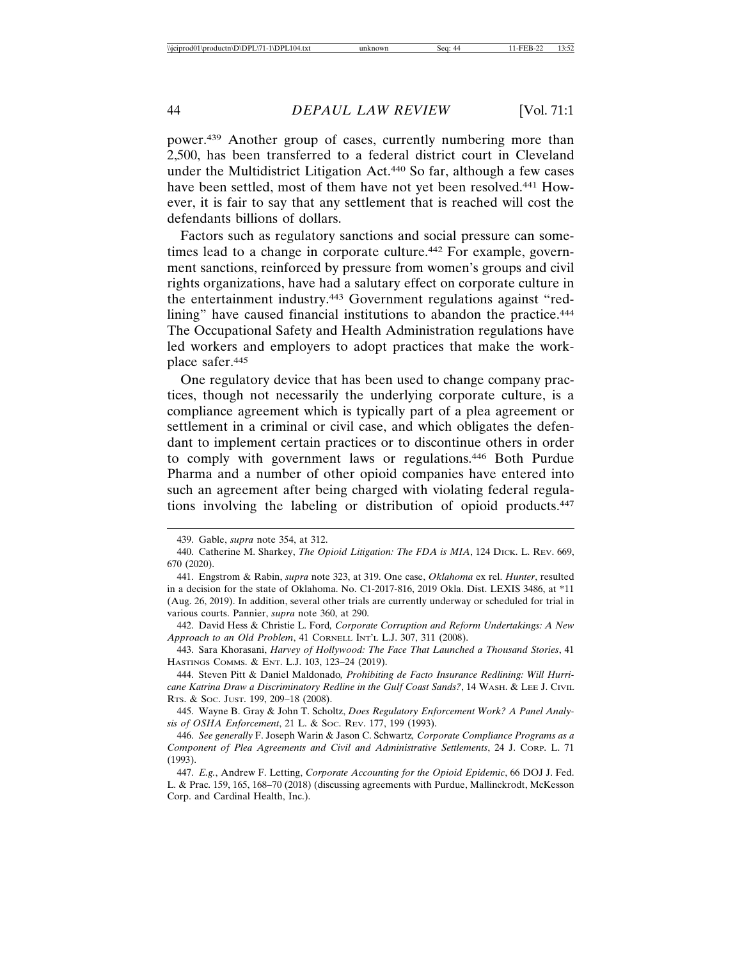power.439 Another group of cases, currently numbering more than 2,500, has been transferred to a federal district court in Cleveland under the Multidistrict Litigation Act.440 So far, although a few cases have been settled, most of them have not yet been resolved.441 However, it is fair to say that any settlement that is reached will cost the defendants billions of dollars.

Factors such as regulatory sanctions and social pressure can sometimes lead to a change in corporate culture.442 For example, government sanctions, reinforced by pressure from women's groups and civil rights organizations, have had a salutary effect on corporate culture in the entertainment industry.443 Government regulations against "redlining" have caused financial institutions to abandon the practice.<sup>444</sup> The Occupational Safety and Health Administration regulations have led workers and employers to adopt practices that make the workplace safer.445

One regulatory device that has been used to change company practices, though not necessarily the underlying corporate culture, is a compliance agreement which is typically part of a plea agreement or settlement in a criminal or civil case, and which obligates the defendant to implement certain practices or to discontinue others in order to comply with government laws or regulations.446 Both Purdue Pharma and a number of other opioid companies have entered into such an agreement after being charged with violating federal regulations involving the labeling or distribution of opioid products.447

<sup>439.</sup> Gable, *supra* note 354, at 312.

<sup>440.</sup> Catherine M. Sharkey, *The Opioid Litigation: The FDA is MIA*, 124 DICK. L. REV. 669, 670 (2020).

<sup>441.</sup> Engstrom & Rabin, *supra* note 323, at 319. One case, *Oklahoma* ex rel. *Hunter*, resulted in a decision for the state of Oklahoma. No. C1-2017-816, 2019 Okla. Dist. LEXIS 3486, at \*11 (Aug. 26, 2019). In addition, several other trials are currently underway or scheduled for trial in various courts. Pannier, *supra* note 360, at 290.

<sup>442.</sup> David Hess & Christie L. Ford*, Corporate Corruption and Reform Undertakings: A New Approach to an Old Problem*, 41 CORNELL INT'L L.J. 307, 311 (2008).

<sup>443.</sup> Sara Khorasani, *Harvey of Hollywood: The Face That Launched a Thousand Stories*, 41 HASTINGS COMMS. & ENT. L.J. 103, 123–24 (2019).

<sup>444.</sup> Steven Pitt & Daniel Maldonado*, Prohibiting de Facto Insurance Redlining: Will Hurricane Katrina Draw a Discriminatory Redline in the Gulf Coast Sands?*, 14 WASH. & LEE J. CIVIL RTS. & SOC. JUST. 199, 209–18 (2008).

<sup>445.</sup> Wayne B. Gray & John T. Scholtz, *Does Regulatory Enforcement Work? A Panel Analysis of OSHA Enforcement*, 21 L. & SOC. REV. 177, 199 (1993).

<sup>446.</sup> *See generally* F. Joseph Warin & Jason C. Schwartz*, Corporate Compliance Programs as a Component of Plea Agreements and Civil and Administrative Settlements*, 24 J. CORP. L. 71 (1993).

<sup>447.</sup> *E.g.*, Andrew F. Letting, *Corporate Accounting for the Opioid Epidemic*, 66 DOJ J. Fed. L. & Prac. 159, 165, 168–70 (2018) (discussing agreements with Purdue, Mallinckrodt, McKesson Corp. and Cardinal Health, Inc.).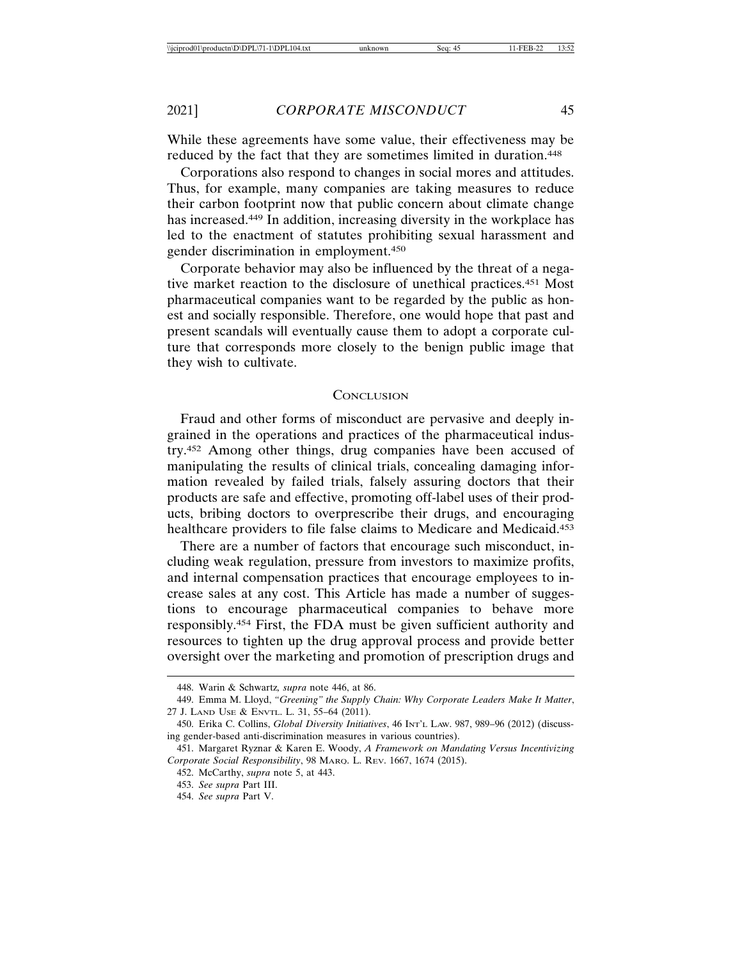While these agreements have some value, their effectiveness may be reduced by the fact that they are sometimes limited in duration.<sup>448</sup>

Corporations also respond to changes in social mores and attitudes. Thus, for example, many companies are taking measures to reduce their carbon footprint now that public concern about climate change has increased.449 In addition, increasing diversity in the workplace has led to the enactment of statutes prohibiting sexual harassment and gender discrimination in employment.450

Corporate behavior may also be influenced by the threat of a negative market reaction to the disclosure of unethical practices.451 Most pharmaceutical companies want to be regarded by the public as honest and socially responsible. Therefore, one would hope that past and present scandals will eventually cause them to adopt a corporate culture that corresponds more closely to the benign public image that they wish to cultivate.

#### **CONCLUSION**

Fraud and other forms of misconduct are pervasive and deeply ingrained in the operations and practices of the pharmaceutical industry.452 Among other things, drug companies have been accused of manipulating the results of clinical trials, concealing damaging information revealed by failed trials, falsely assuring doctors that their products are safe and effective, promoting off-label uses of their products, bribing doctors to overprescribe their drugs, and encouraging healthcare providers to file false claims to Medicare and Medicaid.453

There are a number of factors that encourage such misconduct, including weak regulation, pressure from investors to maximize profits, and internal compensation practices that encourage employees to increase sales at any cost. This Article has made a number of suggestions to encourage pharmaceutical companies to behave more responsibly.454 First, the FDA must be given sufficient authority and resources to tighten up the drug approval process and provide better oversight over the marketing and promotion of prescription drugs and

<sup>448.</sup> Warin & Schwartz*, supra* note 446, at 86.

<sup>449.</sup> Emma M. Lloyd, *"Greening" the Supply Chain: Why Corporate Leaders Make It Matter*, 27 J. LAND USE & ENVTL. L. 31, 55–64 (2011).

<sup>450.</sup> Erika C. Collins, *Global Diversity Initiatives*, 46 INT'L LAW. 987, 989–96 (2012) (discussing gender-based anti-discrimination measures in various countries).

<sup>451.</sup> Margaret Ryznar & Karen E. Woody, *A Framework on Mandating Versus Incentivizing Corporate Social Responsibility*, 98 MARQ. L. REV. 1667, 1674 (2015).

<sup>452.</sup> McCarthy, *supra* note 5, at 443.

<sup>453.</sup> *See supra* Part III.

<sup>454.</sup> *See supra* Part V.